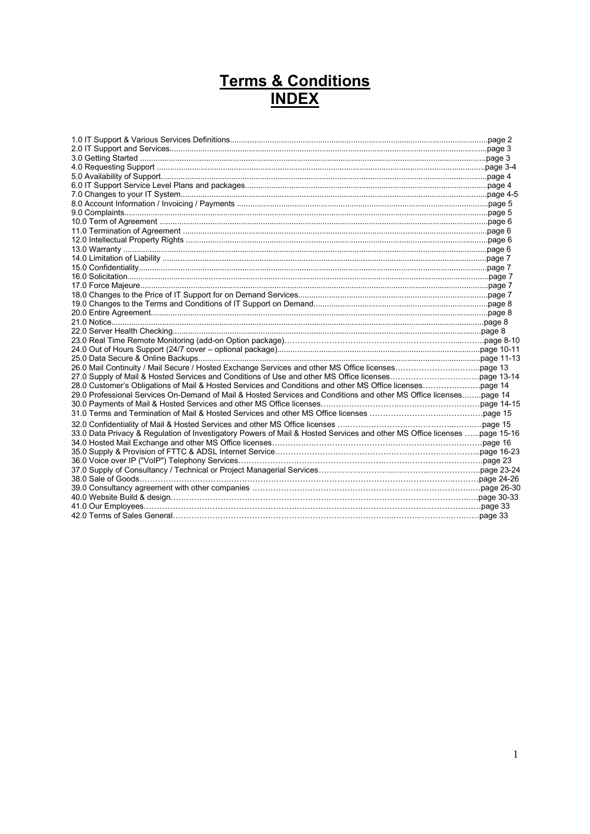# **Terms & Conditions INDEX**

| 29.0 Professional Services On-Demand of Mail & Hosted Services and Conditions and other MS Office licensespage 14        |  |
|--------------------------------------------------------------------------------------------------------------------------|--|
|                                                                                                                          |  |
|                                                                                                                          |  |
|                                                                                                                          |  |
| 33.0 Data Privacy & Regulation of Investigatory Powers of Mail & Hosted Services and other MS Office licenses page 15-16 |  |
|                                                                                                                          |  |
|                                                                                                                          |  |
| 36.0 Voice over IP ("VoIP") Telephony Services…………………………………………………………………………………paqe 23                                     |  |
|                                                                                                                          |  |
|                                                                                                                          |  |
|                                                                                                                          |  |
|                                                                                                                          |  |
|                                                                                                                          |  |
|                                                                                                                          |  |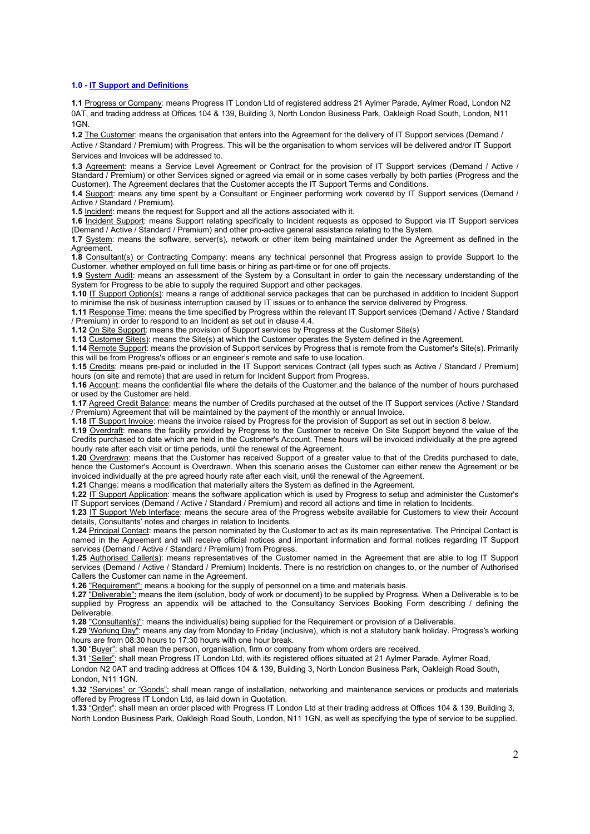# **1.0 - IT Support and Definitions**

**1.1** Progress or Company: means Progress IT London Ltd of registered address 21 Aylmer Parade, Aylmer Road, London N2 0AT, and trading address at Offices 104 & 139, Building 3, North London Business Park, Oakleigh Road South, London, N11 1GN.

**1.2** The Customer: means the organisation that enters into the Agreement for the delivery of IT Support services (Demand / Active / Standard / Premium) with Progress. This will be the organisation to whom services will be delivered and/or IT Support Services and Invoices will be addressed to.

**1.3** Agreement: means a Service Level Agreement or Contract for the provision of IT Support services (Demand / Active / Standard / Premium) or other Services signed or agreed via email or in some cases verbally by both parties (Progress and the Customer). The Agreement declares that the Customer accepts the IT Support Terms and Conditions.

**1.4** Support: means any time spent by a Consultant or Engineer performing work covered by IT Support services (Demand / Active / Standard / Premium).

**1.5** Incident: means the request for Support and all the actions associated with it.

**1.6** Incident Support: means Support relating specifically to Incident requests as opposed to Support via IT Support services (Demand / Active / Standard / Premium) and other pro-active general assistance relating to the System.

**1.7** System: means the software, server(s), network or other item being maintained under the Agreement as defined in the **Agreement** 

**1.8** Consultant(s) or Contracting Company: means any technical personnel that Progress assign to provide Support to the Customer, whether employed on full time basis or hiring as part-time or for one off projects.

**1.9** System Audit: means an assessment of the System by a Consultant in order to gain the necessary understanding of the System for Progress to be able to supply the required Support and other packages.

**1.10** IT Support Option(s): means a range of additional service packages that can be purchased in addition to Incident Support to minimise the risk of business interruption caused by IT issues or to enhance the service delivered by Progress.

**1.11** Response Time: means the time specified by Progress within the relevant IT Support services (Demand / Active / Standard / Premium) in order to respond to an Incident as set out in clause 4.4.

**1.12** On Site Support: means the provision of Support services by Progress at the Customer Site(s)

**1.13** Customer Site(s): means the Site(s) at which the Customer operates the System defined in the Agreement.

**1.14** Remote Support: means the provision of Support services by Progress that is remote from the Customer's Site(s). Primarily this will be from Progress's offices or an engineer's remote and safe to use location.

**1.15** Credits: means pre-paid or included in the IT Support services Contract (all types such as Active / Standard / Premium) hours (on site and remote) that are used in return for Incident Support from Progress.

**1.16** Account: means the confidential file where the details of the Customer and the balance of the number of hours purchased or used by the Customer are held.

**1.17** Agreed Credit Balance: means the number of Credits purchased at the outset of the IT Support services (Active / Standard / Premium) Agreement that will be maintained by the payment of the monthly or annual Invoice.

**1.18** IT Support Invoice: means the invoice raised by Progress for the provision of Support as set out in section 8 below.

**1.19** Overdraft: means the facility provided by Progress to the Customer to receive On Site Support beyond the value of the Credits purchased to date which are held in the Customer's Account. These hours will be invoiced individually at the pre agreed hourly rate after each visit or time periods, until the renewal of the Agreement.

**1.20** Overdrawn: means that the Customer has received Support of a greater value to that of the Credits purchased to date, hence the Customer's Account is Overdrawn. When this scenario arises the Customer can either renew the Agreement or be invoiced individually at the pre agreed hourly rate after each visit, until the renewal of the Agreement.

**1.21** Change: means a modification that materially alters the System as defined in the Agreement.

**1.22** IT Support Application: means the software application which is used by Progress to setup and administer the Customer's IT Support services (Demand / Active / Standard / Premium) and record all actions and time in relation to Incidents.

**1.23** IT Support Web Interface: means the secure area of the Progress website available for Customers to view their Account details, Consultants' notes and charges in relation to Incidents.

**1.24** Principal Contact: means the person nominated by the Customer to act as its main representative. The Principal Contact is named in the Agreement and will receive official notices and important information and formal notices regarding IT Support services (Demand / Active / Standard / Premium) from Progress.

**1.25** Authorised Caller(s): means representatives of the Customer named in the Agreement that are able to log IT Support services (Demand / Active / Standard / Premium) Incidents. There is no restriction on changes to, or the number of Authorised Callers the Customer can name in the Agreement.

**1.26** "Requirement": means a booking for the supply of personnel on a time and materials basis.

**1.27** "Deliverable": means the item (solution, body of work or document) to be supplied by Progress. When a Deliverable is to be supplied by Progress an appendix will be attached to the Consultancy Services Booking Form describing / defining the Deliverable.

**1.28** "Consultant(s)": means the individual(s) being supplied for the Requirement or provision of a Deliverable.

**1.29** 'Working Day": means any day from Monday to Friday (inclusive), which is not a statutory bank holiday. Progress's working hours are from 08:30 hours to 17:30 hours with one hour break.

**1.30** "Buyer": shall mean the person, organisation, firm or company from whom orders are received.

**1.31** "Seller": shall mean Progress IT London Ltd, with its registered offices situated at 21 Aylmer Parade, Aylmer Road,

London N2 0AT and trading address at Offices 104 & 139, Building 3, North London Business Park, Oakleigh Road South, London, N11 1GN.

**1.32** "Services" or "Goods": shall mean range of installation, networking and maintenance services or products and materials offered by Progress IT London Ltd, as laid down in Quotation.

**1.33** "Order": shall mean an order placed with Progress IT London Ltd at their trading address at Offices 104 & 139, Building 3, North London Business Park, Oakleigh Road South, London, N11 1GN, as well as specifying the type of service to be supplied.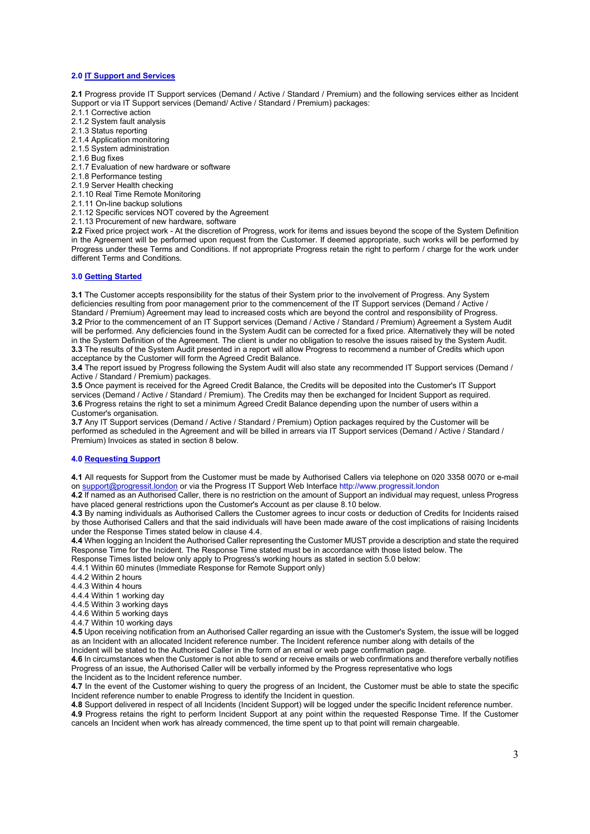# **2.0 IT Support and Services**

**2.1** Progress provide IT Support services (Demand / Active / Standard / Premium) and the following services either as Incident Support or via IT Support services (Demand/ Active / Standard / Premium) packages:

- 2.1.1 Corrective action
- 2.1.2 System fault analysis
- 2.1.3 Status reporting
- 2.1.4 Application monitoring
- 2.1.5 System administration
- 2.1.6 Bug fixes
- 2.1.7 Evaluation of new hardware or software
- 2.1.8 Performance testing
- 2.1.9 Server Health checking
- 2.1.10 Real Time Remote Monitoring
- 2.1.11 On-line backup solutions
- 2.1.12 Specific services NOT covered by the Agreement
- 2.1.13 Procurement of new hardware, software

**2.2** Fixed price project work - At the discretion of Progress, work for items and issues beyond the scope of the System Definition in the Agreement will be performed upon request from the Customer. If deemed appropriate, such works will be performed by Progress under these Terms and Conditions. If not appropriate Progress retain the right to perform / charge for the work under different Terms and Conditions.

# **3.0 Getting Started**

**3.1** The Customer accepts responsibility for the status of their System prior to the involvement of Progress. Any System deficiencies resulting from poor management prior to the commencement of the IT Support services (Demand / Active / Standard / Premium) Agreement may lead to increased costs which are beyond the control and responsibility of Progress. **3.2** Prior to the commencement of an IT Support services (Demand / Active / Standard / Premium) Agreement a System Audit will be performed. Any deficiencies found in the System Audit can be corrected for a fixed price. Alternatively they will be noted in the System Definition of the Agreement. The client is under no obligation to resolve the issues raised by the System Audit. **3.3** The results of the System Audit presented in a report will allow Progress to recommend a number of Credits which upon acceptance by the Customer will form the Agreed Credit Balance.

**3.4** The report issued by Progress following the System Audit will also state any recommended IT Support services (Demand / Active / Standard / Premium) packages.

**3.5** Once payment is received for the Agreed Credit Balance, the Credits will be deposited into the Customer's IT Support services (Demand / Active / Standard / Premium). The Credits may then be exchanged for Incident Support as required. **3.6** Progress retains the right to set a minimum Agreed Credit Balance depending upon the number of users within a Customer's organisation.

**3.7** Any IT Support services (Demand / Active / Standard / Premium) Option packages required by the Customer will be performed as scheduled in the Agreement and will be billed in arrears via IT Support services (Demand / Active / Standard / Premium) Invoices as stated in section 8 below.

## **4.0 Requesting Support**

**4.1** All requests for Support from the Customer must be made by Authorised Callers via telephone on 020 3358 0070 or e-mail on [support@progressit.london](mailto:support@progressit.london) or via the Progress IT Support Web Interface http://www.progressit.london

**4.2** If named as an Authorised Caller, there is no restriction on the amount of Support an individual may request, unless Progress have placed general restrictions upon the Customer's Account as per clause 8.10 below.

**4.3** By naming individuals as Authorised Callers the Customer agrees to incur costs or deduction of Credits for Incidents raised by those Authorised Callers and that the said individuals will have been made aware of the cost implications of raising Incidents under the Response Times stated below in clause 4.4.

**4.4** When logging an Incident the Authorised Caller representing the Customer MUST provide a description and state the required Response Time for the Incident. The Response Time stated must be in accordance with those listed below. The

Response Times listed below only apply to Progress's working hours as stated in section 5.0 below:

4.4.1 Within 60 minutes (Immediate Response for Remote Support only)

- 4.4.2 Within 2 hours
- 4.4.3 Within 4 hours
- 4.4.4 Within 1 working day
- 4.4.5 Within 3 working days
- 4.4.6 Within 5 working days
- 4.4.7 Within 10 working days

**4.5** Upon receiving notification from an Authorised Caller regarding an issue with the Customer's System, the issue will be logged as an Incident with an allocated Incident reference number. The Incident reference number along with details of the Incident will be stated to the Authorised Caller in the form of an email or web page confirmation page.

**4.6** In circumstances when the Customer is not able to send or receive emails or web confirmations and therefore verbally notifies Progress of an issue, the Authorised Caller will be verbally informed by the Progress representative who logs the Incident as to the Incident reference number.

**4.7** In the event of the Customer wishing to query the progress of an Incident, the Customer must be able to state the specific Incident reference number to enable Progress to identify the Incident in question.

**4.8** Support delivered in respect of all Incidents (Incident Support) will be logged under the specific Incident reference number.

**4.9** Progress retains the right to perform Incident Support at any point within the requested Response Time. If the Customer cancels an Incident when work has already commenced, the time spent up to that point will remain chargeable.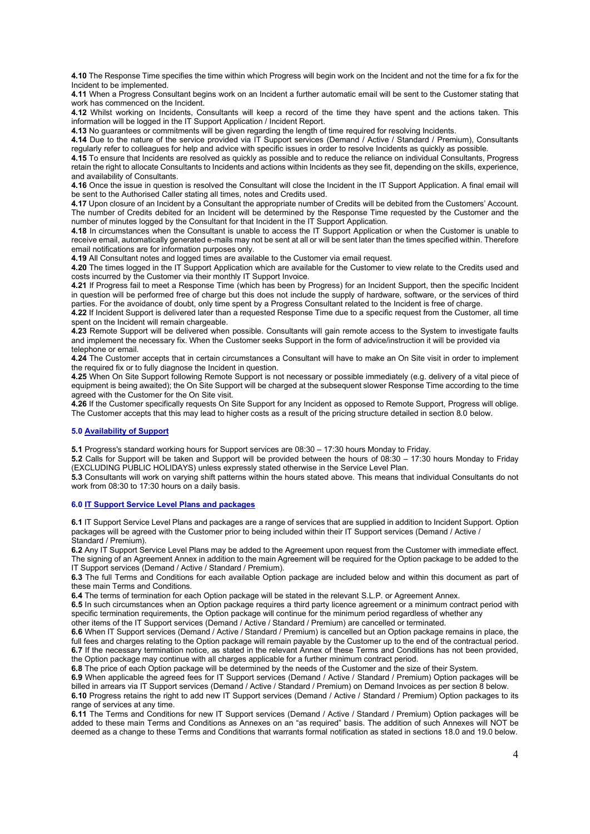**4.10** The Response Time specifies the time within which Progress will begin work on the Incident and not the time for a fix for the Incident to be implemented.

**4.11** When a Progress Consultant begins work on an Incident a further automatic email will be sent to the Customer stating that work has commenced on the Incident.

**4.12** Whilst working on Incidents, Consultants will keep a record of the time they have spent and the actions taken. This information will be logged in the IT Support Application / Incident Report.

**4.13** No guarantees or commitments will be given regarding the length of time required for resolving Incidents.

**4.14** Due to the nature of the service provided via IT Support services (Demand / Active / Standard / Premium), Consultants regularly refer to colleagues for help and advice with specific issues in order to resolve Incidents as quickly as possible.

**4.15** To ensure that Incidents are resolved as quickly as possible and to reduce the reliance on individual Consultants, Progress retain the right to allocate Consultants to Incidents and actions within Incidents as they see fit, depending on the skills, experience, and availability of Consultants.

**4.16** Once the issue in question is resolved the Consultant will close the Incident in the IT Support Application. A final email will be sent to the Authorised Caller stating all times, notes and Credits used.

**4.17** Upon closure of an Incident by a Consultant the appropriate number of Credits will be debited from the Customers' Account. The number of Credits debited for an Incident will be determined by the Response Time requested by the Customer and the number of minutes logged by the Consultant for that Incident in the IT Support Application.

**4.18** In circumstances when the Consultant is unable to access the IT Support Application or when the Customer is unable to receive email, automatically generated e-mails may not be sent at all or will be sent later than the times specified within. Therefore email notifications are for information purposes only.

**4.19** All Consultant notes and logged times are available to the Customer via email request.

**4.20** The times logged in the IT Support Application which are available for the Customer to view relate to the Credits used and costs incurred by the Customer via their monthly IT Support Invoice.

**4.21** If Progress fail to meet a Response Time (which has been by Progress) for an Incident Support, then the specific Incident in question will be performed free of charge but this does not include the supply of hardware, software, or the services of third parties. For the avoidance of doubt, only time spent by a Progress Consultant related to the Incident is free of charge.

**4.22** If Incident Support is delivered later than a requested Response Time due to a specific request from the Customer, all time spent on the Incident will remain chargeable.

**4.23** Remote Support will be delivered when possible. Consultants will gain remote access to the System to investigate faults and implement the necessary fix. When the Customer seeks Support in the form of advice/instruction it will be provided via telephone or email.

**4.24** The Customer accepts that in certain circumstances a Consultant will have to make an On Site visit in order to implement the required fix or to fully diagnose the Incident in question.

**4.25** When On Site Support following Remote Support is not necessary or possible immediately (e.g. delivery of a vital piece of equipment is being awaited); the On Site Support will be charged at the subsequent slower Response Time according to the time agreed with the Customer for the On Site visit.

**4.26** If the Customer specifically requests On Site Support for any Incident as opposed to Remote Support, Progress will oblige. The Customer accepts that this may lead to higher costs as a result of the pricing structure detailed in section 8.0 below.

# **5.0 Availability of Support**

**5.1** Progress's standard working hours for Support services are 08:30 – 17:30 hours Monday to Friday.

**5.2** Calls for Support will be taken and Support will be provided between the hours of 08:30 – 17:30 hours Monday to Friday (EXCLUDING PUBLIC HOLIDAYS) unless expressly stated otherwise in the Service Level Plan.

**5.3** Consultants will work on varying shift patterns within the hours stated above. This means that individual Consultants do not work from 08:30 to 17:30 hours on a daily basis.

# **6.0 IT Support Service Level Plans and packages**

**6.1** IT Support Service Level Plans and packages are a range of services that are supplied in addition to Incident Support. Option packages will be agreed with the Customer prior to being included within their IT Support services (Demand / Active / Standard / Premium).

**6.2** Any IT Support Service Level Plans may be added to the Agreement upon request from the Customer with immediate effect. The signing of an Agreement Annex in addition to the main Agreement will be required for the Option package to be added to the IT Support services (Demand / Active / Standard / Premium).

**6.3** The full Terms and Conditions for each available Option package are included below and within this document as part of these main Terms and Conditions.

**6.4** The terms of termination for each Option package will be stated in the relevant S.L.P. or Agreement Annex.

**6.5** In such circumstances when an Option package requires a third party licence agreement or a minimum contract period with specific termination requirements, the Option package will continue for the minimum period regardless of whether any

other items of the IT Support services (Demand / Active / Standard / Premium) are cancelled or terminated.

**6.6** When IT Support services (Demand / Active / Standard / Premium) is cancelled but an Option package remains in place, the full fees and charges relating to the Option package will remain payable by the Customer up to the end of the contractual period. **6.7** If the necessary termination notice, as stated in the relevant Annex of these Terms and Conditions has not been provided, the Option package may continue with all charges applicable for a further minimum contract period.

**6.8** The price of each Option package will be determined by the needs of the Customer and the size of their System.

**6.9** When applicable the agreed fees for IT Support services (Demand / Active / Standard / Premium) Option packages will be billed in arrears via IT Support services (Demand / Active / Standard / Premium) on Demand Invoices as per section 8 below.

**6.10** Progress retains the right to add new IT Support services (Demand / Active / Standard / Premium) Option packages to its range of services at any time.

**6.11** The Terms and Conditions for new IT Support services (Demand / Active / Standard / Premium) Option packages will be added to these main Terms and Conditions as Annexes on an "as required" basis. The addition of such Annexes will NOT be deemed as a change to these Terms and Conditions that warrants formal notification as stated in sections 18.0 and 19.0 below.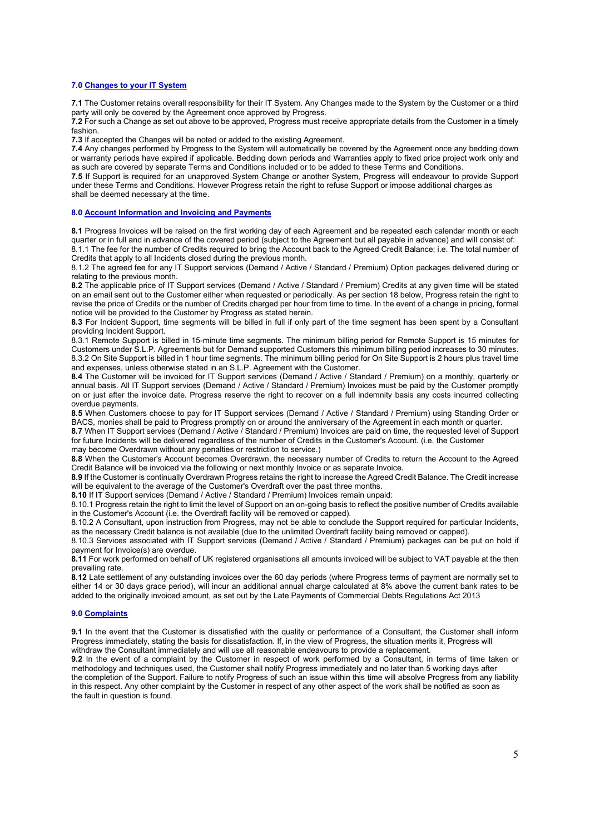## **7.0 Changes to your IT System**

**7.1** The Customer retains overall responsibility for their IT System. Any Changes made to the System by the Customer or a third party will only be covered by the Agreement once approved by Progress.

**7.2** For such a Change as set out above to be approved, Progress must receive appropriate details from the Customer in a timely fashion.

**7.3** If accepted the Changes will be noted or added to the existing Agreement.

**7.4** Any changes performed by Progress to the System will automatically be covered by the Agreement once any bedding down or warranty periods have expired if applicable. Bedding down periods and Warranties apply to fixed price project work only and as such are covered by separate Terms and Conditions included or to be added to these Terms and Conditions.

**7.5** If Support is required for an unapproved System Change or another System, Progress will endeavour to provide Support under these Terms and Conditions. However Progress retain the right to refuse Support or impose additional charges as shall be deemed necessary at the time.

#### **8.0 Account Information and Invoicing and Payments**

**8.1** Progress Invoices will be raised on the first working day of each Agreement and be repeated each calendar month or each quarter or in full and in advance of the covered period (subject to the Agreement but all payable in advance) and will consist of: 8.1.1 The fee for the number of Credits required to bring the Account back to the Agreed Credit Balance; i.e. The total number of Credits that apply to all Incidents closed during the previous month.

8.1.2 The agreed fee for any IT Support services (Demand / Active / Standard / Premium) Option packages delivered during or relating to the previous month.

**8.2** The applicable price of IT Support services (Demand / Active / Standard / Premium) Credits at any given time will be stated on an email sent out to the Customer either when requested or periodically. As per section 18 below, Progress retain the right to revise the price of Credits or the number of Credits charged per hour from time to time. In the event of a change in pricing, formal notice will be provided to the Customer by Progress as stated herein.

**8.3** For Incident Support, time segments will be billed in full if only part of the time segment has been spent by a Consultant providing Incident Support.

8.3.1 Remote Support is billed in 15-minute time segments. The minimum billing period for Remote Support is 15 minutes for Customers under S.L.P. Agreements but for Demand supported Customers this minimum billing period increases to 30 minutes. 8.3.2 On Site Support is billed in 1 hour time segments. The minimum billing period for On Site Support is 2 hours plus travel time and expenses, unless otherwise stated in an S.L.P. Agreement with the Customer.

**8.4** The Customer will be invoiced for IT Support services (Demand / Active / Standard / Premium) on a monthly, quarterly or annual basis. All IT Support services (Demand / Active / Standard / Premium) Invoices must be paid by the Customer promptly on or just after the invoice date. Progress reserve the right to recover on a full indemnity basis any costs incurred collecting overdue payments.

**8.5** When Customers choose to pay for IT Support services (Demand / Active / Standard / Premium) using Standing Order or BACS, monies shall be paid to Progress promptly on or around the anniversary of the Agreement in each month or quarter.

**8.7** When IT Support services (Demand / Active / Standard / Premium) Invoices are paid on time, the requested level of Support for future Incidents will be delivered regardless of the number of Credits in the Customer's Account. (i.e. the Customer may become Overdrawn without any penalties or restriction to service.)

**8.8** When the Customer's Account becomes Overdrawn, the necessary number of Credits to return the Account to the Agreed Credit Balance will be invoiced via the following or next monthly Invoice or as separate Invoice.

**8.9** If the Customer is continually Overdrawn Progress retains the right to increase the Agreed Credit Balance. The Credit increase will be equivalent to the average of the Customer's Overdraft over the past three months.

**8.10** If IT Support services (Demand / Active / Standard / Premium) Invoices remain unpaid:

8.10.1 Progress retain the right to limit the level of Support on an on-going basis to reflect the positive number of Credits available in the Customer's Account (i.e. the Overdraft facility will be removed or capped).

8.10.2 A Consultant, upon instruction from Progress, may not be able to conclude the Support required for particular Incidents, as the necessary Credit balance is not available (due to the unlimited Overdraft facility being removed or capped).

8.10.3 Services associated with IT Support services (Demand / Active / Standard / Premium) packages can be put on hold if payment for Invoice(s) are overdue.

**8.11** For work performed on behalf of UK registered organisations all amounts invoiced will be subject to VAT payable at the then prevailing rate.

**8.12** Late settlement of any outstanding invoices over the 60 day periods (where Progress terms of payment are normally set to either 14 or 30 days grace period), will incur an additional annual charge calculated at 8% above the current bank rates to be added to the originally invoiced amount, as set out by the Late Payments of Commercial Debts Regulations Act 2013

## **9.0 Complaints**

**9.1** In the event that the Customer is dissatisfied with the quality or performance of a Consultant, the Customer shall inform Progress immediately, stating the basis for dissatisfaction. If, in the view of Progress, the situation merits it, Progress will withdraw the Consultant immediately and will use all reasonable endeavours to provide a replacement.

**9.2** In the event of a complaint by the Customer in respect of work performed by a Consultant, in terms of time taken or methodology and techniques used, the Customer shall notify Progress immediately and no later than 5 working days after the completion of the Support. Failure to notify Progress of such an issue within this time will absolve Progress from any liability in this respect. Any other complaint by the Customer in respect of any other aspect of the work shall be notified as soon as the fault in question is found.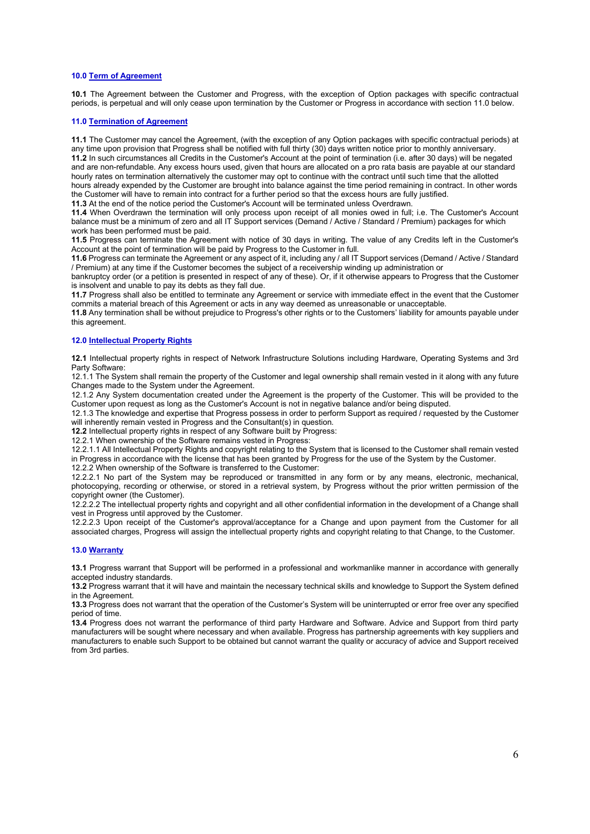# **10.0 Term of Agreement**

**10.1** The Agreement between the Customer and Progress, with the exception of Option packages with specific contractual periods, is perpetual and will only cease upon termination by the Customer or Progress in accordance with section 11.0 below.

#### **11.0 Termination of Agreement**

**11.1** The Customer may cancel the Agreement, (with the exception of any Option packages with specific contractual periods) at any time upon provision that Progress shall be notified with full thirty (30) days written notice prior to monthly anniversary. **11.2** In such circumstances all Credits in the Customer's Account at the point of termination (i.e. after 30 days) will be negated and are non-refundable. Any excess hours used, given that hours are allocated on a pro rata basis are payable at our standard hourly rates on termination alternatively the customer may opt to continue with the contract until such time that the allotted hours already expended by the Customer are brought into balance against the time period remaining in contract. In other words the Customer will have to remain into contract for a further period so that the excess hours are fully justified.

**11.3** At the end of the notice period the Customer's Account will be terminated unless Overdrawn.

**11.4** When Overdrawn the termination will only process upon receipt of all monies owed in full; i.e. The Customer's Account balance must be a minimum of zero and all IT Support services (Demand / Active / Standard / Premium) packages for which work has been performed must be paid.

**11.5** Progress can terminate the Agreement with notice of 30 days in writing. The value of any Credits left in the Customer's Account at the point of termination will be paid by Progress to the Customer in full.

**11.6** Progress can terminate the Agreement or any aspect of it, including any / all IT Support services (Demand / Active / Standard / Premium) at any time if the Customer becomes the subject of a receivership winding up administration or

bankruptcy order (or a petition is presented in respect of any of these). Or, if it otherwise appears to Progress that the Customer is insolvent and unable to pay its debts as they fall due.

**11.7** Progress shall also be entitled to terminate any Agreement or service with immediate effect in the event that the Customer commits a material breach of this Agreement or acts in any way deemed as unreasonable or unacceptable.

**11.8** Any termination shall be without prejudice to Progress's other rights or to the Customers' liability for amounts payable under this agreement.

# **12.0 Intellectual Property Rights**

**12.1** Intellectual property rights in respect of Network Infrastructure Solutions including Hardware, Operating Systems and 3rd Party Software:

12.1.1 The System shall remain the property of the Customer and legal ownership shall remain vested in it along with any future Changes made to the System under the Agreement.

12.1.2 Any System documentation created under the Agreement is the property of the Customer. This will be provided to the Customer upon request as long as the Customer's Account is not in negative balance and/or being disputed.

12.1.3 The knowledge and expertise that Progress possess in order to perform Support as required / requested by the Customer will inherently remain vested in Progress and the Consultant(s) in question.

**12.2** Intellectual property rights in respect of any Software built by Progress:

12.2.1 When ownership of the Software remains vested in Progress:

12.2.1.1 All Intellectual Property Rights and copyright relating to the System that is licensed to the Customer shall remain vested in Progress in accordance with the license that has been granted by Progress for the use of the System by the Customer.

12.2.2 When ownership of the Software is transferred to the Customer:

12.2.2.1 No part of the System may be reproduced or transmitted in any form or by any means, electronic, mechanical, photocopying, recording or otherwise, or stored in a retrieval system, by Progress without the prior written permission of the copyright owner (the Customer).

12.2.2.2 The intellectual property rights and copyright and all other confidential information in the development of a Change shall vest in Progress until approved by the Customer.

12.2.2.3 Upon receipt of the Customer's approval/acceptance for a Change and upon payment from the Customer for all associated charges, Progress will assign the intellectual property rights and copyright relating to that Change, to the Customer.

# **13.0 Warranty**

**13.1** Progress warrant that Support will be performed in a professional and workmanlike manner in accordance with generally accepted industry standards.

**13.2** Progress warrant that it will have and maintain the necessary technical skills and knowledge to Support the System defined in the Agreement.

**13.3** Progress does not warrant that the operation of the Customer's System will be uninterrupted or error free over any specified period of time.

**13.4** Progress does not warrant the performance of third party Hardware and Software. Advice and Support from third party manufacturers will be sought where necessary and when available. Progress has partnership agreements with key suppliers and manufacturers to enable such Support to be obtained but cannot warrant the quality or accuracy of advice and Support received from 3rd parties.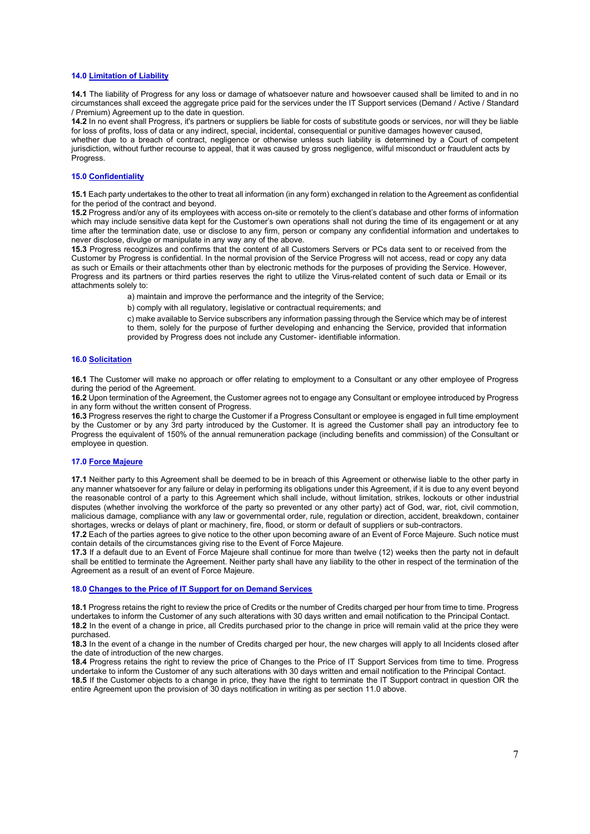# **14.0 Limitation of Liability**

**14.1** The liability of Progress for any loss or damage of whatsoever nature and howsoever caused shall be limited to and in no circumstances shall exceed the aggregate price paid for the services under the IT Support services (Demand / Active / Standard / Premium) Agreement up to the date in question.

**14.2** In no event shall Progress, it's partners or suppliers be liable for costs of substitute goods or services, nor will they be liable for loss of profits, loss of data or any indirect, special, incidental, consequential or punitive damages however caused,

whether due to a breach of contract, negligence or otherwise unless such liability is determined by a Court of competent jurisdiction, without further recourse to appeal, that it was caused by gross negligence, wilful misconduct or fraudulent acts by Progress.

# **15.0 Confidentiality**

**15.1** Each party undertakes to the other to treat all information (in any form) exchanged in relation to the Agreement as confidential for the period of the contract and beyond.

**15.2** Progress and/or any of its employees with access on-site or remotely to the client's database and other forms of information which may include sensitive data kept for the Customer's own operations shall not during the time of its engagement or at any time after the termination date, use or disclose to any firm, person or company any confidential information and undertakes to never disclose, divulge or manipulate in any way any of the above.

**15.3** Progress recognizes and confirms that the content of all Customers Servers or PCs data sent to or received from the Customer by Progress is confidential. In the normal provision of the Service Progress will not access, read or copy any data as such or Emails or their attachments other than by electronic methods for the purposes of providing the Service. However, Progress and its partners or third parties reserves the right to utilize the Virus-related content of such data or Email or its attachments solely to:

a) maintain and improve the performance and the integrity of the Service;

b) comply with all regulatory, legislative or contractual requirements; and

c) make available to Service subscribers any information passing through the Service which may be of interest to them, solely for the purpose of further developing and enhancing the Service, provided that information provided by Progress does not include any Customer- identifiable information.

#### **16.0 Solicitation**

**16.1** The Customer will make no approach or offer relating to employment to a Consultant or any other employee of Progress during the period of the Agreement.

**16.2** Upon termination of the Agreement, the Customer agrees not to engage any Consultant or employee introduced by Progress in any form without the written consent of Progress.

**16.3** Progress reserves the right to charge the Customer if a Progress Consultant or employee is engaged in full time employment by the Customer or by any 3rd party introduced by the Customer. It is agreed the Customer shall pay an introductory fee to Progress the equivalent of 150% of the annual remuneration package (including benefits and commission) of the Consultant or employee in question.

# **17.0 Force Majeure**

**17.1** Neither party to this Agreement shall be deemed to be in breach of this Agreement or otherwise liable to the other party in any manner whatsoever for any failure or delay in performing its obligations under this Agreement, if it is due to any event beyond the reasonable control of a party to this Agreement which shall include, without limitation, strikes, lockouts or other industrial disputes (whether involving the workforce of the party so prevented or any other party) act of God, war, riot, civil commotion, malicious damage, compliance with any law or governmental order, rule, regulation or direction, accident, breakdown, container shortages, wrecks or delays of plant or machinery, fire, flood, or storm or default of suppliers or sub-contractors.

**17.2** Each of the parties agrees to give notice to the other upon becoming aware of an Event of Force Majeure. Such notice must contain details of the circumstances giving rise to the Event of Force Majeure.

**17.3** If a default due to an Event of Force Majeure shall continue for more than twelve (12) weeks then the party not in default shall be entitled to terminate the Agreement. Neither party shall have any liability to the other in respect of the termination of the Agreement as a result of an event of Force Majeure.

## **18.0 Changes to the Price of IT Support for on Demand Services**

**18.1** Progress retains the right to review the price of Credits or the number of Credits charged per hour from time to time. Progress undertakes to inform the Customer of any such alterations with 30 days written and email notification to the Principal Contact. **18.2** In the event of a change in price, all Credits purchased prior to the change in price will remain valid at the price they were purchased.

**18.3** In the event of a change in the number of Credits charged per hour, the new charges will apply to all Incidents closed after the date of introduction of the new charges.

**18.4** Progress retains the right to review the price of Changes to the Price of IT Support Services from time to time. Progress undertake to inform the Customer of any such alterations with 30 days written and email notification to the Principal Contact.

**18.5** If the Customer objects to a change in price, they have the right to terminate the IT Support contract in question OR the entire Agreement upon the provision of 30 days notification in writing as per section 11.0 above.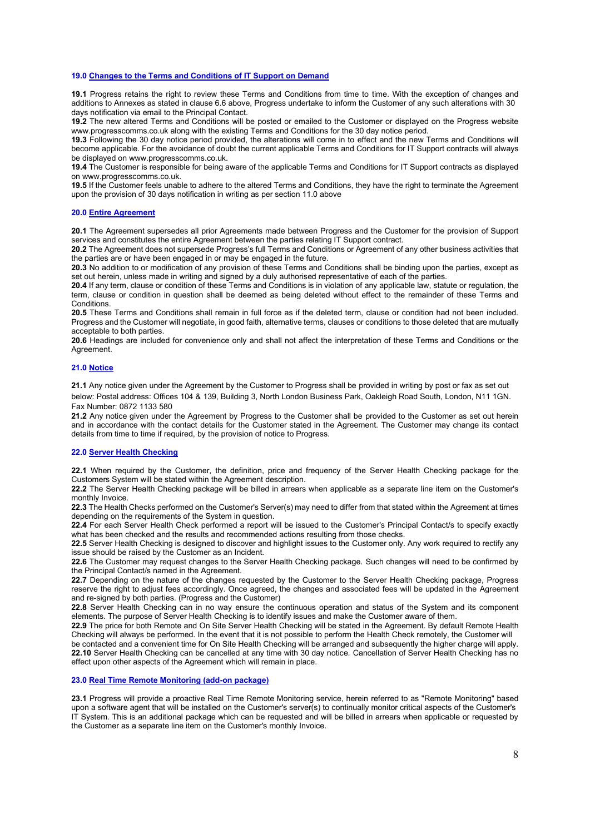# **19.0 Changes to the Terms and Conditions of IT Support on Demand**

**19.1** Progress retains the right to review these Terms and Conditions from time to time. With the exception of changes and additions to Annexes as stated in clause 6.6 above, Progress undertake to inform the Customer of any such alterations with 30 days notification via email to the Principal Contact.

**19.2** The new altered Terms and Conditions will be posted or emailed to the Customer or displayed on the Progress website www.progresscomms.co.uk along with the existing Terms and Conditions for the 30 day notice period.

**19.3** Following the 30 day notice period provided, the alterations will come in to effect and the new Terms and Conditions will become applicable. For the avoidance of doubt the current applicable Terms and Conditions for IT Support contracts will always be displayed on www.progresscomms.co.uk.

**19.4** The Customer is responsible for being aware of the applicable Terms and Conditions for IT Support contracts as displayed on www.progresscomms.co.uk.

**19.5** If the Customer feels unable to adhere to the altered Terms and Conditions, they have the right to terminate the Agreement upon the provision of 30 days notification in writing as per section 11.0 above

#### **20.0 Entire Agreement**

**20.1** The Agreement supersedes all prior Agreements made between Progress and the Customer for the provision of Support services and constitutes the entire Agreement between the parties relating IT Support contract.

**20.2** The Agreement does not supersede Progress's full Terms and Conditions or Agreement of any other business activities that the parties are or have been engaged in or may be engaged in the future.

**20.3** No addition to or modification of any provision of these Terms and Conditions shall be binding upon the parties, except as set out herein, unless made in writing and signed by a duly authorised representative of each of the parties.

**20.4** If any term, clause or condition of these Terms and Conditions is in violation of any applicable law, statute or regulation, the term, clause or condition in question shall be deemed as being deleted without effect to the remainder of these Terms and **Conditions** 

**20.5** These Terms and Conditions shall remain in full force as if the deleted term, clause or condition had not been included. Progress and the Customer will negotiate, in good faith, alternative terms, clauses or conditions to those deleted that are mutually acceptable to both parties.

**20.6** Headings are included for convenience only and shall not affect the interpretation of these Terms and Conditions or the Agreement.

#### **21.0 Notice**

**21.1** Any notice given under the Agreement by the Customer to Progress shall be provided in writing by post or fax as set out below: Postal address: Offices 104 & 139, Building 3, North London Business Park, Oakleigh Road South, London, N11 1GN. Fax Number: 0872 1133 580

**21.2** Any notice given under the Agreement by Progress to the Customer shall be provided to the Customer as set out herein and in accordance with the contact details for the Customer stated in the Agreement. The Customer may change its contact details from time to time if required, by the provision of notice to Progress.

#### **22.0 Server Health Checking**

**22.1** When required by the Customer, the definition, price and frequency of the Server Health Checking package for the Customers System will be stated within the Agreement description.

**22.2** The Server Health Checking package will be billed in arrears when applicable as a separate line item on the Customer's monthly Invoice.

**22.3** The Health Checks performed on the Customer's Server(s) may need to differ from that stated within the Agreement at times depending on the requirements of the System in question.

**22.4** For each Server Health Check performed a report will be issued to the Customer's Principal Contact/s to specify exactly what has been checked and the results and recommended actions resulting from those checks.

**22.5** Server Health Checking is designed to discover and highlight issues to the Customer only. Any work required to rectify any issue should be raised by the Customer as an Incident.

**22.6** The Customer may request changes to the Server Health Checking package. Such changes will need to be confirmed by the Principal Contact/s named in the Agreement.

**22.7** Depending on the nature of the changes requested by the Customer to the Server Health Checking package, Progress reserve the right to adjust fees accordingly. Once agreed, the changes and associated fees will be updated in the Agreement and re-signed by both parties. (Progress and the Customer)

**22.8** Server Health Checking can in no way ensure the continuous operation and status of the System and its component elements. The purpose of Server Health Checking is to identify issues and make the Customer aware of them.

**22.9** The price for both Remote and On Site Server Health Checking will be stated in the Agreement. By default Remote Health Checking will always be performed. In the event that it is not possible to perform the Health Check remotely, the Customer will

be contacted and a convenient time for On Site Health Checking will be arranged and subsequently the higher charge will apply. **22.10** Server Health Checking can be cancelled at any time with 30 day notice. Cancellation of Server Health Checking has no effect upon other aspects of the Agreement which will remain in place.

#### **23.0 Real Time Remote Monitoring (add-on package)**

**23.1** Progress will provide a proactive Real Time Remote Monitoring service, herein referred to as "Remote Monitoring" based upon a software agent that will be installed on the Customer's server(s) to continually monitor critical aspects of the Customer's IT System. This is an additional package which can be requested and will be billed in arrears when applicable or requested by the Customer as a separate line item on the Customer's monthly Invoice.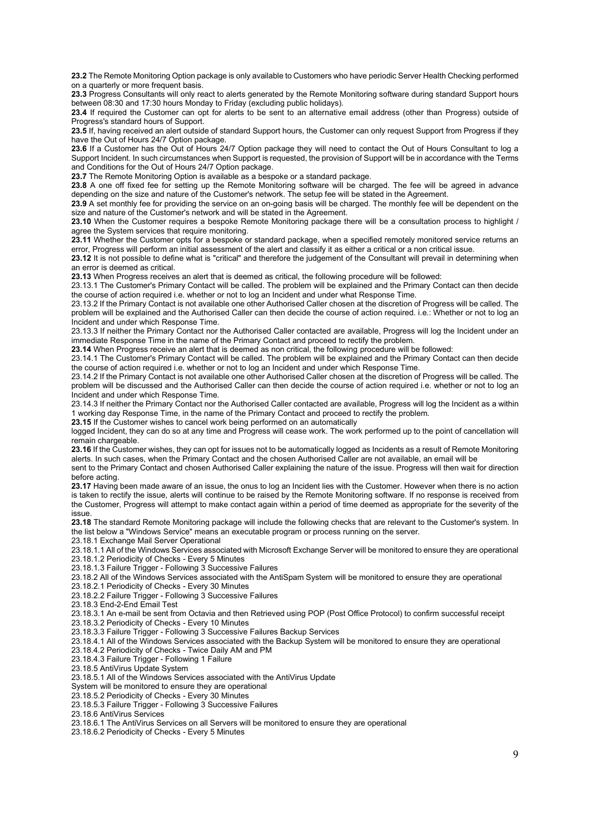**23.2** The Remote Monitoring Option package is only available to Customers who have periodic Server Health Checking performed on a quarterly or more frequent basis.

**23.3** Progress Consultants will only react to alerts generated by the Remote Monitoring software during standard Support hours between 08:30 and 17:30 hours Monday to Friday (excluding public holidays).

**23.4** If required the Customer can opt for alerts to be sent to an alternative email address (other than Progress) outside of Progress's standard hours of Support.

**23.5** If, having received an alert outside of standard Support hours, the Customer can only request Support from Progress if they have the Out of Hours 24/7 Option package.

**23.6** If a Customer has the Out of Hours 24/7 Option package they will need to contact the Out of Hours Consultant to log a Support Incident. In such circumstances when Support is requested, the provision of Support will be in accordance with the Terms and Conditions for the Out of Hours 24/7 Option package.

**23.7** The Remote Monitoring Option is available as a bespoke or a standard package.

**23.8** A one off fixed fee for setting up the Remote Monitoring software will be charged. The fee will be agreed in advance depending on the size and nature of the Customer's network. The setup fee will be stated in the Agreement.

**23.9** A set monthly fee for providing the service on an on-going basis will be charged. The monthly fee will be dependent on the size and nature of the Customer's network and will be stated in the Agreement.

**23.10** When the Customer requires a bespoke Remote Monitoring package there will be a consultation process to highlight / agree the System services that require monitoring.

**23.11** Whether the Customer opts for a bespoke or standard package, when a specified remotely monitored service returns an error, Progress will perform an initial assessment of the alert and classify it as either a critical or a non critical issue.

**23.12** It is not possible to define what is "critical" and therefore the judgement of the Consultant will prevail in determining when an error is deemed as critical.

**23.13** When Progress receives an alert that is deemed as critical, the following procedure will be followed:

23.13.1 The Customer's Primary Contact will be called. The problem will be explained and the Primary Contact can then decide the course of action required i.e. whether or not to log an Incident and under what Response Time.

23.13.2 If the Primary Contact is not available one other Authorised Caller chosen at the discretion of Progress will be called. The problem will be explained and the Authorised Caller can then decide the course of action required. i.e.: Whether or not to log an Incident and under which Response Time.

23.13.3 If neither the Primary Contact nor the Authorised Caller contacted are available, Progress will log the Incident under an immediate Response Time in the name of the Primary Contact and proceed to rectify the problem.

**23.14** When Progress receive an alert that is deemed as non critical, the following procedure will be followed:

23.14.1 The Customer's Primary Contact will be called. The problem will be explained and the Primary Contact can then decide the course of action required i.e. whether or not to log an Incident and under which Response Time.

23.14.2 If the Primary Contact is not available one other Authorised Caller chosen at the discretion of Progress will be called. The problem will be discussed and the Authorised Caller can then decide the course of action required i.e. whether or not to log an Incident and under which Response Time.

23.14.3 If neither the Primary Contact nor the Authorised Caller contacted are available, Progress will log the Incident as a within 1 working day Response Time, in the name of the Primary Contact and proceed to rectify the problem.

**23.15** If the Customer wishes to cancel work being performed on an automatically

logged Incident, they can do so at any time and Progress will cease work. The work performed up to the point of cancellation will remain chargeable.

**23.16** If the Customer wishes, they can opt for issues not to be automatically logged as Incidents as a result of Remote Monitoring alerts. In such cases, when the Primary Contact and the chosen Authorised Caller are not available, an email will be

sent to the Primary Contact and chosen Authorised Caller explaining the nature of the issue. Progress will then wait for direction before acting.

**23.17** Having been made aware of an issue, the onus to log an Incident lies with the Customer. However when there is no action is taken to rectify the issue, alerts will continue to be raised by the Remote Monitoring software. If no response is received from the Customer, Progress will attempt to make contact again within a period of time deemed as appropriate for the severity of the issue.

**23.18** The standard Remote Monitoring package will include the following checks that are relevant to the Customer's system. In the list below a "Windows Service" means an executable program or process running on the server.

23.18.1 Exchange Mail Server Operational

23.18.1.1 All of the Windows Services associated with Microsoft Exchange Server will be monitored to ensure they are operational 23.18.1.2 Periodicity of Checks - Every 5 Minutes

23.18.1.3 Failure Trigger - Following 3 Successive Failures

23.18.2 All of the Windows Services associated with the AntiSpam System will be monitored to ensure they are operational

23.18.2.1 Periodicity of Checks - Every 30 Minutes

23.18.2.2 Failure Trigger - Following 3 Successive Failures

23.18.3 End-2-End Email Test

23.18.3.1 An e-mail be sent from Octavia and then Retrieved using POP (Post Office Protocol) to confirm successful receipt 23.18.3.2 Periodicity of Checks - Every 10 Minutes

23.18.3.3 Failure Trigger - Following 3 Successive Failures Backup Services

23.18.4.1 All of the Windows Services associated with the Backup System will be monitored to ensure they are operational

23.18.4.2 Periodicity of Checks - Twice Daily AM and PM

23.18.4.3 Failure Trigger - Following 1 Failure

23.18.5 AntiVirus Update System

23.18.5.1 All of the Windows Services associated with the AntiVirus Update

System will be monitored to ensure they are operational

23.18.5.2 Periodicity of Checks - Every 30 Minutes

23.18.5.3 Failure Trigger - Following 3 Successive Failures

23.18.6 AntiVirus Services

23.18.6.1 The AntiVirus Services on all Servers will be monitored to ensure they are operational

23.18.6.2 Periodicity of Checks - Every 5 Minutes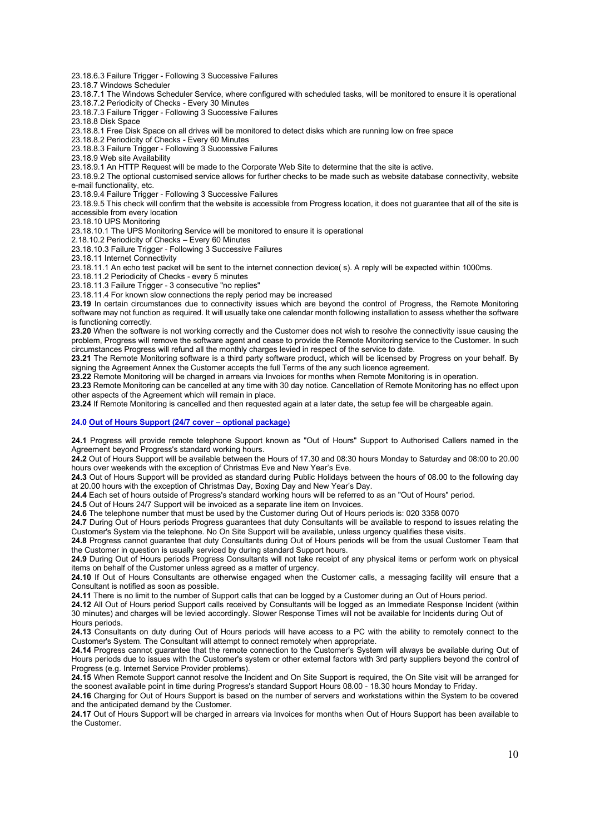23.18.6.3 Failure Trigger - Following 3 Successive Failures

23.18.7 Windows Scheduler

23.18.7.1 The Windows Scheduler Service, where configured with scheduled tasks, will be monitored to ensure it is operational 23.18.7.2 Periodicity of Checks - Every 30 Minutes

23.18.7.3 Failure Trigger - Following 3 Successive Failures

23.18.8 Disk Space

23.18.8.1 Free Disk Space on all drives will be monitored to detect disks which are running low on free space

23.18.8.2 Periodicity of Checks - Every 60 Minutes

23.18.8.3 Failure Trigger - Following 3 Successive Failures

23.18.9 Web site Availability

23.18.9.1 An HTTP Request will be made to the Corporate Web Site to determine that the site is active.

23.18.9.2 The optional customised service allows for further checks to be made such as website database connectivity, website e-mail functionality, etc.

23.18.9.4 Failure Trigger - Following 3 Successive Failures

23.18.9.5 This check will confirm that the website is accessible from Progress location, it does not guarantee that all of the site is accessible from every location

23.18.10 UPS Monitoring

23.18.10.1 The UPS Monitoring Service will be monitored to ensure it is operational

2.18.10.2 Periodicity of Checks – Every 60 Minutes

23.18.10.3 Failure Trigger - Following 3 Successive Failures

23.18.11 Internet Connectivity

23.18.11.1 An echo test packet will be sent to the internet connection device( s). A reply will be expected within 1000ms.

23.18.11.2 Periodicity of Checks - every 5 minutes

23.18.11.3 Failure Trigger - 3 consecutive "no replies"

23.18.11.4 For known slow connections the reply period may be increased

**23.19** In certain circumstances due to connectivity issues which are beyond the control of Progress, the Remote Monitoring software may not function as required. It will usually take one calendar month following installation to assess whether the software is functioning correctly.

**23.20** When the software is not working correctly and the Customer does not wish to resolve the connectivity issue causing the problem, Progress will remove the software agent and cease to provide the Remote Monitoring service to the Customer. In such circumstances Progress will refund all the monthly charges levied in respect of the service to date.

**23.21** The Remote Monitoring software is a third party software product, which will be licensed by Progress on your behalf. By signing the Agreement Annex the Customer accepts the full Terms of the any such licence agreement.

**23.22** Remote Monitoring will be charged in arrears via Invoices for months when Remote Monitoring is in operation.

**23.23** Remote Monitoring can be cancelled at any time with 30 day notice. Cancellation of Remote Monitoring has no effect upon other aspects of the Agreement which will remain in place.

**23.24** If Remote Monitoring is cancelled and then requested again at a later date, the setup fee will be chargeable again.

## **24.0 Out of Hours Support (24/7 cover – optional package)**

**24.1** Progress will provide remote telephone Support known as "Out of Hours" Support to Authorised Callers named in the Agreement beyond Progress's standard working hours.

**24.2** Out of Hours Support will be available between the Hours of 17.30 and 08:30 hours Monday to Saturday and 08:00 to 20.00 hours over weekends with the exception of Christmas Eve and New Year's Eve.

**24.3** Out of Hours Support will be provided as standard during Public Holidays between the hours of 08.00 to the following day at 20.00 hours with the exception of Christmas Day, Boxing Day and New Year's Day.

**24.4** Each set of hours outside of Progress's standard working hours will be referred to as an "Out of Hours" period.

**24.5** Out of Hours 24/7 Support will be invoiced as a separate line item on Invoices.

**24.6** The telephone number that must be used by the Customer during Out of Hours periods is: 020 3358 0070

**24.7** During Out of Hours periods Progress guarantees that duty Consultants will be available to respond to issues relating the Customer's System via the telephone. No On Site Support will be available, unless urgency qualifies these visits.

**24.8** Progress cannot guarantee that duty Consultants during Out of Hours periods will be from the usual Customer Team that the Customer in question is usually serviced by during standard Support hours.

**24.9** During Out of Hours periods Progress Consultants will not take receipt of any physical items or perform work on physical items on behalf of the Customer unless agreed as a matter of urgency.

**24.10** If Out of Hours Consultants are otherwise engaged when the Customer calls, a messaging facility will ensure that a Consultant is notified as soon as possible.

**24.11** There is no limit to the number of Support calls that can be logged by a Customer during an Out of Hours period.

**24.12** All Out of Hours period Support calls received by Consultants will be logged as an Immediate Response Incident (within 30 minutes) and charges will be levied accordingly. Slower Response Times will not be available for Incidents during Out of Hours periods.

**24.13** Consultants on duty during Out of Hours periods will have access to a PC with the ability to remotely connect to the Customer's System. The Consultant will attempt to connect remotely when appropriate.

**24.14** Progress cannot guarantee that the remote connection to the Customer's System will always be available during Out of Hours periods due to issues with the Customer's system or other external factors with 3rd party suppliers beyond the control of Progress (e.g. Internet Service Provider problems).

**24.15** When Remote Support cannot resolve the Incident and On Site Support is required, the On Site visit will be arranged for the soonest available point in time during Progress's standard Support Hours 08.00 - 18.30 hours Monday to Friday.

**24.16** Charging for Out of Hours Support is based on the number of servers and workstations within the System to be covered and the anticipated demand by the Customer.

**24.17** Out of Hours Support will be charged in arrears via Invoices for months when Out of Hours Support has been available to the Customer.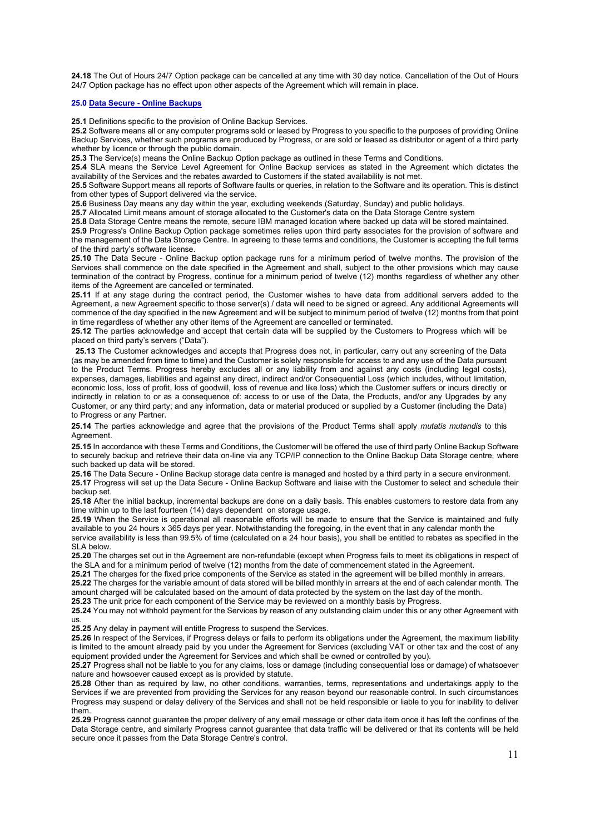**24.18** The Out of Hours 24/7 Option package can be cancelled at any time with 30 day notice. Cancellation of the Out of Hours 24/7 Option package has no effect upon other aspects of the Agreement which will remain in place.

# **25.0 Data Secure - Online Backups**

**25.1** Definitions specific to the provision of Online Backup Services.

**25.2** Software means all or any computer programs sold or leased by Progress to you specific to the purposes of providing Online Backup Services, whether such programs are produced by Progress, or are sold or leased as distributor or agent of a third party whether by licence or through the public domain.

**25.3** The Service(s) means the Online Backup Option package as outlined in these Terms and Conditions.

**25.4** SLA means the Service Level Agreement for Online Backup services as stated in the Agreement which dictates the availability of the Services and the rebates awarded to Customers if the stated availability is not met.

**25.5** Software Support means all reports of Software faults or queries, in relation to the Software and its operation. This is distinct from other types of Support delivered via the service.

**25.6** Business Day means any day within the year, excluding weekends (Saturday, Sunday) and public holidays.

**25.7** Allocated Limit means amount of storage allocated to the Customer's data on the Data Storage Centre system

**25.8** Data Storage Centre means the remote, secure IBM managed location where backed up data will be stored maintained. **25.9** Progress's Online Backup Option package sometimes relies upon third party associates for the provision of software and the management of the Data Storage Centre. In agreeing to these terms and conditions, the Customer is accepting the full terms

of the third party's software license.

**25.10** The Data Secure - Online Backup option package runs for a minimum period of twelve months. The provision of the Services shall commence on the date specified in the Agreement and shall, subject to the other provisions which may cause termination of the contract by Progress, continue for a minimum period of twelve (12) months regardless of whether any other items of the Agreement are cancelled or terminated.

**25.11** If at any stage during the contract period, the Customer wishes to have data from additional servers added to the Agreement, a new Agreement specific to those server(s) / data will need to be signed or agreed. Any additional Agreements will commence of the day specified in the new Agreement and will be subject to minimum period of twelve (12) months from that point in time regardless of whether any other items of the Agreement are cancelled or terminated.

**25.12** The parties acknowledge and accept that certain data will be supplied by the Customers to Progress which will be placed on third party's servers ("Data").

 **25.13** The Customer acknowledges and accepts that Progress does not, in particular, carry out any screening of the Data (as may be amended from time to time) and the Customer is solely responsible for access to and any use of the Data pursuant to the Product Terms. Progress hereby excludes all or any liability from and against any costs (including legal costs), expenses, damages, liabilities and against any direct, indirect and/or Consequential Loss (which includes, without limitation, economic loss, loss of profit, loss of goodwill, loss of revenue and like loss) which the Customer suffers or incurs directly or indirectly in relation to or as a consequence of: access to or use of the Data, the Products, and/or any Upgrades by any Customer, or any third party; and any information, data or material produced or supplied by a Customer (including the Data) to Progress or any Partner.

**25.14** The parties acknowledge and agree that the provisions of the Product Terms shall apply *mutatis mutandis* to this Agreement.

**25.15** In accordance with these Terms and Conditions, the Customer will be offered the use of third party Online Backup Software to securely backup and retrieve their data on-line via any TCP/IP connection to the Online Backup Data Storage centre, where such backed up data will be stored.

**25.16** The Data Secure - Online Backup storage data centre is managed and hosted by a third party in a secure environment. **25.17** Progress will set up the Data Secure - Online Backup Software and liaise with the Customer to select and schedule their backup set.

**25.18** After the initial backup, incremental backups are done on a daily basis. This enables customers to restore data from any time within up to the last fourteen (14) days dependent on storage usage.

**25.19** When the Service is operational all reasonable efforts will be made to ensure that the Service is maintained and fully available to you 24 hours x 365 days per year. Notwithstanding the foregoing, in the event that in any calendar month the

service availability is less than 99.5% of time (calculated on a 24 hour basis), you shall be entitled to rebates as specified in the SLA below.

**25.20** The charges set out in the Agreement are non-refundable (except when Progress fails to meet its obligations in respect of the SLA and for a minimum period of twelve (12) months from the date of commencement stated in the Agreement.

**25.21** The charges for the fixed price components of the Service as stated in the agreement will be billed monthly in arrears.

**25.22** The charges for the variable amount of data stored will be billed monthly in arrears at the end of each calendar month. The amount charged will be calculated based on the amount of data protected by the system on the last day of the month.

**25.23** The unit price for each component of the Service may be reviewed on a monthly basis by Progress.

**25.24** You may not withhold payment for the Services by reason of any outstanding claim under this or any other Agreement with us.

**25.25** Any delay in payment will entitle Progress to suspend the Services.

**25.26** In respect of the Services, if Progress delays or fails to perform its obligations under the Agreement, the maximum liability is limited to the amount already paid by you under the Agreement for Services (excluding VAT or other tax and the cost of any equipment provided under the Agreement for Services and which shall be owned or controlled by you).

**25.27** Progress shall not be liable to you for any claims, loss or damage (including consequential loss or damage) of whatsoever nature and howsoever caused except as is provided by statute.

**25.28** Other than as required by law, no other conditions, warranties, terms, representations and undertakings apply to the Services if we are prevented from providing the Services for any reason beyond our reasonable control. In such circumstances Progress may suspend or delay delivery of the Services and shall not be held responsible or liable to you for inability to deliver them.

**25.29** Progress cannot guarantee the proper delivery of any email message or other data item once it has left the confines of the Data Storage centre, and similarly Progress cannot guarantee that data traffic will be delivered or that its contents will be held secure once it passes from the Data Storage Centre's control.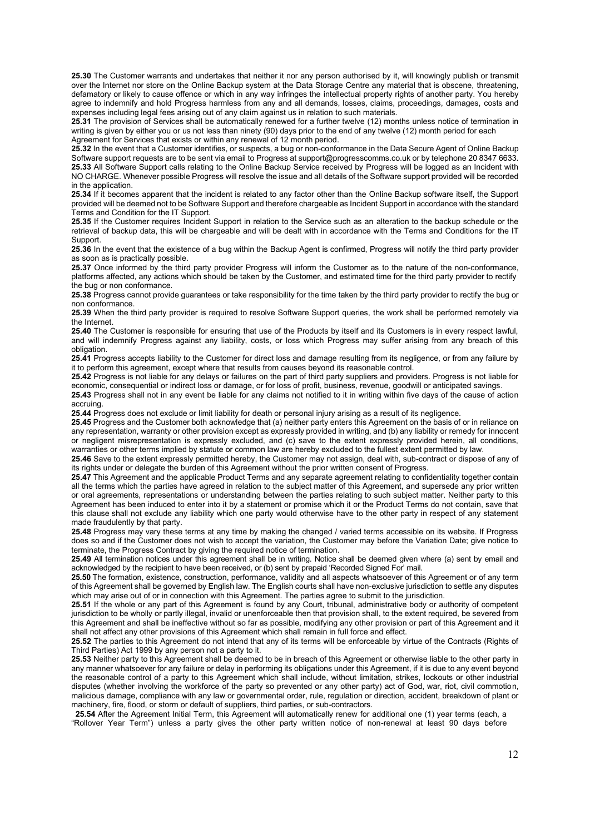**25.30** The Customer warrants and undertakes that neither it nor any person authorised by it, will knowingly publish or transmit over the Internet nor store on the Online Backup system at the Data Storage Centre any material that is obscene, threatening, defamatory or likely to cause offence or which in any way infringes the intellectual property rights of another party. You hereby agree to indemnify and hold Progress harmless from any and all demands, losses, claims, proceedings, damages, costs and expenses including legal fees arising out of any claim against us in relation to such materials.

**25.31** The provision of Services shall be automatically renewed for a further twelve (12) months unless notice of termination in writing is given by either you or us not less than ninety (90) days prior to the end of any twelve (12) month period for each Agreement for Services that exists or within any renewal of 12 month period.

**25.32** In the event that a Customer identifies, or suspects, a bug or non-conformance in the Data Secure Agent of Online Backup Software support requests are to be sent via email to Progress at support@progresscomms.co.uk or by telephone 20 8347 6633. **25.33** All Software Support calls relating to the Online Backup Service received by Progress will be logged as an Incident with NO CHARGE. Whenever possible Progress will resolve the issue and all details of the Software support provided will be recorded in the application.

**25.34** If it becomes apparent that the incident is related to any factor other than the Online Backup software itself, the Support provided will be deemed not to be Software Support and therefore chargeable as Incident Support in accordance with the standard Terms and Condition for the IT Support.

**25.35** If the Customer requires Incident Support in relation to the Service such as an alteration to the backup schedule or the retrieval of backup data, this will be chargeable and will be dealt with in accordance with the Terms and Conditions for the IT **Support** 

**25.36** In the event that the existence of a bug within the Backup Agent is confirmed, Progress will notify the third party provider as soon as is practically possible.

**25.37** Once informed by the third party provider Progress will inform the Customer as to the nature of the non-conformance, platforms affected, any actions which should be taken by the Customer, and estimated time for the third party provider to rectify the bug or non conformance.

**25.38** Progress cannot provide guarantees or take responsibility for the time taken by the third party provider to rectify the bug or non conformance.

**25.39** When the third party provider is required to resolve Software Support queries, the work shall be performed remotely via the Internet.

**25.40** The Customer is responsible for ensuring that use of the Products by itself and its Customers is in every respect lawful, and will indemnify Progress against any liability, costs, or loss which Progress may suffer arising from any breach of this obligation.

**25.41** Progress accepts liability to the Customer for direct loss and damage resulting from its negligence, or from any failure by it to perform this agreement, except where that results from causes beyond its reasonable control.

**25.42** Progress is not liable for any delays or failures on the part of third party suppliers and providers. Progress is not liable for economic, consequential or indirect loss or damage, or for loss of profit, business, revenue, goodwill or anticipated savings. **25.43** Progress shall not in any event be liable for any claims not notified to it in writing within five days of the cause of action

accruing.

**25.44** Progress does not exclude or limit liability for death or personal injury arising as a result of its negligence.

**25.45** Progress and the Customer both acknowledge that (a) neither party enters this Agreement on the basis of or in reliance on any representation, warranty or other provision except as expressly provided in writing, and (b) any liability or remedy for innocent or negligent misrepresentation is expressly excluded, and (c) save to the extent expressly provided herein, all conditions, warranties or other terms implied by statute or common law are hereby excluded to the fullest extent permitted by law.

**25.46** Save to the extent expressly permitted hereby, the Customer may not assign, deal with, sub-contract or dispose of any of its rights under or delegate the burden of this Agreement without the prior written consent of Progress.

**25.47** This Agreement and the applicable Product Terms and any separate agreement relating to confidentiality together contain all the terms which the parties have agreed in relation to the subject matter of this Agreement, and supersede any prior written or oral agreements, representations or understanding between the parties relating to such subject matter. Neither party to this Agreement has been induced to enter into it by a statement or promise which it or the Product Terms do not contain, save that this clause shall not exclude any liability which one party would otherwise have to the other party in respect of any statement made fraudulently by that party.

**25.48** Progress may vary these terms at any time by making the changed / varied terms accessible on its website. If Progress does so and if the Customer does not wish to accept the variation, the Customer may before the Variation Date; give notice to terminate, the Progress Contract by giving the required notice of termination.

**25.49** All termination notices under this agreement shall be in writing. Notice shall be deemed given where (a) sent by email and acknowledged by the recipient to have been received, or (b) sent by prepaid 'Recorded Signed For' mail.

**25.50** The formation, existence, construction, performance, validity and all aspects whatsoever of this Agreement or of any term of this Agreement shall be governed by English law. The English courts shall have non-exclusive jurisdiction to settle any disputes which may arise out of or in connection with this Agreement. The parties agree to submit to the jurisdiction.

**25.51** If the whole or any part of this Agreement is found by any Court, tribunal, administrative body or authority of competent jurisdiction to be wholly or partly illegal, invalid or unenforceable then that provision shall, to the extent required, be severed from this Agreement and shall be ineffective without so far as possible, modifying any other provision or part of this Agreement and it shall not affect any other provisions of this Agreement which shall remain in full force and effect.

**25.52** The parties to this Agreement do not intend that any of its terms will be enforceable by virtue of the Contracts (Rights of Third Parties) Act 1999 by any person not a party to it.

**25.53** Neither party to this Agreement shall be deemed to be in breach of this Agreement or otherwise liable to the other party in any manner whatsoever for any failure or delay in performing its obligations under this Agreement, if it is due to any event beyond the reasonable control of a party to this Agreement which shall include, without limitation, strikes, lockouts or other industrial disputes (whether involving the workforce of the party so prevented or any other party) act of God, war, riot, civil commotion, malicious damage, compliance with any law or governmental order, rule, regulation or direction, accident, breakdown of plant or machinery, fire, flood, or storm or default of suppliers, third parties, or sub-contractors.

 **25.54** After the Agreement Initial Term, this Agreement will automatically renew for additional one (1) year terms (each, a "Rollover Year Term") unless a party gives the other party written notice of non-renewal at least 90 days before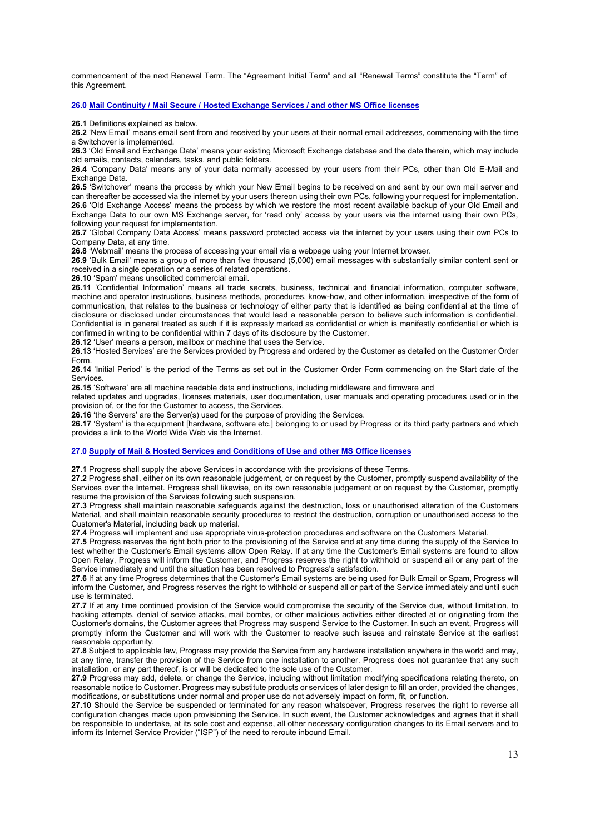commencement of the next Renewal Term. The "Agreement Initial Term" and all "Renewal Terms" constitute the "Term" of this Agreement.

## **26.0 Mail Continuity / Mail Secure / Hosted Exchange Services / and other MS Office licenses**

**26.1** Definitions explained as below.

**26.2** 'New Email' means email sent from and received by your users at their normal email addresses, commencing with the time a Switchover is implemented.

**26.3** 'Old Email and Exchange Data' means your existing Microsoft Exchange database and the data therein, which may include old emails, contacts, calendars, tasks, and public folders.

**26.4** 'Company Data' means any of your data normally accessed by your users from their PCs, other than Old E-Mail and Exchange Data.

**26.5** 'Switchover' means the process by which your New Email begins to be received on and sent by our own mail server and can thereafter be accessed via the internet by your users thereon using their own PCs, following your request for implementation. **26.6** 'Old Exchange Access' means the process by which we restore the most recent available backup of your Old Email and Exchange Data to our own MS Exchange server, for 'read only' access by your users via the internet using their own PCs, following your request for implementation.

**26.7** 'Global Company Data Access' means password protected access via the internet by your users using their own PCs to Company Data, at any time.

**26.8** 'Webmail' means the process of accessing your email via a webpage using your Internet browser.

**26.9** 'Bulk Email' means a group of more than five thousand (5,000) email messages with substantially similar content sent or received in a single operation or a series of related operations.

**26.10** 'Spam' means unsolicited commercial email.

**26.11** 'Confidential Information' means all trade secrets, business, technical and financial information, computer software, machine and operator instructions, business methods, procedures, know-how, and other information, irrespective of the form of communication, that relates to the business or technology of either party that is identified as being confidential at the time of disclosure or disclosed under circumstances that would lead a reasonable person to believe such information is confidential. Confidential is in general treated as such if it is expressly marked as confidential or which is manifestly confidential or which is confirmed in writing to be confidential within 7 days of its disclosure by the Customer.

**26.12** 'User' means a person, mailbox or machine that uses the Service.

**26.13** 'Hosted Services' are the Services provided by Progress and ordered by the Customer as detailed on the Customer Order Form.

**26.14** 'Initial Period' is the period of the Terms as set out in the Customer Order Form commencing on the Start date of the **Services** 

**26.15** 'Software' are all machine readable data and instructions, including middleware and firmware and

related updates and upgrades, licenses materials, user documentation, user manuals and operating procedures used or in the provision of, or the for the Customer to access, the Services.

26.16 'the Servers' are the Server(s) used for the purpose of providing the Services.

**26.17** 'System' is the equipment [hardware, software etc.] belonging to or used by Progress or its third party partners and which provides a link to the World Wide Web via the Internet.

## **27.0 Supply of Mail & Hosted Services and Conditions of Use and other MS Office licenses**

**27.1** Progress shall supply the above Services in accordance with the provisions of these Terms.

**27.2** Progress shall, either on its own reasonable judgement, or on request by the Customer, promptly suspend availability of the Services over the Internet. Progress shall likewise, on its own reasonable judgement or on request by the Customer, promptly resume the provision of the Services following such suspension.

**27.3** Progress shall maintain reasonable safeguards against the destruction, loss or unauthorised alteration of the Customers Material, and shall maintain reasonable security procedures to restrict the destruction, corruption or unauthorised access to the Customer's Material, including back up material.

**27.4** Progress will implement and use appropriate virus-protection procedures and software on the Customers Material.

**27.5** Progress reserves the right both prior to the provisioning of the Service and at any time during the supply of the Service to test whether the Customer's Email systems allow Open Relay. If at any time the Customer's Email systems are found to allow Open Relay, Progress will inform the Customer, and Progress reserves the right to withhold or suspend all or any part of the Service immediately and until the situation has been resolved to Progress's satisfaction.

**27.6** If at any time Progress determines that the Customer's Email systems are being used for Bulk Email or Spam, Progress will inform the Customer, and Progress reserves the right to withhold or suspend all or part of the Service immediately and until such use is terminated.

**27.7** If at any time continued provision of the Service would compromise the security of the Service due, without limitation, to hacking attempts, denial of service attacks, mail bombs, or other malicious activities either directed at or originating from the Customer's domains, the Customer agrees that Progress may suspend Service to the Customer. In such an event, Progress will promptly inform the Customer and will work with the Customer to resolve such issues and reinstate Service at the earliest reasonable opportunity.

**27.8** Subject to applicable law, Progress may provide the Service from any hardware installation anywhere in the world and may, at any time, transfer the provision of the Service from one installation to another. Progress does not guarantee that any such installation, or any part thereof, is or will be dedicated to the sole use of the Customer.

**27.9** Progress may add, delete, or change the Service, including without limitation modifying specifications relating thereto, on reasonable notice to Customer. Progress may substitute products or services of later design to fill an order, provided the changes, modifications, or substitutions under normal and proper use do not adversely impact on form, fit, or function.

**27.10** Should the Service be suspended or terminated for any reason whatsoever, Progress reserves the right to reverse all configuration changes made upon provisioning the Service. In such event, the Customer acknowledges and agrees that it shall be responsible to undertake, at its sole cost and expense, all other necessary configuration changes to its Email servers and to inform its Internet Service Provider ("ISP") of the need to reroute inbound Email.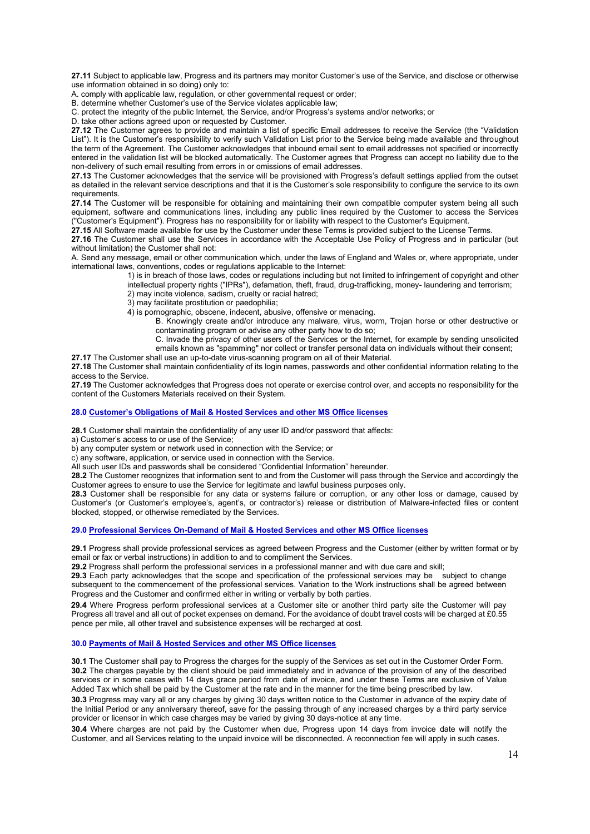**27.11** Subject to applicable law, Progress and its partners may monitor Customer's use of the Service, and disclose or otherwise use information obtained in so doing) only to:

A. comply with applicable law, regulation, or other governmental request or order;

B. determine whether Customer's use of the Service violates applicable law;

C. protect the integrity of the public Internet, the Service, and/or Progress's systems and/or networks; or

D. take other actions agreed upon or requested by Customer.

**27.12** The Customer agrees to provide and maintain a list of specific Email addresses to receive the Service (the "Validation List"). It is the Customer's responsibility to verify such Validation List prior to the Service being made available and throughout the term of the Agreement. The Customer acknowledges that inbound email sent to email addresses not specified or incorrectly entered in the validation list will be blocked automatically. The Customer agrees that Progress can accept no liability due to the non-delivery of such email resulting from errors in or omissions of email addresses.

**27.13** The Customer acknowledges that the service will be provisioned with Progress's default settings applied from the outset as detailed in the relevant service descriptions and that it is the Customer's sole responsibility to configure the service to its own requirements.

**27.14** The Customer will be responsible for obtaining and maintaining their own compatible computer system being all such equipment, software and communications lines, including any public lines required by the Customer to access the Services ("Customer's Equipment"). Progress has no responsibility for or liability with respect to the Customer's Equipment.

**27.15** All Software made available for use by the Customer under these Terms is provided subject to the License Terms.

**27.16** The Customer shall use the Services in accordance with the Acceptable Use Policy of Progress and in particular (but without limitation) the Customer shall not:

A. Send any message, email or other communication which, under the laws of England and Wales or, where appropriate, under international laws, conventions, codes or regulations applicable to the Internet:

1) is in breach of those laws, codes or regulations including but not limited to infringement of copyright and other intellectual property rights ("IPRs"), defamation, theft, fraud, drug-trafficking, money- laundering and terrorism;

2) may incite violence, sadism, cruelty or racial hatred;

3) may facilitate prostitution or paedophilia;

4) is pornographic, obscene, indecent, abusive, offensive or menacing.

B. Knowingly create and/or introduce any malware, virus, worm, Trojan horse or other destructive or contaminating program or advise any other party how to do so;

C. Invade the privacy of other users of the Services or the Internet, for example by sending unsolicited emails known as "spamming" nor collect or transfer personal data on individuals without their consent;

**27.17** The Customer shall use an up-to-date virus-scanning program on all of their Material.

**27.18** The Customer shall maintain confidentiality of its login names, passwords and other confidential information relating to the access to the Service.

**27.19** The Customer acknowledges that Progress does not operate or exercise control over, and accepts no responsibility for the content of the Customers Materials received on their System.

# **28.0 Customer's Obligations of Mail & Hosted Services and other MS Office licenses**

**28.1** Customer shall maintain the confidentiality of any user ID and/or password that affects:

a) Customer's access to or use of the Service;

b) any computer system or network used in connection with the Service; or

c) any software, application, or service used in connection with the Service.

All such user IDs and passwords shall be considered "Confidential Information" hereunder.

**28.2** The Customer recognizes that information sent to and from the Customer will pass through the Service and accordingly the Customer agrees to ensure to use the Service for legitimate and lawful business purposes only.

**28.3** Customer shall be responsible for any data or systems failure or corruption, or any other loss or damage, caused by Customer's (or Customer's employee's, agent's, or contractor's) release or distribution of Malware-infected files or content blocked, stopped, or otherwise remediated by the Services.

**29.0 Professional Services On-Demand of Mail & Hosted Services and other MS Office licenses**

**29.1** Progress shall provide professional services as agreed between Progress and the Customer (either by written format or by email or fax or verbal instructions) in addition to and to compliment the Services.

**29.2** Progress shall perform the professional services in a professional manner and with due care and skill;

 **29.3** Each party acknowledges that the scope and specification of the professional services may be subject to change subsequent to the commencement of the professional services. Variation to the Work instructions shall be agreed between Progress and the Customer and confirmed either in writing or verbally by both parties.

 **29.4** Where Progress perform professional services at a Customer site or another third party site the Customer will pay Progress all travel and all out of pocket expenses on demand. For the avoidance of doubt travel costs will be charged at £0.55 pence per mile, all other travel and subsistence expenses will be recharged at cost.

## **30.0 Payments of Mail & Hosted Services and other MS Office licenses**

**30.1** The Customer shall pay to Progress the charges for the supply of the Services as set out in the Customer Order Form. **30.2** The charges payable by the client should be paid immediately and in advance of the provision of any of the described services or in some cases with 14 days grace period from date of invoice, and under these Terms are exclusive of Value Added Tax which shall be paid by the Customer at the rate and in the manner for the time being prescribed by law.

**30.3** Progress may vary all or any charges by giving 30 days written notice to the Customer in advance of the expiry date of the Initial Period or any anniversary thereof, save for the passing through of any increased charges by a third party service provider or licensor in which case charges may be varied by giving 30 days-notice at any time.

**30.4** Where charges are not paid by the Customer when due, Progress upon 14 days from invoice date will notify the Customer, and all Services relating to the unpaid invoice will be disconnected. A reconnection fee will apply in such cases.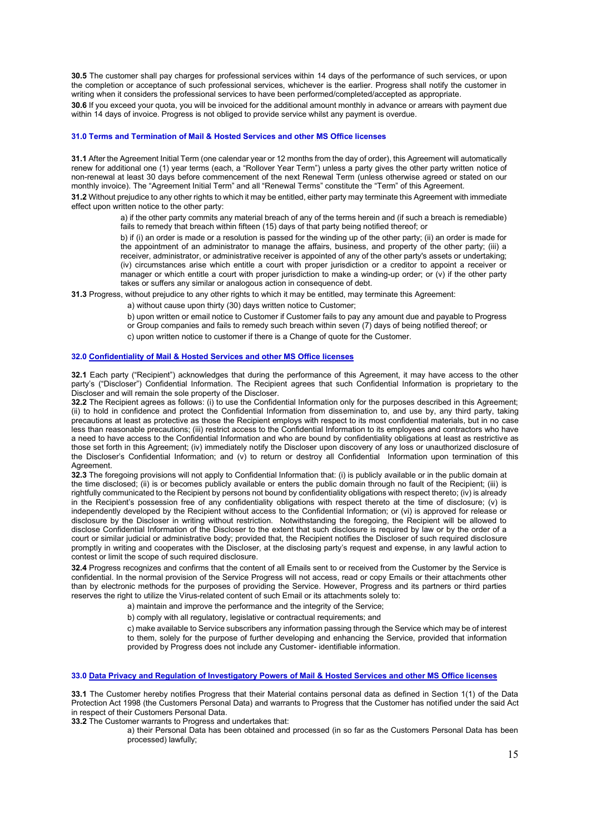**30.5** The customer shall pay charges for professional services within 14 days of the performance of such services, or upon the completion or acceptance of such professional services, whichever is the earlier. Progress shall notify the customer in writing when it considers the professional services to have been performed/completed/accepted as appropriate.

**30.6** If you exceed your quota, you will be invoiced for the additional amount monthly in advance or arrears with payment due within 14 days of invoice. Progress is not obliged to provide service whilst any payment is overdue.

## **31.0 Terms and Termination of Mail & Hosted Services and other MS Office licenses**

**31.1** After the Agreement Initial Term (one calendar year or 12 months from the day of order), this Agreement will automatically renew for additional one (1) year terms (each, a "Rollover Year Term") unless a party gives the other party written notice of non-renewal at least 30 days before commencement of the next Renewal Term (unless otherwise agreed or stated on our monthly invoice). The "Agreement Initial Term" and all "Renewal Terms" constitute the "Term" of this Agreement.

**31.2** Without prejudice to any other rights to which it may be entitled, either party may terminate this Agreement with immediate effect upon written notice to the other party:

> a) if the other party commits any material breach of any of the terms herein and (if such a breach is remediable) fails to remedy that breach within fifteen (15) days of that party being notified thereof; or

> b) if (i) an order is made or a resolution is passed for the winding up of the other party; (ii) an order is made for the appointment of an administrator to manage the affairs, business, and property of the other party; (iii) a receiver, administrator, or administrative receiver is appointed of any of the other party's assets or undertaking; (iv) circumstances arise which entitle a court with proper jurisdiction or a creditor to appoint a receiver or manager or which entitle a court with proper jurisdiction to make a winding-up order; or (v) if the other party takes or suffers any similar or analogous action in consequence of debt.

**31.3** Progress, without prejudice to any other rights to which it may be entitled, may terminate this Agreement:

a) without cause upon thirty (30) days written notice to Customer;

b) upon written or email notice to Customer if Customer fails to pay any amount due and payable to Progress

or Group companies and fails to remedy such breach within seven (7) days of being notified thereof; or

c) upon written notice to customer if there is a Change of quote for the Customer.

# **32.0 Confidentiality of Mail & Hosted Services and other MS Office licenses**

**32.1** Each party ("Recipient") acknowledges that during the performance of this Agreement, it may have access to the other party's ("Discloser") Confidential Information. The Recipient agrees that such Confidential Information is proprietary to the Discloser and will remain the sole property of the Discloser.

**32.2** The Recipient agrees as follows: (i) to use the Confidential Information only for the purposes described in this Agreement; (ii) to hold in confidence and protect the Confidential Information from dissemination to, and use by, any third party, taking precautions at least as protective as those the Recipient employs with respect to its most confidential materials, but in no case less than reasonable precautions; (iii) restrict access to the Confidential Information to its employees and contractors who have a need to have access to the Confidential Information and who are bound by confidentiality obligations at least as restrictive as those set forth in this Agreement; (iv) immediately notify the Discloser upon discovery of any loss or unauthorized disclosure of the Discloser's Confidential Information; and (v) to return or destroy all Confidential Information upon termination of this Agreement.

**32.3** The foregoing provisions will not apply to Confidential Information that: (i) is publicly available or in the public domain at the time disclosed; (ii) is or becomes publicly available or enters the public domain through no fault of the Recipient; (iii) is rightfully communicated to the Recipient by persons not bound by confidentiality obligations with respect thereto; (iv) is already in the Recipient's possession free of any confidentiality obligations with respect thereto at the time of disclosure; (v) is independently developed by the Recipient without access to the Confidential Information; or (vi) is approved for release or disclosure by the Discloser in writing without restriction. Notwithstanding the foregoing, the Recipient will be allowed to disclose Confidential Information of the Discloser to the extent that such disclosure is required by law or by the order of a court or similar judicial or administrative body; provided that, the Recipient notifies the Discloser of such required disclosure promptly in writing and cooperates with the Discloser, at the disclosing party's request and expense, in any lawful action to contest or limit the scope of such required disclosure.

**32.4** Progress recognizes and confirms that the content of all Emails sent to or received from the Customer by the Service is confidential. In the normal provision of the Service Progress will not access, read or copy Emails or their attachments other than by electronic methods for the purposes of providing the Service. However, Progress and its partners or third parties reserves the right to utilize the Virus-related content of such Email or its attachments solely to:

a) maintain and improve the performance and the integrity of the Service;

b) comply with all regulatory, legislative or contractual requirements; and

c) make available to Service subscribers any information passing through the Service which may be of interest to them, solely for the purpose of further developing and enhancing the Service, provided that information provided by Progress does not include any Customer- identifiable information.

# **33.0 Data Privacy and Regulation of Investigatory Powers of Mail & Hosted Services and other MS Office licenses**

**33.1** The Customer hereby notifies Progress that their Material contains personal data as defined in Section 1(1) of the Data Protection Act 1998 (the Customers Personal Data) and warrants to Progress that the Customer has notified under the said Act in respect of their Customers Personal Data.

**33.2** The Customer warrants to Progress and undertakes that:

a) their Personal Data has been obtained and processed (in so far as the Customers Personal Data has been processed) lawfully;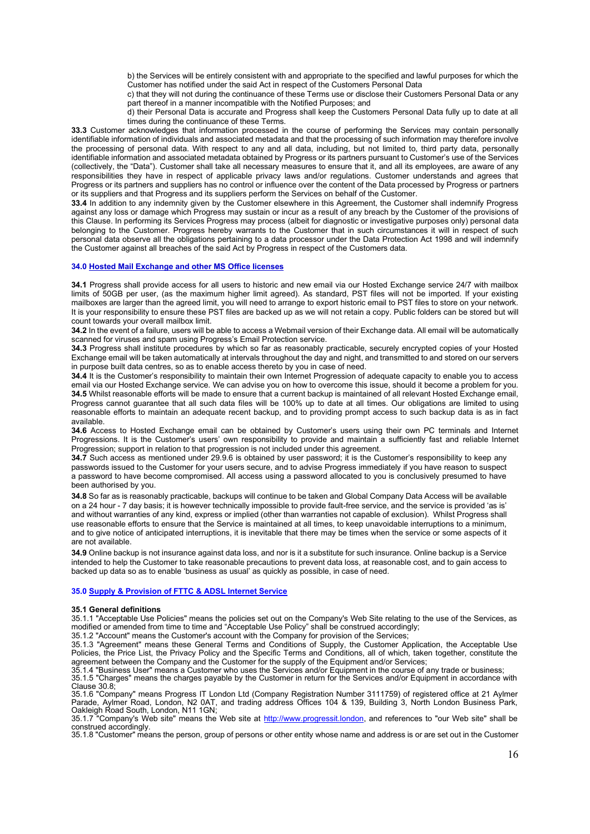b) the Services will be entirely consistent with and appropriate to the specified and lawful purposes for which the Customer has notified under the said Act in respect of the Customers Personal Data

c) that they will not during the continuance of these Terms use or disclose their Customers Personal Data or any part thereof in a manner incompatible with the Notified Purposes; and

d) their Personal Data is accurate and Progress shall keep the Customers Personal Data fully up to date at all times during the continuance of these Terms.

**33.3** Customer acknowledges that information processed in the course of performing the Services may contain personally identifiable information of individuals and associated metadata and that the processing of such information may therefore involve the processing of personal data. With respect to any and all data, including, but not limited to, third party data, personally identifiable information and associated metadata obtained by Progress or its partners pursuant to Customer's use of the Services (collectively, the "Data"). Customer shall take all necessary measures to ensure that it, and all its employees, are aware of any responsibilities they have in respect of applicable privacy laws and/or regulations. Customer understands and agrees that Progress or its partners and suppliers has no control or influence over the content of the Data processed by Progress or partners or its suppliers and that Progress and its suppliers perform the Services on behalf of the Customer.

**33.4** In addition to any indemnity given by the Customer elsewhere in this Agreement, the Customer shall indemnify Progress against any loss or damage which Progress may sustain or incur as a result of any breach by the Customer of the provisions of this Clause. In performing its Services Progress may process (albeit for diagnostic or investigative purposes only) personal data belonging to the Customer. Progress hereby warrants to the Customer that in such circumstances it will in respect of such personal data observe all the obligations pertaining to a data processor under the Data Protection Act 1998 and will indemnify the Customer against all breaches of the said Act by Progress in respect of the Customers data.

## **34.0 Hosted Mail Exchange and other MS Office licenses**

**34.1** Progress shall provide access for all users to historic and new email via our Hosted Exchange service 24/7 with mailbox limits of 50GB per user, (as the maximum higher limit agreed). As standard, PST files will not be imported. If your existing mailboxes are larger than the agreed limit, you will need to arrange to export historic email to PST files to store on your network. It is your responsibility to ensure these PST files are backed up as we will not retain a copy. Public folders can be stored but will count towards your overall mailbox limit.

**34.2** In the event of a failure, users will be able to access a Webmail version of their Exchange data. All email will be automatically scanned for viruses and spam using Progress's Email Protection service.

**34.3** Progress shall institute procedures by which so far as reasonably practicable, securely encrypted copies of your Hosted Exchange email will be taken automatically at intervals throughout the day and night, and transmitted to and stored on our servers in purpose built data centres, so as to enable access thereto by you in case of need.

**34.4** It is the Customer's responsibility to maintain their own Internet Progression of adequate capacity to enable you to access email via our Hosted Exchange service. We can advise you on how to overcome this issue, should it become a problem for you. **34.5** Whilst reasonable efforts will be made to ensure that a current backup is maintained of all relevant Hosted Exchange email, Progress cannot guarantee that all such data files will be 100% up to date at all times. Our obligations are limited to using reasonable efforts to maintain an adequate recent backup, and to providing prompt access to such backup data is as in fact available.

**34.6** Access to Hosted Exchange email can be obtained by Customer's users using their own PC terminals and Internet Progressions. It is the Customer's users' own responsibility to provide and maintain a sufficiently fast and reliable Internet Progression; support in relation to that progression is not included under this agreement.

**34.7** Such access as mentioned under 29.9.6 is obtained by user password; it is the Customer's responsibility to keep any passwords issued to the Customer for your users secure, and to advise Progress immediately if you have reason to suspect a password to have become compromised. All access using a password allocated to you is conclusively presumed to have been authorised by you.

**34.8** So far as is reasonably practicable, backups will continue to be taken and Global Company Data Access will be available on a 24 hour - 7 day basis; it is however technically impossible to provide fault-free service, and the service is provided 'as is' and without warranties of any kind, express or implied (other than warranties not capable of exclusion). Whilst Progress shall use reasonable efforts to ensure that the Service is maintained at all times, to keep unavoidable interruptions to a minimum, and to give notice of anticipated interruptions, it is inevitable that there may be times when the service or some aspects of it are not available.

**34.9** Online backup is not insurance against data loss, and nor is it a substitute for such insurance. Online backup is a Service intended to help the Customer to take reasonable precautions to prevent data loss, at reasonable cost, and to gain access to backed up data so as to enable 'business as usual' as quickly as possible, in case of need.

#### **35.0 Supply & Provision of FTTC & ADSL Internet Service**

#### **35.1 General definitions**

35.1.1 "Acceptable Use Policies" means the policies set out on the Company's Web Site relating to the use of the Services, as modified or amended from time to time and "Acceptable Use Policy" shall be construed accordingly;

35.1.2 "Account" means the Customer's account with the Company for provision of the Services;

35.1.3 "Agreement" means these General Terms and Conditions of Supply, the Customer Application, the Acceptable Use Policies, the Price List, the Privacy Policy and the Specific Terms and Conditions, all of which, taken together, constitute the agreement between the Company and the Customer for the supply of the Equipment and/or Services;

35.1.4 "Business User" means a Customer who uses the Services and/or Equipment in the course of any trade or business;

35.1.5 "Charges" means the charges payable by the Customer in return for the Services and/or Equipment in accordance with Clause 30.8;

35.1.6 "Company" means Progress IT London Ltd (Company Registration Number 3111759) of registered office at 21 Aylmer Parade, Aylmer Road, London, N2 0AT, and trading address Offices 104 & 139, Building 3, North London Business Park, Oakleigh Road South, London, N11 1GN;

35.1.7 "Company's Web site" means the Web site at [http://www.progressit.london,](http://www.progressit.london/) and references to "our Web site" shall be construed accordingly.

35.1.8 "Customer" means the person, group of persons or other entity whose name and address is or are set out in the Customer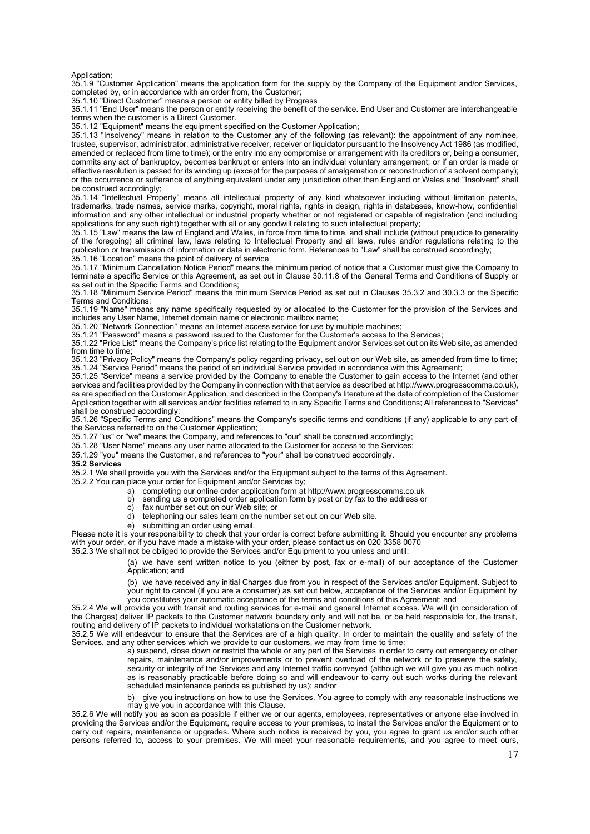Application;

35.1.9 "Customer Application" means the application form for the supply by the Company of the Equipment and/or Services, completed by, or in accordance with an order from, the Customer;

35.1.10 "Direct Customer" means a person or entity billed by Progress

35.1.11 "End User" means the person or entity receiving the benefit of the service. End User and Customer are interchangeable terms when the customer is a Direct Customer.

35.1.12 "Equipment" means the equipment specified on the Customer Application;

35.1.13 "Insolvency" means in relation to the Customer any of the following (as relevant): the appointment of any nominee, trustee, supervisor, administrator, administrative receiver, receiver or liquidator pursuant to the Insolvency Act 1986 (as modified, amended or replaced from time to time); or the entry into any compromise or arrangement with its creditors or, being a consumer, commits any act of bankruptcy, becomes bankrupt or enters into an individual voluntary arrangement; or if an order is made or effective resolution is passed for its winding up (except for the purposes of amalgamation or reconstruction of a solvent company); or the occurrence or sufferance of anything equivalent under any jurisdiction other than England or Wales and "Insolvent" shall be construed accordingly;

35.1.14 "Intellectual Property" means all intellectual property of any kind whatsoever including without limitation patents, trademarks, trade names, service marks, copyright, moral rights, rights in design, rights in databases, know-how, confidential information and any other intellectual or industrial property whether or not registered or capable of registration (and including applications for any such right) together with all or any goodwill relating to such intellectual property;

35.1.15 "Law" means the law of England and Wales, in force from time to time, and shall include (without prejudice to generality of the foregoing) all criminal law, laws relating to Intellectual Property and all laws, rules and/or regulations relating to the publication or transmission of information or data in electronic form. References to "Law" shall be construed accordingly; 35.1.16 "Location" means the point of delivery of service

35.1.17 "Minimum Cancellation Notice Period" means the minimum period of notice that a Customer must give the Company to terminate a specific Service or this Agreement, as set out in Clause 30.11.8 of the General Terms and Conditions of Supply or as set out in the Specific Terms and Conditions;

35.1.18 "Minimum Service Period" means the minimum Service Period as set out in Clauses 35.3.2 and 30.3.3 or the Specific Terms and Conditions;

35.1.19 "Name" means any name specifically requested by or allocated to the Customer for the provision of the Services and includes any User Name, Internet domain name or electronic mailbox name;

35.1.20 "Network Connection" means an Internet access service for use by multiple machines;

35.1.21 "Password" means a password issued to the Customer for the Customer's access to the Services;

35.1.22 "Price List" means the Company's price list relating to the Equipment and/or Services set out on its Web site, as amended from time to time:

35.1.23 "Privacy Policy" means the Company's policy regarding privacy, set out on our Web site, as amended from time to time; 35.1.24 "Service Period" means the period of an individual Service provided in accordance with this Agreement;

35.1.25 "Service" means a service provided by the Company to enable the Customer to gain access to the Internet (and other services and facilities provided by the Company in connection with that service as described at http://www.progresscomms.co.uk), as are specified on the Customer Application, and described in the Company's literature at the date of completion of the Customer Application together with all services and/or facilities referred to in any Specific Terms and Conditions; All references to "Services" shall be construed accordingly;

35.1.26 "Specific Terms and Conditions" means the Company's specific terms and conditions (if any) applicable to any part of the Services referred to on the Customer Application;

35.1.27 "us" or "we" means the Company, and references to "our" shall be construed accordingly;

35.1.28 "User Name" means any user name allocated to the Customer for access to the Services;

35.1.29 "you" means the Customer, and references to "your" shall be construed accordingly.

#### **35.2 Services**

35.2.1 We shall provide you with the Services and/or the Equipment subject to the terms of this Agreement.

- 35.2.2 You can place your order for Equipment and/or Services by;
	- a) completing our online order application form at http://www.progresscomms.co.uk
	- b) sending us a completed order application form by post or by fax to the address or c) fax number set out on our Web site: or
	- fax number set out on our Web site; or
	- d) telephoning our sales team on the number set out on our Web site.
	- e) submitting an order using email.

Please note it is your responsibility to check that your order is correct before submitting it. Should you encounter any problems with your order, or if you have made a mistake with your order, please contact us on 020 3358 0070 35.2.3 We shall not be obliged to provide the Services and/or Equipment to you unless and until:

(a) we have sent written notice to you (either by post, fax or e-mail) of our acceptance of the Customer

Application: and

(b) we have received any initial Charges due from you in respect of the Services and/or Equipment. Subject to your right to cancel (if you are a consumer) as set out below, acceptance of the Services and/or Equipment by you constitutes your automatic acceptance of the terms and conditions of this Agreement; and

35.2.4 We will provide you with transit and routing services for e-mail and general Internet access. We will (in consideration of the Charges) deliver IP packets to the Customer network boundary only and will not be, or be held responsible for, the transit, routing and delivery of IP packets to individual workstations on the Customer network.

35.2.5 We will endeavour to ensure that the Services are of a high quality. In order to maintain the quality and safety of the Services, and any other services which we provide to our customers, we may from time to time:

a) suspend, close down or restrict the whole or any part of the Services in order to carry out emergency or other repairs, maintenance and/or improvements or to prevent overload of the network or to preserve the safety, security or integrity of the Services and any Internet traffic conveyed (although we will give you as much notice as is reasonably practicable before doing so and will endeavour to carry out such works during the relevant scheduled maintenance periods as published by us); and/or

b) give you instructions on how to use the Services. You agree to comply with any reasonable instructions we may give you in accordance with this Clause.

35.2.6 We will notify you as soon as possible if either we or our agents, employees, representatives or anyone else involved in providing the Services and/or the Equipment, require access to your premises, to install the Services and/or the Equipment or to carry out repairs, maintenance or upgrades. Where such notice is received by you, you agree to grant us and/or such other persons referred to, access to your premises. We will meet your reasonable requirements, and you agree to meet ours,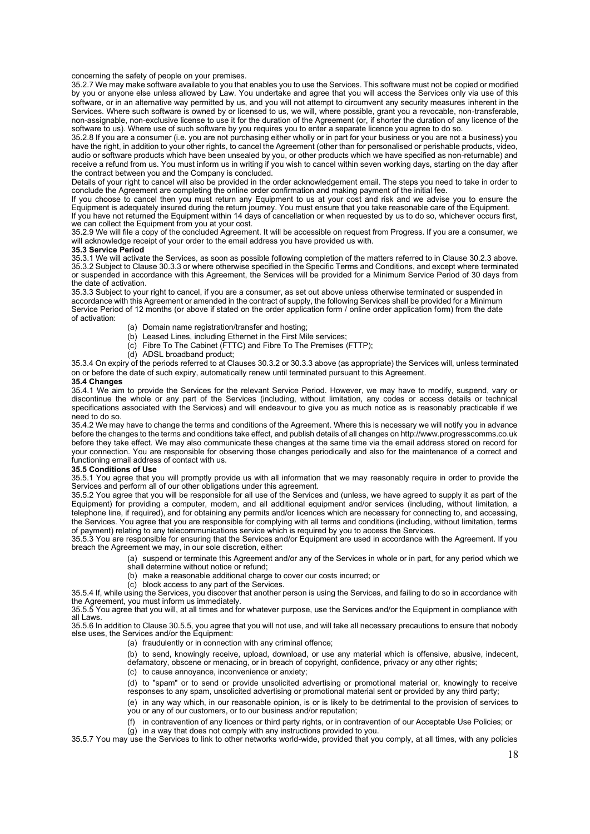concerning the safety of people on your premises.

35.2.7 We may make software available to you that enables you to use the Services. This software must not be copied or modified by you or anyone else unless allowed by Law. You undertake and agree that you will access the Services only via use of this software, or in an alternative way permitted by us, and you will not attempt to circumvent any security measures inherent in the Services. Where such software is owned by or licensed to us, we will, where possible, grant you a revocable, non-transferable, non-assignable, non-exclusive license to use it for the duration of the Agreement (or, if shorter the duration of any licence of the software to us). Where use of such software by you requires you to enter a separate licence you agree to do so.

35.2.8 If you are a consumer (i.e. you are not purchasing either wholly or in part for your business or you are not a business) you have the right, in addition to your other rights, to cancel the Agreement (other than for personalised or perishable products, video, audio or software products which have been unsealed by you, or other products which we have specified as non-returnable) and receive a refund from us. You must inform us in writing if you wish to cancel within seven working days, starting on the day after the contract between you and the Company is concluded.

Details of your right to cancel will also be provided in the order acknowledgement email. The steps you need to take in order to conclude the Agreement are completing the online order confirmation and making payment of the initial fee.

If you choose to cancel then you must return any Equipment to us at your cost and risk and we advise you to ensure the Equipment is adequately insured during the return journey. You must ensure that you take reasonable care of the Equipment. If you have not returned the Equipment within 14 days of cancellation or when requested by us to do so, whichever occurs first, we can collect the Equipment from you at your cost.

35.2.9 We will file a copy of the concluded Agreement. It will be accessible on request from Progress. If you are a consumer, we will acknowledge receipt of your order to the email address you have provided us with.

#### **35.3 Service Period**

35.3.1 We will activate the Services, as soon as possible following completion of the matters referred to in Clause 30.2.3 above. 35.3.2 Subject to Clause 30.3.3 or where otherwise specified in the Specific Terms and Conditions, and except where terminated or suspended in accordance with this Agreement, the Services will be provided for a Minimum Service Period of 30 days from the date of activation.

35.3.3 Subject to your right to cancel, if you are a consumer, as set out above unless otherwise terminated or suspended in accordance with this Agreement or amended in the contract of supply, the following Services shall be provided for a Minimum Service Period of 12 months (or above if stated on the order application form / online order application form) from the date of activation:

- (a) Domain name registration/transfer and hosting;
- (b) Leased Lines, including Ethernet in the First Mile services;
- (c) Fibre To The Cabinet (FTTC) and Fibre To The Premises (FTTP);
- (d) ADSL broadband product;

35.3.4 On expiry of the periods referred to at Clauses 30.3.2 or 30.3.3 above (as appropriate) the Services will, unless terminated on or before the date of such expiry, automatically renew until terminated pursuant to this Agreement.

## **35.4 Changes**

35.4.1 We aim to provide the Services for the relevant Service Period. However, we may have to modify, suspend, vary or discontinue the whole or any part of the Services (including, without limitation, any codes or access details or technical specifications associated with the Services) and will endeavour to give you as much notice as is reasonably practicable if we need to do so.

35.4.2 We may have to change the terms and conditions of the Agreement. Where this is necessary we will notify you in advance before the changes to the terms and conditions take effect, and publish details of all changes on http://www.progresscomms.co.uk before they take effect. We may also communicate these changes at the same time via the email address stored on record for your connection. You are responsible for observing those changes periodically and also for the maintenance of a correct and functioning email address of contact with us.

## **35.5 Conditions of Use**

35.5.1 You agree that you will promptly provide us with all information that we may reasonably require in order to provide the Services and perform all of our other obligations under this agreement.

35.5.2 You agree that you will be responsible for all use of the Services and (unless, we have agreed to supply it as part of the Equipment) for providing a computer, modem, and all additional equipment and/or services (including, without limitation, a telephone line, if required), and for obtaining any permits and/or licences which are necessary for connecting to, and accessing, the Services. You agree that you are responsible for complying with all terms and conditions (including, without limitation, terms of payment) relating to any telecommunications service which is required by you to access the Services.

35.5.3 You are responsible for ensuring that the Services and/or Equipment are used in accordance with the Agreement. If you breach the Agreement we may, in our sole discretion, either:

> (a) suspend or terminate this Agreement and/or any of the Services in whole or in part, for any period which we shall determine without notice or refund;

- (b) make a reasonable additional charge to cover our costs incurred; or
- (c) block access to any part of the Services.

35.5.4 If, while using the Services, you discover that another person is using the Services, and failing to do so in accordance with the Agreement, you must inform us immediately.

35.5.5 You agree that you will, at all times and for whatever purpose, use the Services and/or the Equipment in compliance with all Laws.

35.5.6 In addition to Clause 30.5.5, you agree that you will not use, and will take all necessary precautions to ensure that nobody else uses, the Services and/or the Equipment:

(a) fraudulently or in connection with any criminal offence;

(b) to send, knowingly receive, upload, download, or use any material which is offensive, abusive, indecent, defamatory, obscene or menacing, or in breach of copyright, confidence, privacy or any other rights;

(c) to cause annoyance, inconvenience or anxiety;

(d) to "spam" or to send or provide unsolicited advertising or promotional material or, knowingly to receive responses to any spam, unsolicited advertising or promotional material sent or provided by any third party;

(e) in any way which, in our reasonable opinion, is or is likely to be detrimental to the provision of services to you or any of our customers, or to our business and/or reputation;

(f) in contravention of any licences or third party rights, or in contravention of our Acceptable Use Policies; or

 $(q)$  in a way that does not comply with any instructions provided to you.

35.5.7 You may use the Services to link to other networks world-wide, provided that you comply, at all times, with any policies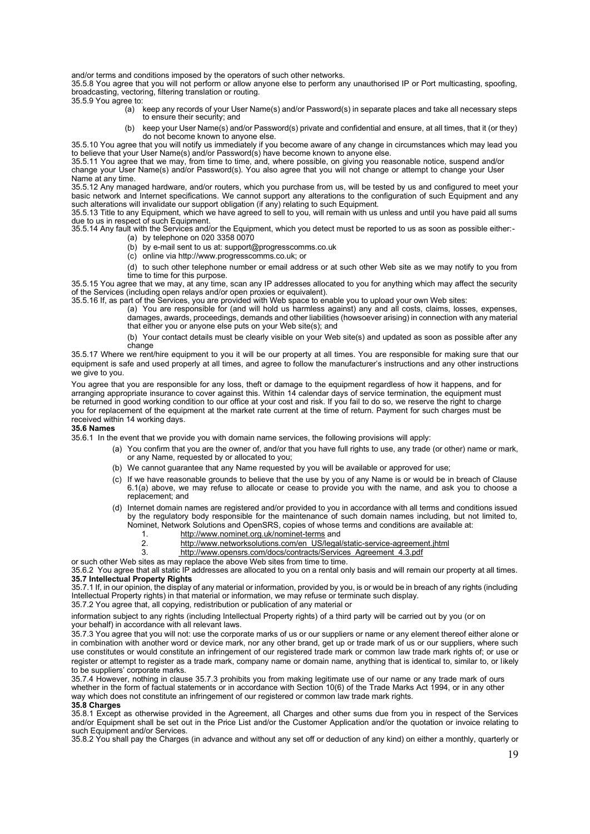and/or terms and conditions imposed by the operators of such other networks.

35.5.8 You agree that you will not perform or allow anyone else to perform any unauthorised IP or Port multicasting, spoofing, broadcasting, vectoring, filtering translation or routing.

35.5.9 You agree to:

- (a) keep any records of your User Name(s) and/or Password(s) in separate places and take all necessary steps to ensure their security; and
- (b) keep your User Name(s) and/or Password(s) private and confidential and ensure, at all times, that it (or they) do not become known to anyone else.

35.5.10 You agree that you will notify us immediately if you become aware of any change in circumstances which may lead you to believe that your User Name(s) and/or Password(s) have become known to anyone else. 35.5.11 You agree that we may, from time to time, and, where possible, on giving you reasonable notice, suspend and/or

change your User Name(s) and/or Password(s). You also agree that you will not change or attempt to change your User Name at any time.

35.5.12 Any managed hardware, and/or routers, which you purchase from us, will be tested by us and configured to meet your basic network and Internet specifications. We cannot support any alterations to the configuration of such Equipment and any such alterations will invalidate our support obligation (if any) relating to such Equipment.

35.5.13 Title to any Equipment, which we have agreed to sell to you, will remain with us unless and until you have paid all sums due to us in respect of such Equipment.

35.5.14 Any fault with the Services and/or the Equipment, which you detect must be reported to us as soon as possible either:- (a) by telephone on  $020$  3358  $0070$ 

- (b) by e-mail sent to us at: support@progresscomms.co.uk
- (c) online via http://www.progresscomms.co.uk; or

(d) to such other telephone number or email address or at such other Web site as we may notify to you from time to time for this purpose.

35.5.15 You agree that we may, at any time, scan any IP addresses allocated to you for anything which may affect the security of the Services (including open relays and/or open proxies or equivalent).

35.5.16 If, as part of the Services, you are provided with Web space to enable you to upload your own Web sites:

(a) You are responsible for (and will hold us harmless against) any and all costs, claims, losses, expenses, damages, awards, proceedings, demands and other liabilities (howsoever arising) in connection with any material that either you or anyone else puts on your Web site(s); and

(b) Your contact details must be clearly visible on your Web site(s) and updated as soon as possible after any change

35.5.17 Where we rent/hire equipment to you it will be our property at all times. You are responsible for making sure that our equipment is safe and used properly at all times, and agree to follow the manufacturer's instructions and any other instructions we give to you.

You agree that you are responsible for any loss, theft or damage to the equipment regardless of how it happens, and for arranging appropriate insurance to cover against this. Within 14 calendar days of service termination, the equipment must be returned in good working condition to our office at your cost and risk. If you fail to do so, we reserve the right to charge you for replacement of the equipment at the market rate current at the time of return. Payment for such charges must be received within 14 working days.

### **35.6 Names**

35.6.1 In the event that we provide you with domain name services, the following provisions will apply:

- (a) You confirm that you are the owner of, and/or that you have full rights to use, any trade (or other) name or mark, or any Name, requested by or allocated to you;
- (b) We cannot guarantee that any Name requested by you will be available or approved for use;
- (c) If we have reasonable grounds to believe that the use by you of any Name is or would be in breach of Clause 6.1(a) above, we may refuse to allocate or cease to provide you with the name, and ask you to choose a replacement; and
- (d) Internet domain names are registered and/or provided to you in accordance with all terms and conditions issued by the regulatory body responsible for the maintenance of such domain names including, but not limited to, Nominet, Network Solutions and OpenSRS, copies of whose terms and conditions are available at:
	-
	- 1. <http://www.nominet.org.uk/nominet-terms> and<br>2 http://www.networksolutions.com/en\_US/legal http://www.networksolutions.com/en\_US/legal/static-service-agreement.jhtml
	- 3. http://www.opensrs.com/docs/contracts/Services\_Agreement\_4.3.pdf

or such other Web sites as may replace the above Web sites from time to time.

35.6.2 You agree that all static IP addresses are allocated to you on a rental only basis and will remain our property at all times. **35.7 Intellectual Property Rights**

35.7.1 If, in our opinion, the display of any material or information, provided by you, is or would be in breach of any rights (including Intellectual Property rights) in that material or information, we may refuse or terminate such display.

35.7.2 You agree that, all copying, redistribution or publication of any material or

information subject to any rights (including Intellectual Property rights) of a third party will be carried out by you (or on your behalf) in accordance with all relevant laws.

35.7.3 You agree that you will not: use the corporate marks of us or our suppliers or name or any element thereof either alone or in combination with another word or device mark, nor any other brand, get up or trade mark of us or our suppliers, where such use constitutes or would constitute an infringement of our registered trade mark or common law trade mark rights of; or use or register or attempt to register as a trade mark, company name or domain name, anything that is identical to, similar to, or likely to be suppliers' corporate marks.

35.7.4 However, nothing in clause 35.7.3 prohibits you from making legitimate use of our name or any trade mark of ours whether in the form of factual statements or in accordance with Section 10(6) of the Trade Marks Act 1994, or in any other way which does not constitute an infringement of our registered or common law trade mark rights.

#### **35.8 Charges**

35.8.1 Except as otherwise provided in the Agreement, all Charges and other sums due from you in respect of the Services and/or Equipment shall be set out in the Price List and/or the Customer Application and/or the quotation or invoice relating to such Equipment and/or Services.

35.8.2 You shall pay the Charges (in advance and without any set off or deduction of any kind) on either a monthly, quarterly or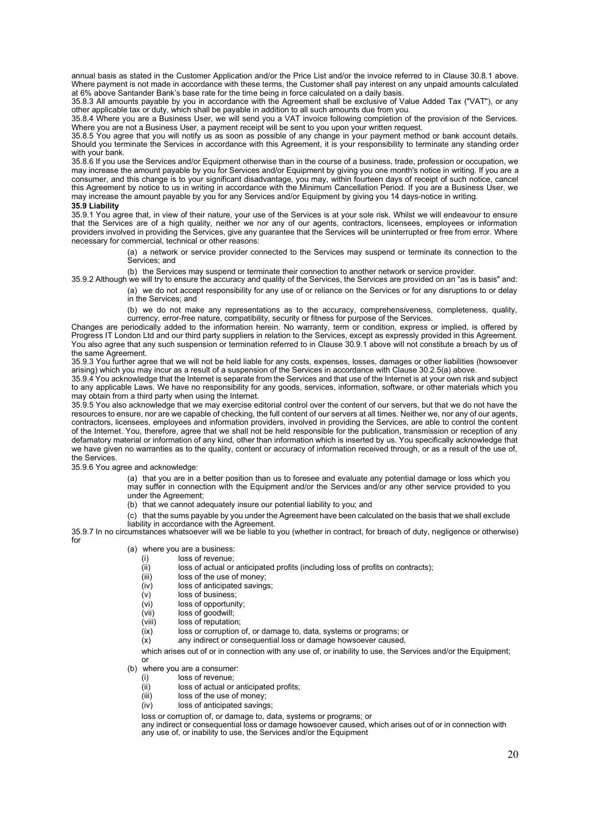annual basis as stated in the Customer Application and/or the Price List and/or the invoice referred to in Clause 30.8.1 above. Where payment is not made in accordance with these terms, the Customer shall pay interest on any unpaid amounts calculated at 6% above Santander Bank's base rate for the time being in force calculated on a daily basis.

35.8.3 All amounts payable by you in accordance with the Agreement shall be exclusive of Value Added Tax ("VAT"), or any other applicable tax or duty, which shall be payable in addition to all such amounts due from you.

35.8.4 Where you are a Business User, we will send you a VAT invoice following completion of the provision of the Services. Where you are not a Business User, a payment receipt will be sent to you upon your written request.

35.8.5 You agree that you will notify us as soon as possible of any change in your payment method or bank account details. Should you terminate the Services in accordance with this Agreement, it is your responsibility to terminate any standing order with your bank.

35.8.6 If you use the Services and/or Equipment otherwise than in the course of a business, trade, profession or occupation, we may increase the amount payable by you for Services and/or Equipment by giving you one month's notice in writing. If you are a consumer, and this change is to your significant disadvantage, you may, within fourteen days of receipt of such notice, cancel this Agreement by notice to us in writing in accordance with the Minimum Cancellation Period. If you are a Business User, we may increase the amount payable by you for any Services and/or Equipment by giving you 14 days-notice in writing.

## **35.9 Liability**

35.9.1 You agree that, in view of their nature, your use of the Services is at your sole risk. Whilst we will endeavour to ensure that the Services are of a high quality, neither we nor any of our agents, contractors, licensees, employees or information providers involved in providing the Services, give any guarantee that the Services will be uninterrupted or free from error. Where necessary for commercial, technical or other reasons:

> (a) a network or service provider connected to the Services may suspend or terminate its connection to the Services; and

(b) the Services may suspend or terminate their connection to another network or service provider.

35.9.2 Although we will try to ensure the accuracy and quality of the Services, the Services are provided on an "as is basis" and:

(a) we do not accept responsibility for any use of or reliance on the Services or for any disruptions to or delay in the Services; and

(b) we do not make any representations as to the accuracy, comprehensiveness, completeness, quality, currency, error-free nature, compatibility, security or fitness for purpose of the Services.

Changes are periodically added to the information herein. No warranty, term or condition, express or implied, is offered by Progress IT London Ltd and our third party suppliers in relation to the Services, except as expressly provided in this Agreement. You also agree that any such suspension or termination referred to in Clause 30.9.1 above will not constitute a breach by us of the same Agreement.

35.9.3 You further agree that we will not be held liable for any costs, expenses, losses, damages or other liabilities (howsoever arising) which you may incur as a result of a suspension of the Services in accordance with Clause 30.2.5(a) above.

35.9.4 You acknowledge that the Internet is separate from the Services and that use of the Internet is at your own risk and subject to any applicable Laws. We have no responsibility for any goods, services, information, software, or other materials which you may obtain from a third party when using the Internet.

35.9.5 You also acknowledge that we may exercise editorial control over the content of our servers, but that we do not have the resources to ensure, nor are we capable of checking, the full content of our servers at all times. Neither we, nor any of our agents, contractors, licensees, employees and information providers, involved in providing the Services, are able to control the content of the Internet. You, therefore, agree that we shall not be held responsible for the publication, transmission or reception of any defamatory material or information of any kind, other than information which is inserted by us. You specifically acknowledge that we have given no warranties as to the quality, content or accuracy of information received through, or as a result of the use of, the Services.

35.9.6 You agree and acknowledge:

(a) that you are in a better position than us to foresee and evaluate any potential damage or loss which you may suffer in connection with the Equipment and/or the Services and/or any other service provided to you under the Agreement;

(b) that we cannot adequately insure our potential liability to you; and

(c) that the sums payable by you under the Agreement have been calculated on the basis that we shall exclude liability in accordance with the Agreement.

35.9.7 In no circumstances whatsoever will we be liable to you (whether in contract, for breach of duty, negligence or otherwise) for

- (a) where you are a business:<br>(i) loss of revenue;
	- loss of revenue;
	- $(iii)$  loss of actual or anticipated profits (including loss of profits on contracts);
	- (iii) loss of the use of money;
	- (iv) loss of anticipated savings;
	- (v) loss of business;<br>(vi) loss of opportuni
	- loss of opportunity;
	- (vii) loss of goodwill;<br>(viii) loss of reputation
	- loss of reputation;
	- (ix) loss or corruption of, or damage to, data, systems or programs; or

(x) any indirect or consequential loss or damage howsoever caused,

which arises out of or in connection with any use of, or inability to use, the Services and/or the Equipment;

#### (b) where you are a consumer:

or

- (i) loss of revenue;
- (ii) loss of actual or anticipated profits;
- (iii) loss of the use of money;
- (iv) loss of anticipated savings;

loss or corruption of, or damage to, data, systems or programs; or

any indirect or consequential loss or damage howsoever caused, which arises out of or in connection with any use of, or inability to use, the Services and/or the Equipment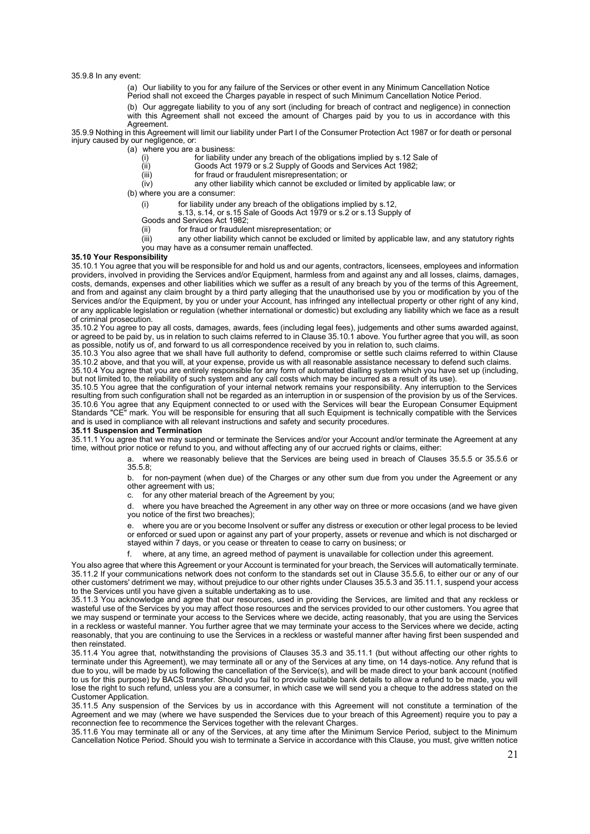35.9.8 In any event:

- (a) Our liability to you for any failure of the Services or other event in any Minimum Cancellation Notice
- Period shall not exceed the Charges payable in respect of such Minimum Cancellation Notice Period.
- (b) Our aggregate liability to you of any sort (including for breach of contract and negligence) in connection
- with this Agreement shall not exceed the amount of Charges paid by you to us in accordance with this Agreement.

35.9.9 Nothing in this Agreement will limit our liability under Part I of the Consumer Protection Act 1987 or for death or personal injury caused by our negligence, or:

- (a) where you are a business:<br>
(i) for liability u<br>
(ii) Goods Act
	- for liability under any breach of the obligations implied by s.12 Sale of
	- (ii) Goods Act 1979 or s.2 Supply of Goods and Services Act 1982;
	- (iii) for fraud or fraudulent misrepresentation; or<br>(iv) any other liability which cannot be excluded
		- any other liability which cannot be excluded or limited by applicable law; or

(b) where you are a consumer:

- (i) for liability under any breach of the obligations implied by s.12,
- s.13, s.14, or s.15 Sale of Goods Act 1979 or s.2 or s.13 Supply of
- Goods and Services Act 1982;
- (ii) for fraud or fraudulent misrepresentation; or
- (iii) any other liability which cannot be excluded or limited by applicable law, and any statutory rights
	- you may have as a consumer remain unaffected.

## **35.10 Your Responsibility**

35.10.1 You agree that you will be responsible for and hold us and our agents, contractors, licensees, employees and information providers, involved in providing the Services and/or Equipment, harmless from and against any and all losses, claims, damages, costs, demands, expenses and other liabilities which we suffer as a result of any breach by you of the terms of this Agreement, and from and against any claim brought by a third party alleging that the unauthorised use by you or modification by you of the Services and/or the Equipment, by you or under your Account, has infringed any intellectual property or other right of any kind, or any applicable legislation or regulation (whether international or domestic) but excluding any liability which we face as a result of criminal prosecution.

35.10.2 You agree to pay all costs, damages, awards, fees (including legal fees), judgements and other sums awarded against, or agreed to be paid by, us in relation to such claims referred to in Clause 35.10.1 above. You further agree that you will, as soon as possible, notify us of, and forward to us all correspondence received by you in relation to, such claims.

35.10.3 You also agree that we shall have full authority to defend, compromise or settle such claims referred to within Clause 35.10.2 above, and that you will, at your expense, provide us with all reasonable assistance necessary to defend such claims. 35.10.4 You agree that you are entirely responsible for any form of automated dialling system which you have set up (including,

but not limited to, the reliability of such system and any call costs which may be incurred as a result of its use). 35.10.5 You agree that the configuration of your internal network remains your responsibility. Any interruption to the Services resulting from such configuration shall not be regarded as an interruption in or suspension of the provision by us of the Services. 35.10.6 You agree that any Equipment connected to or used with the Services will bear the European Consumer Equipment Standards "CE" mark. You will be responsible for ensuring that all such Equipment is technically compatible with the Services

and is used in compliance with all relevant instructions and safety and security procedures.

## **35.11 Suspension and Termination**

35.11.1 You agree that we may suspend or terminate the Services and/or your Account and/or terminate the Agreement at any time, without prior notice or refund to you, and without affecting any of our accrued rights or claims, either:

> a. where we reasonably believe that the Services are being used in breach of Clauses 35.5.5 or 35.5.6 or 35.5.8;

> b. for non-payment (when due) of the Charges or any other sum due from you under the Agreement or any other agreement with us:

c. for any other material breach of the Agreement by you;

d. where you have breached the Agreement in any other way on three or more occasions (and we have given you notice of the first two breaches);

e. where you are or you become Insolvent or suffer any distress or execution or other legal process to be levied or enforced or sued upon or against any part of your property, assets or revenue and which is not discharged or stayed within 7 days, or you cease or threaten to cease to carry on business; or

where, at any time, an agreed method of payment is unavailable for collection under this agreement.

You also agree that where this Agreement or your Account is terminated for your breach, the Services will automatically terminate. 35.11.2 If your communications network does not conform to the standards set out in Clause 35.5.6, to either our or any of our other customers' detriment we may, without prejudice to our other rights under Clauses 35.5.3 and 35.11.1, suspend your access to the Services until you have given a suitable undertaking as to use.

35.11.3 You acknowledge and agree that our resources, used in providing the Services, are limited and that any reckless or wasteful use of the Services by you may affect those resources and the services provided to our other customers. You agree that we may suspend or terminate your access to the Services where we decide, acting reasonably, that you are using the Services in a reckless or wasteful manner. You further agree that we may terminate your access to the Services where we decide, acting reasonably, that you are continuing to use the Services in a reckless or wasteful manner after having first been suspended and then reinstated.

35.11.4 You agree that, notwithstanding the provisions of Clauses 35.3 and 35.11.1 (but without affecting our other rights to terminate under this Agreement), we may terminate all or any of the Services at any time, on 14 days-notice. Any refund that is due to you, will be made by us following the cancellation of the Service(s), and will be made direct to your bank account (notified to us for this purpose) by BACS transfer. Should you fail to provide suitable bank details to allow a refund to be made, you will lose the right to such refund, unless you are a consumer, in which case we will send you a cheque to the address stated on the Customer Application.

35.11.5 Any suspension of the Services by us in accordance with this Agreement will not constitute a termination of the Agreement and we may (where we have suspended the Services due to your breach of this Agreement) require you to pay a reconnection fee to recommence the Services together with the relevant Charges.

35.11.6 You may terminate all or any of the Services, at any time after the Minimum Service Period, subject to the Minimum Cancellation Notice Period. Should you wish to terminate a Service in accordance with this Clause, you must, give written notice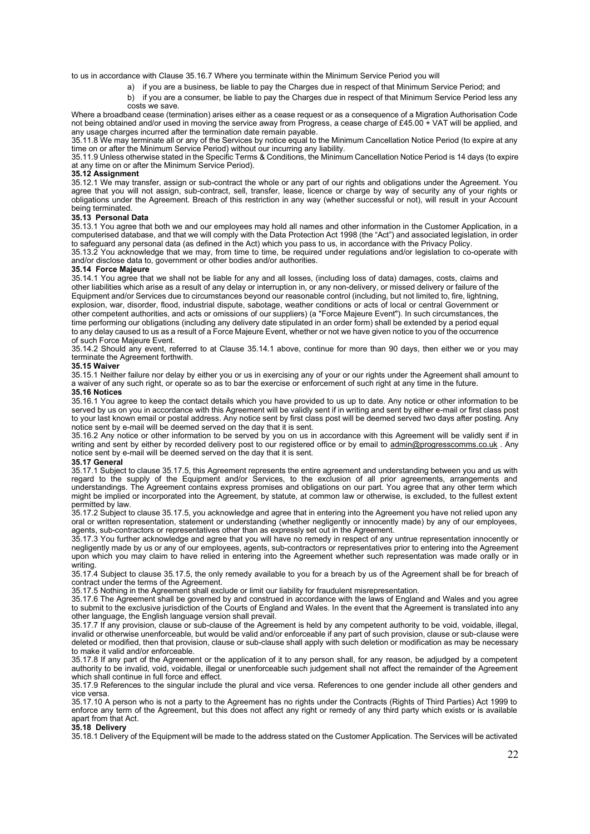to us in accordance with Clause 35.16.7 Where you terminate within the Minimum Service Period you will

- a) if you are a business, be liable to pay the Charges due in respect of that Minimum Service Period; and
- b) if you are a consumer, be liable to pay the Charges due in respect of that Minimum Service Period less any costs we save.

Where a broadband cease (termination) arises either as a cease request or as a consequence of a Migration Authorisation Code not being obtained and/or used in moving the service away from Progress, a cease charge of £45.00 + VAT will be applied, and any usage charges incurred after the termination date remain payable.

35.11.8 We may terminate all or any of the Services by notice equal to the Minimum Cancellation Notice Period (to expire at any time on or after the Minimum Service Period) without our incurring any liability

35.11.9 Unless otherwise stated in the Specific Terms & Conditions, the Minimum Cancellation Notice Period is 14 days (to expire at any time on or after the Minimum Service Period).

### **35.12 Assignment**

35.12.1 We may transfer, assign or sub-contract the whole or any part of our rights and obligations under the Agreement. You agree that you will not assign, sub-contract, sell, transfer, lease, licence or charge by way of security any of your rights or obligations under the Agreement. Breach of this restriction in any way (whether successful or not), will result in your Account being terminated.

#### **35.13 Personal Data**

35.13.1 You agree that both we and our employees may hold all names and other information in the Customer Application, in a computerised database, and that we will comply with the Data Protection Act 1998 (the "Act") and associated legislation, in order to safeguard any personal data (as defined in the Act) which you pass to us, in accordance with the Privacy Policy.

35.13.2 You acknowledge that we may, from time to time, be required under regulations and/or legislation to co-operate with and/or disclose data to, government or other bodies and/or authorities.

#### **35.14 Force Majeure**

35.14.1 You agree that we shall not be liable for any and all losses, (including loss of data) damages, costs, claims and other liabilities which arise as a result of any delay or interruption in, or any non-delivery, or missed delivery or failure of the Equipment and/or Services due to circumstances beyond our reasonable control (including, but not limited to, fire, lightning, explosion, war, disorder, flood, industrial dispute, sabotage, weather conditions or acts of local or central Government or other competent authorities, and acts or omissions of our suppliers) (a "Force Majeure Event"). In such circumstances, the time performing our obligations (including any delivery date stipulated in an order form) shall be extended by a period equal to any delay caused to us as a result of a Force Majeure Event, whether or not we have given notice to you of the occurrence of such Force Majeure Event.

35.14.2 Should any event, referred to at Clause 35.14.1 above, continue for more than 90 days, then either we or you may terminate the Agreement forthwith.

#### **35.15 Waiver**

35.15.1 Neither failure nor delay by either you or us in exercising any of your or our rights under the Agreement shall amount to a waiver of any such right, or operate so as to bar the exercise or enforcement of such right at any time in the future.

## **35.16 Notices**

35.16.1 You agree to keep the contact details which you have provided to us up to date. Any notice or other information to be served by us on you in accordance with this Agreement will be validly sent if in writing and sent by either e-mail or first class post to your last known email or postal address. Any notice sent by first class post will be deemed served two days after posting. Any notice sent by e-mail will be deemed served on the day that it is sent.

35.16.2 Any notice or other information to be served by you on us in accordance with this Agreement will be validly sent if in writing and sent by either by recorded delivery post to our registered office or by email to [admin@progresscomms.co.uk](mailto:admin@progresscomms.co.uk) . Any notice sent by e-mail will be deemed served on the day that it is sent.

#### **35.17 General**

35.17.1 Subject to clause 35.17.5, this Agreement represents the entire agreement and understanding between you and us with regard to the supply of the Equipment and/or Services, to the exclusion of all prior agreements, arrangements and understandings. The Agreement contains express promises and obligations on our part. You agree that any other term which might be implied or incorporated into the Agreement, by statute, at common law or otherwise, is excluded, to the fullest extent permitted by law.

35.17.2 Subject to clause 35.17.5, you acknowledge and agree that in entering into the Agreement you have not relied upon any oral or written representation, statement or understanding (whether negligently or innocently made) by any of our employees, agents, sub-contractors or representatives other than as expressly set out in the Agreement.

35.17.3 You further acknowledge and agree that you will have no remedy in respect of any untrue representation innocently or negligently made by us or any of our employees, agents, sub-contractors or representatives prior to entering into the Agreement upon which you may claim to have relied in entering into the Agreement whether such representation was made orally or in writing.

35.17.4 Subject to clause 35.17.5, the only remedy available to you for a breach by us of the Agreement shall be for breach of contract under the terms of the Agreement.

35.17.5 Nothing in the Agreement shall exclude or limit our liability for fraudulent misrepresentation.

35.17.6 The Agreement shall be governed by and construed in accordance with the laws of England and Wales and you agree to submit to the exclusive jurisdiction of the Courts of England and Wales. In the event that the Agreement is translated into any other language, the English language version shall prevail.

35.17.7 If any provision, clause or sub-clause of the Agreement is held by any competent authority to be void, voidable, illegal, invalid or otherwise unenforceable, but would be valid and/or enforceable if any part of such provision, clause or sub-clause were deleted or modified, then that provision, clause or sub-clause shall apply with such deletion or modification as may be necessary to make it valid and/or enforceable.

35.17.8 If any part of the Agreement or the application of it to any person shall, for any reason, be adjudged by a competent authority to be invalid, void, voidable, illegal or unenforceable such judgement shall not affect the remainder of the Agreement which shall continue in full force and effect.

35.17.9 References to the singular include the plural and vice versa. References to one gender include all other genders and vice versa.

35.17.10 A person who is not a party to the Agreement has no rights under the Contracts (Rights of Third Parties) Act 1999 to enforce any term of the Agreement, but this does not affect any right or remedy of any third party which exists or is available apart from that Act.

#### **35.18 Delivery**

35.18.1 Delivery of the Equipment will be made to the address stated on the Customer Application. The Services will be activated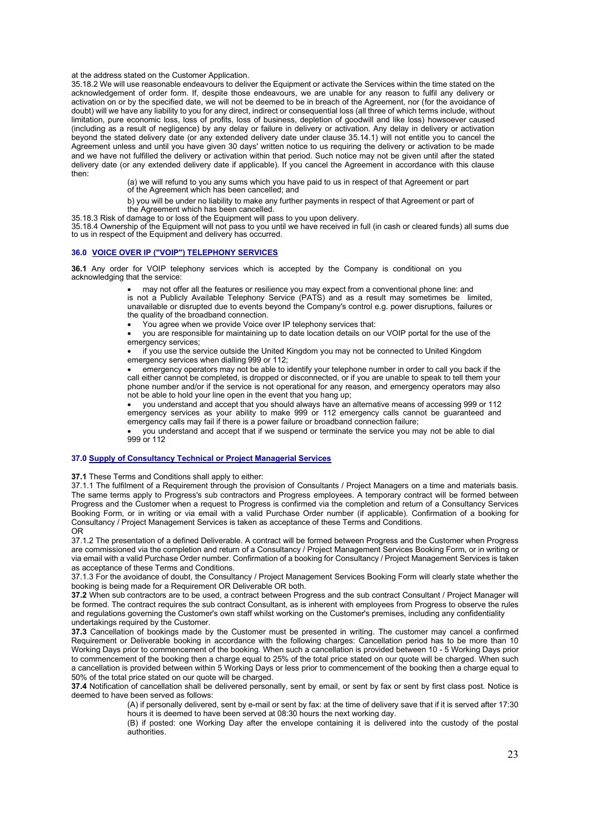#### at the address stated on the Customer Application.

35.18.2 We will use reasonable endeavours to deliver the Equipment or activate the Services within the time stated on the acknowledgement of order form. If, despite those endeavours, we are unable for any reason to fulfil any delivery or activation on or by the specified date, we will not be deemed to be in breach of the Agreement, nor (for the avoidance of doubt) will we have any liability to you for any direct, indirect or consequential loss (all three of which terms include, without limitation, pure economic loss, loss of profits, loss of business, depletion of goodwill and like loss) howsoever caused (including as a result of negligence) by any delay or failure in delivery or activation. Any delay in delivery or activation beyond the stated delivery date (or any extended delivery date under clause 35.14.1) will not entitle you to cancel the Agreement unless and until you have given 30 days' written notice to us requiring the delivery or activation to be made and we have not fulfilled the delivery or activation within that period. Such notice may not be given until after the stated delivery date (or any extended delivery date if applicable). If you cancel the Agreement in accordance with this clause then:

> (a) we will refund to you any sums which you have paid to us in respect of that Agreement or part of the Agreement which has been cancelled; and

b) you will be under no liability to make any further payments in respect of that Agreement or part of the Agreement which has been cancelled.

35.18.3 Risk of damage to or loss of the Equipment will pass to you upon delivery.

35.18.4 Ownership of the Equipment will not pass to you until we have received in full (in cash or cleared funds) all sums due to us in respect of the Equipment and delivery has occurred.

#### **36.0 VOICE OVER IP ("VOIP") TELEPHONY SERVICES**

**36.1** Any order for VOIP telephony services which is accepted by the Company is conditional on you acknowledging that the service:

> • may not offer all the features or resilience you may expect from a conventional phone line: and is not a Publicly Available Telephony Service (PATS) and as a result may sometimes be limited, unavailable or disrupted due to events beyond the Company's control e.g. power disruptions, failures or the quality of the broadband connection.

• You agree when we provide Voice over IP telephony services that:

• you are responsible for maintaining up to date location details on our VOIP portal for the use of the emergency services;

if you use the service outside the United Kingdom you may not be connected to United Kingdom emergency services when dialling 999 or 112;

• emergency operators may not be able to identify your telephone number in order to call you back if the call either cannot be completed, is dropped or disconnected, or if you are unable to speak to tell them your phone number and/or if the service is not operational for any reason, and emergency operators may also not be able to hold your line open in the event that you hang up;

• you understand and accept that you should always have an alternative means of accessing 999 or 112 emergency services as your ability to make 999 or 112 emergency calls cannot be guaranteed and emergency calls may fail if there is a power failure or broadband connection failure;

• you understand and accept that if we suspend or terminate the service you may not be able to dial 999 or 112

## **37.0 Supply of Consultancy Technical or Project Managerial Services**

**37.1** These Terms and Conditions shall apply to either:

37.1.1 The fulfilment of a Requirement through the provision of Consultants / Project Managers on a time and materials basis. The same terms apply to Progress's sub contractors and Progress employees. A temporary contract will be formed between Progress and the Customer when a request to Progress is confirmed via the completion and return of a Consultancy Services Booking Form, or in writing or via email with a valid Purchase Order number (if applicable). Confirmation of a booking for Consultancy / Project Management Services is taken as acceptance of these Terms and Conditions. OR

37.1.2 The presentation of a defined Deliverable. A contract will be formed between Progress and the Customer when Progress are commissioned via the completion and return of a Consultancy / Project Management Services Booking Form, or in writing or via email with a valid Purchase Order number. Confirmation of a booking for Consultancy / Project Management Services is taken as acceptance of these Terms and Conditions.

37.1.3 For the avoidance of doubt, the Consultancy / Project Management Services Booking Form will clearly state whether the booking is being made for a Requirement OR Deliverable OR both.

**37.2** When sub contractors are to be used, a contract between Progress and the sub contract Consultant / Project Manager will be formed. The contract requires the sub contract Consultant, as is inherent with employees from Progress to observe the rules and regulations governing the Customer's own staff whilst working on the Customer's premises, including any confidentiality undertakings required by the Customer.

**37.3** Cancellation of bookings made by the Customer must be presented in writing. The customer may cancel a confirmed Requirement or Deliverable booking in accordance with the following charges: Cancellation period has to be more than 10 Working Days prior to commencement of the booking. When such a cancellation is provided between 10 - 5 Working Days prior to commencement of the booking then a charge equal to 25% of the total price stated on our quote will be charged. When such a cancellation is provided between within 5 Working Days or less prior to commencement of the booking then a charge equal to 50% of the total price stated on our quote will be charged.

**37.4** Notification of cancellation shall be delivered personally, sent by email, or sent by fax or sent by first class post. Notice is deemed to have been served as follows:

> (A) if personally delivered, sent by e-mail or sent by fax: at the time of delivery save that if it is served after 17:30 hours it is deemed to have been served at 08:30 hours the next working day.

(B) if posted: one Working Day after the envelope containing it is delivered into the custody of the postal authorities.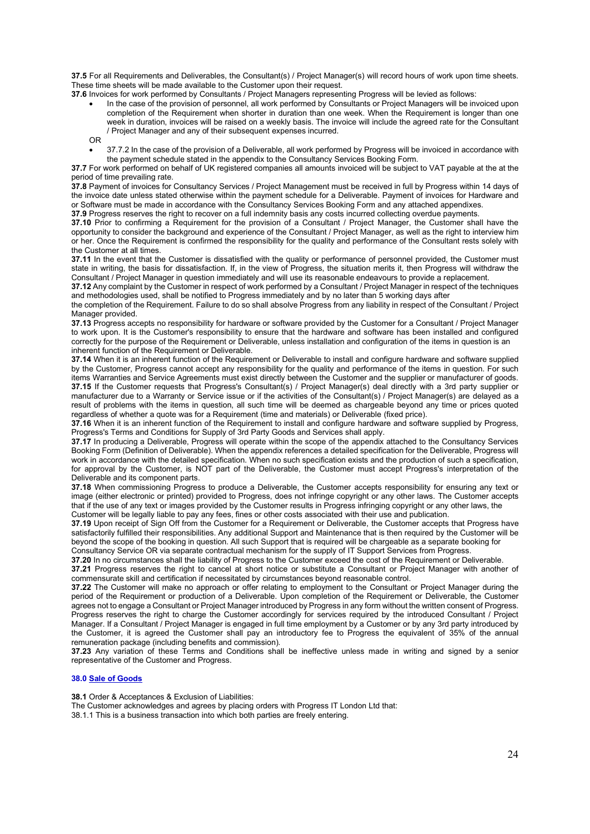**37.5** For all Requirements and Deliverables, the Consultant(s) / Project Manager(s) will record hours of work upon time sheets. These time sheets will be made available to the Customer upon their request.

**37.6** Invoices for work performed by Consultants / Project Managers representing Progress will be levied as follows:

- In the case of the provision of personnel, all work performed by Consultants or Project Managers will be invoiced upon completion of the Requirement when shorter in duration than one week. When the Requirement is longer than one week in duration, invoices will be raised on a weekly basis. The invoice will include the agreed rate for the Consultant / Project Manager and any of their subsequent expenses incurred.
- OR
- 37.7.2 In the case of the provision of a Deliverable, all work performed by Progress will be invoiced in accordance with the payment schedule stated in the appendix to the Consultancy Services Booking Form.

**37.7** For work performed on behalf of UK registered companies all amounts invoiced will be subject to VAT payable at the at the period of time prevailing rate.

**37.8** Payment of invoices for Consultancy Services / Project Management must be received in full by Progress within 14 days of the invoice date unless stated otherwise within the payment schedule for a Deliverable. Payment of invoices for Hardware and or Software must be made in accordance with the Consultancy Services Booking Form and any attached appendixes.

**37.9** Progress reserves the right to recover on a full indemnity basis any costs incurred collecting overdue payments.

**37.10** Prior to confirming a Requirement for the provision of a Consultant / Project Manager, the Customer shall have the opportunity to consider the background and experience of the Consultant / Project Manager, as well as the right to interview him or her. Once the Requirement is confirmed the responsibility for the quality and performance of the Consultant rests solely with the Customer at all times.

**37.11** In the event that the Customer is dissatisfied with the quality or performance of personnel provided, the Customer must state in writing, the basis for dissatisfaction. If, in the view of Progress, the situation merits it, then Progress will withdraw the Consultant / Project Manager in question immediately and will use its reasonable endeavours to provide a replacement.

**37.12** Any complaint by the Customer in respect of work performed by a Consultant / Project Manager in respect of the techniques and methodologies used, shall be notified to Progress immediately and by no later than 5 working days after

the completion of the Requirement. Failure to do so shall absolve Progress from any liability in respect of the Consultant / Project Manager provided.

**37.13** Progress accepts no responsibility for hardware or software provided by the Customer for a Consultant / Project Manager to work upon. It is the Customer's responsibility to ensure that the hardware and software has been installed and configured correctly for the purpose of the Requirement or Deliverable, unless installation and configuration of the items in question is an inherent function of the Requirement or Deliverable.

**37.14** When it is an inherent function of the Requirement or Deliverable to install and configure hardware and software supplied by the Customer, Progress cannot accept any responsibility for the quality and performance of the items in question. For such items Warranties and Service Agreements must exist directly between the Customer and the supplier or manufacturer of goods. **37.15** If the Customer requests that Progress's Consultant(s) / Project Manager(s) deal directly with a 3rd party supplier or manufacturer due to a Warranty or Service issue or if the activities of the Consultant(s) / Project Manager(s) are delayed as a result of problems with the items in question, all such time will be deemed as chargeable beyond any time or prices quoted regardless of whether a quote was for a Requirement (time and materials) or Deliverable (fixed price).

**37.16** When it is an inherent function of the Requirement to install and configure hardware and software supplied by Progress, Progress's Terms and Conditions for Supply of 3rd Party Goods and Services shall apply.

**37.17** In producing a Deliverable, Progress will operate within the scope of the appendix attached to the Consultancy Services Booking Form (Definition of Deliverable). When the appendix references a detailed specification for the Deliverable, Progress will work in accordance with the detailed specification. When no such specification exists and the production of such a specification, for approval by the Customer, is NOT part of the Deliverable, the Customer must accept Progress's interpretation of the Deliverable and its component parts.

**37.18** When commissioning Progress to produce a Deliverable, the Customer accepts responsibility for ensuring any text or image (either electronic or printed) provided to Progress, does not infringe copyright or any other laws. The Customer accepts that if the use of any text or images provided by the Customer results in Progress infringing copyright or any other laws, the Customer will be legally liable to pay any fees, fines or other costs associated with their use and publication.

**37.19** Upon receipt of Sign Off from the Customer for a Requirement or Deliverable, the Customer accepts that Progress have satisfactorily fulfilled their responsibilities. Any additional Support and Maintenance that is then required by the Customer will be beyond the scope of the booking in question. All such Support that is required will be chargeable as a separate booking for Consultancy Service OR via separate contractual mechanism for the supply of IT Support Services from Progress.

**37.20** In no circumstances shall the liability of Progress to the Customer exceed the cost of the Requirement or Deliverable.

**37.21** Progress reserves the right to cancel at short notice or substitute a Consultant or Project Manager with another of commensurate skill and certification if necessitated by circumstances beyond reasonable control.

**37.22** The Customer will make no approach or offer relating to employment to the Consultant or Project Manager during the period of the Requirement or production of a Deliverable. Upon completion of the Requirement or Deliverable, the Customer agrees not to engage a Consultant or Project Manager introduced by Progress in any form without the written consent of Progress. Progress reserves the right to charge the Customer accordingly for services required by the introduced Consultant / Project Manager. If a Consultant / Project Manager is engaged in full time employment by a Customer or by any 3rd party introduced by the Customer, it is agreed the Customer shall pay an introductory fee to Progress the equivalent of 35% of the annual remuneration package (including benefits and commission).

**37.23** Any variation of these Terms and Conditions shall be ineffective unless made in writing and signed by a senior representative of the Customer and Progress.

# **38.0 Sale of Goods**

**38.1** Order & Acceptances & Exclusion of Liabilities:

The Customer acknowledges and agrees by placing orders with Progress IT London Ltd that:

38.1.1 This is a business transaction into which both parties are freely entering.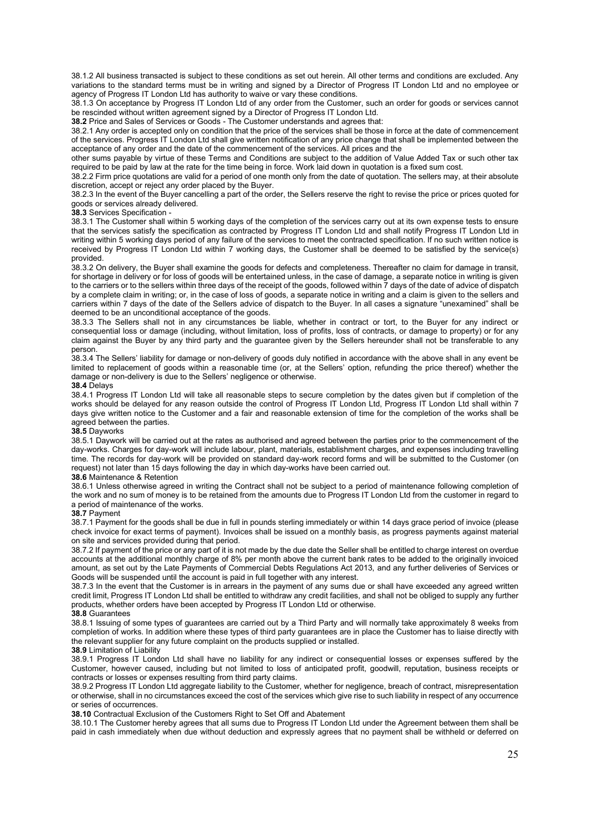38.1.2 All business transacted is subject to these conditions as set out herein. All other terms and conditions are excluded. Any variations to the standard terms must be in writing and signed by a Director of Progress IT London Ltd and no employee or agency of Progress IT London Ltd has authority to waive or vary these conditions.

38.1.3 On acceptance by Progress IT London Ltd of any order from the Customer, such an order for goods or services cannot be rescinded without written agreement signed by a Director of Progress IT London Ltd.

**38.2** Price and Sales of Services or Goods - The Customer understands and agrees that:

38.2.1 Any order is accepted only on condition that the price of the services shall be those in force at the date of commencement of the services. Progress IT London Ltd shall give written notification of any price change that shall be implemented between the acceptance of any order and the date of the commencement of the services. All prices and the

other sums payable by virtue of these Terms and Conditions are subject to the addition of Value Added Tax or such other tax required to be paid by law at the rate for the time being in force. Work laid down in quotation is a fixed sum cost.

38.2.2 Firm price quotations are valid for a period of one month only from the date of quotation. The sellers may, at their absolute discretion, accept or reject any order placed by the Buyer.

38.2.3 In the event of the Buyer cancelling a part of the order, the Sellers reserve the right to revise the price or prices quoted for goods or services already delivered.

**38.3** Services Specification -

38.3.1 The Customer shall within 5 working days of the completion of the services carry out at its own expense tests to ensure that the services satisfy the specification as contracted by Progress IT London Ltd and shall notify Progress IT London Ltd in writing within 5 working days period of any failure of the services to meet the contracted specification. If no such written notice is received by Progress IT London Ltd within 7 working days, the Customer shall be deemed to be satisfied by the service(s) provided.

38.3.2 On delivery, the Buyer shall examine the goods for defects and completeness. Thereafter no claim for damage in transit, for shortage in delivery or for loss of goods will be entertained unless, in the case of damage, a separate notice in writing is given to the carriers or to the sellers within three days of the receipt of the goods, followed within 7 days of the date of advice of dispatch by a complete claim in writing; or, in the case of loss of goods, a separate notice in writing and a claim is given to the sellers and carriers within 7 days of the date of the Sellers advice of dispatch to the Buyer. In all cases a signature "unexamined" shall be deemed to be an unconditional acceptance of the goods.

38.3.3 The Sellers shall not in any circumstances be liable, whether in contract or tort, to the Buyer for any indirect or consequential loss or damage (including, without limitation, loss of profits, loss of contracts, or damage to property) or for any claim against the Buyer by any third party and the guarantee given by the Sellers hereunder shall not be transferable to any person.

38.3.4 The Sellers' liability for damage or non-delivery of goods duly notified in accordance with the above shall in any event be limited to replacement of goods within a reasonable time (or, at the Sellers' option, refunding the price thereof) whether the damage or non-delivery is due to the Sellers' negligence or otherwise.

#### **38.4** Delays

38.4.1 Progress IT London Ltd will take all reasonable steps to secure completion by the dates given but if completion of the works should be delayed for any reason outside the control of Progress IT London Ltd, Progress IT London Ltd shall within 7 days give written notice to the Customer and a fair and reasonable extension of time for the completion of the works shall be agreed between the parties.

## **38.5** Dayworks

38.5.1 Daywork will be carried out at the rates as authorised and agreed between the parties prior to the commencement of the day-works. Charges for day-work will include labour, plant, materials, establishment charges, and expenses including travelling time. The records for day-work will be provided on standard day-work record forms and will be submitted to the Customer (on request) not later than 15 days following the day in which day-works have been carried out.

#### **38.6** Maintenance & Retention

38.6.1 Unless otherwise agreed in writing the Contract shall not be subject to a period of maintenance following completion of the work and no sum of money is to be retained from the amounts due to Progress IT London Ltd from the customer in regard to a period of maintenance of the works.

#### **38.7** Payment

38.7.1 Payment for the goods shall be due in full in pounds sterling immediately or within 14 days grace period of invoice (please check invoice for exact terms of payment). Invoices shall be issued on a monthly basis, as progress payments against material on site and services provided during that period.

38.7.2 If payment of the price or any part of it is not made by the due date the Seller shall be entitled to charge interest on overdue accounts at the additional monthly charge of 8% per month above the current bank rates to be added to the originally invoiced amount, as set out by the Late Payments of Commercial Debts Regulations Act 2013, and any further deliveries of Services or Goods will be suspended until the account is paid in full together with any interest.

38.7.3 In the event that the Customer is in arrears in the payment of any sums due or shall have exceeded any agreed written credit limit, Progress IT London Ltd shall be entitled to withdraw any credit facilities, and shall not be obliged to supply any further products, whether orders have been accepted by Progress IT London Ltd or otherwise.

#### **38.8** Guarantees

38.8.1 Issuing of some types of guarantees are carried out by a Third Party and will normally take approximately 8 weeks from completion of works. In addition where these types of third party guarantees are in place the Customer has to liaise directly with the relevant supplier for any future complaint on the products supplied or installed.

#### **38.9** Limitation of Liability

38.9.1 Progress IT London Ltd shall have no liability for any indirect or consequential losses or expenses suffered by the Customer, however caused, including but not limited to loss of anticipated profit, goodwill, reputation, business receipts or contracts or losses or expenses resulting from third party claims.

38.9.2 Progress IT London Ltd aggregate liability to the Customer, whether for negligence, breach of contract, misrepresentation or otherwise, shall in no circumstances exceed the cost of the services which give rise to such liability in respect of any occurrence or series of occurrences.

**38.10** Contractual Exclusion of the Customers Right to Set Off and Abatement

38.10.1 The Customer hereby agrees that all sums due to Progress IT London Ltd under the Agreement between them shall be paid in cash immediately when due without deduction and expressly agrees that no payment shall be withheld or deferred on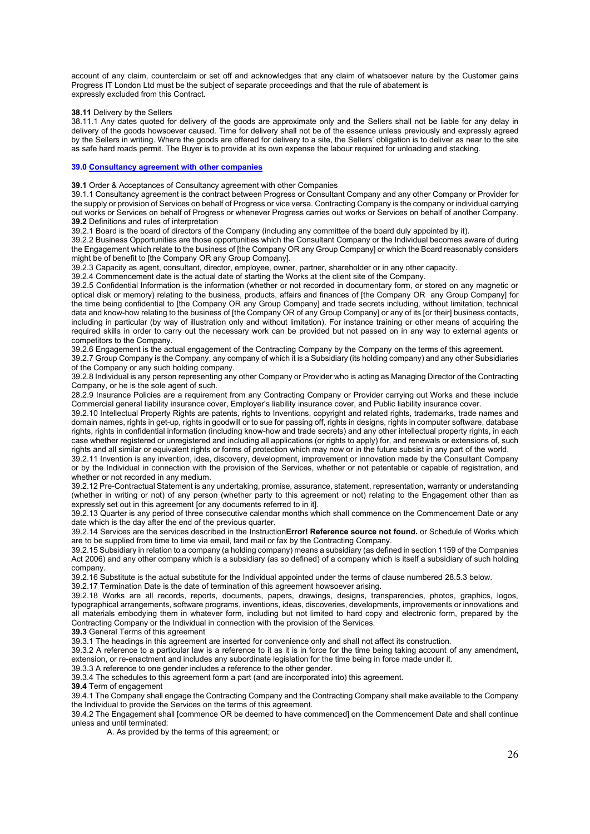account of any claim, counterclaim or set off and acknowledges that any claim of whatsoever nature by the Customer gains Progress IT London Ltd must be the subject of separate proceedings and that the rule of abatement is expressly excluded from this Contract.

#### **38.11** Delivery by the Sellers

38.11.1 Any dates quoted for delivery of the goods are approximate only and the Sellers shall not be liable for any delay in delivery of the goods howsoever caused. Time for delivery shall not be of the essence unless previously and expressly agreed by the Sellers in writing. Where the goods are offered for delivery to a site, the Sellers' obligation is to deliver as near to the site as safe hard roads permit. The Buyer is to provide at its own expense the labour required for unloading and stacking.

## **39.0 Consultancy agreement with other companies**

**39.1** Order & Acceptances of Consultancy agreement with other Companies

39.1.1 Consultancy agreement is the contract between Progress or Consultant Company and any other Company or Provider for the supply or provision of Services on behalf of Progress or vice versa. Contracting Company is the company or individual carrying out works or Services on behalf of Progress or whenever Progress carries out works or Services on behalf of another Company. **39.2** Definitions and rules of interpretation

39.2.1 Board is the board of directors of the Company (including any committee of the board duly appointed by it).

39.2.2 Business Opportunities are those opportunities which the Consultant Company or the Individual becomes aware of during the Engagement which relate to the business of [the Company OR any Group Company] or which the Board reasonably considers might be of benefit to [the Company OR any Group Company].

39.2.3 Capacity as agent, consultant, director, employee, owner, partner, shareholder or in any other capacity.

39.2.4 Commencement date is the actual date of starting the Works at the client site of the Company.

39.2.5 Confidential Information is the information (whether or not recorded in documentary form, or stored on any magnetic or optical disk or memory) relating to the business, products, affairs and finances of [the Company OR any Group Company] for the time being confidential to [the Company OR any Group Company] and trade secrets including, without limitation, technical data and know-how relating to the business of [the Company OR of any Group Company] or any of its [or their] business contacts, including in particular (by way of illustration only and without limitation). For instance training or other means of acquiring the required skills in order to carry out the necessary work can be provided but not passed on in any way to external agents or competitors to the Company.

39.2.6 Engagement is the actual engagement of the Contracting Company by the Company on the terms of this agreement. 39.2.7 Group Company is the Company, any company of which it is a Subsidiary (its holding company) and any other Subsidiaries

of the Company or any such holding company.

39.2.8 Individual is any person representing any other Company or Provider who is acting as Managing Director of the Contracting Company, or he is the sole agent of such.

28.2.9 Insurance Policies are a requirement from any Contracting Company or Provider carrying out Works and these include Commercial general liability insurance cover, Employer's liability insurance cover, and Public liability insurance cover.

39.2.10 Intellectual Property Rights are patents, rights to Inventions, copyright and related rights, trademarks, trade names and domain names, rights in get-up, rights in goodwill or to sue for passing off, rights in designs, rights in computer software, database rights, rights in confidential information (including know-how and trade secrets) and any other intellectual property rights, in each case whether registered or unregistered and including all applications (or rights to apply) for, and renewals or extensions of, such rights and all similar or equivalent rights or forms of protection which may now or in the future subsist in any part of the world.

39.2.11 Invention is any invention, idea, discovery, development, improvement or innovation made by the Consultant Company or by the Individual in connection with the provision of the Services, whether or not patentable or capable of registration, and whether or not recorded in any medium.

39.2.12 Pre-Contractual Statement is any undertaking, promise, assurance, statement, representation, warranty or understanding (whether in writing or not) of any person (whether party to this agreement or not) relating to the Engagement other than as expressly set out in this agreement [or any documents referred to in it].

39.2.13 Quarter is any period of three consecutive calendar months which shall commence on the Commencement Date or any date which is the day after the end of the previous quarter.

39.2.14 Services are the services described in the Instruction**Error! Reference source not found.** or Schedule of Works which are to be supplied from time to time via email, land mail or fax by the Contracting Company.

39.2.15 Subsidiary in relation to a company (a holding company) means a subsidiary (as defined in section 1159 of the Companies Act 2006) and any other company which is a subsidiary (as so defined) of a company which is itself a subsidiary of such holding company.

39.2.16 Substitute is the actual substitute for the Individual appointed under the terms of clause numbered 28.5.3 below.

39.2.17 Termination Date is the date of termination of this agreement howsoever arising.

39.2.18 Works are all records, reports, documents, papers, drawings, designs, transparencies, photos, graphics, logos, typographical arrangements, software programs, inventions, ideas, discoveries, developments, improvements or innovations and all materials embodying them in whatever form, including but not limited to hard copy and electronic form, prepared by the Contracting Company or the Individual in connection with the provision of the Services.

**39.3** General Terms of this agreement

39.3.1 The headings in this agreement are inserted for convenience only and shall not affect its construction.

39.3.2 A reference to a particular law is a reference to it as it is in force for the time being taking account of any amendment, extension, or re-enactment and includes any subordinate legislation for the time being in force made under it.

39.3.3 A reference to one gender includes a reference to the other gender.

39.3.4 The schedules to this agreement form a part (and are incorporated into) this agreement.

**39.4** Term of engagement

39.4.1 The Company shall engage the Contracting Company and the Contracting Company shall make available to the Company the Individual to provide the Services on the terms of this agreement.

39.4.2 The Engagement shall [commence OR be deemed to have commenced] on the Commencement Date and shall continue unless and until terminated:

A. As provided by the terms of this agreement; or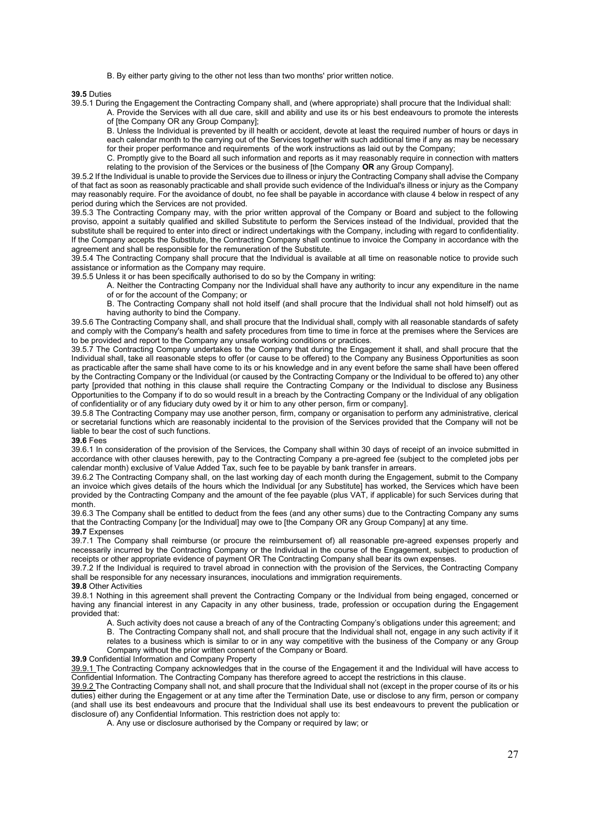B. By either party giving to the other not less than two months' prior written notice.

#### **39.5** Duties

39.5.1 During the Engagement the Contracting Company shall, and (where appropriate) shall procure that the Individual shall: A. Provide the Services with all due care, skill and ability and use its or his best endeavours to promote the interests

B. Unless the Individual is prevented by ill health or accident, devote at least the required number of hours or days in each calendar month to the carrying out of the Services together with such additional time if any as may be necessary for their proper performance and requirements of the work instructions as laid out by the Company;

C. Promptly give to the Board all such information and reports as it may reasonably require in connection with matters relating to the provision of the Services or the business of [the Company **OR** any Group Company].

39.5.2 If the Individual is unable to provide the Services due to illness or injury the Contracting Company shall advise the Company of that fact as soon as reasonably practicable and shall provide such evidence of the Individual's illness or injury as the Company may reasonably require. For the avoidance of doubt, no fee shall be payable in accordance with clause 4 below in respect of any period during which the Services are not provided.

39.5.3 The Contracting Company may, with the prior written approval of the Company or Board and subject to the following proviso, appoint a suitably qualified and skilled Substitute to perform the Services instead of the Individual, provided that the substitute shall be required to enter into direct or indirect undertakings with the Company, including with regard to confidentiality. If the Company accepts the Substitute, the Contracting Company shall continue to invoice the Company in accordance with the agreement and shall be responsible for the remuneration of the Substitute.

39.5.4 The Contracting Company shall procure that the Individual is available at all time on reasonable notice to provide such assistance or information as the Company may require.

39.5.5 Unless it or has been specifically authorised to do so by the Company in writing:

A. Neither the Contracting Company nor the Individual shall have any authority to incur any expenditure in the name of or for the account of the Company; or

B. The Contracting Company shall not hold itself (and shall procure that the Individual shall not hold himself) out as having authority to bind the Company.

39.5.6 The Contracting Company shall, and shall procure that the Individual shall, comply with all reasonable standards of safety and comply with the Company's health and safety procedures from time to time in force at the premises where the Services are to be provided and report to the Company any unsafe working conditions or practices.

39.5.7 The Contracting Company undertakes to the Company that during the Engagement it shall, and shall procure that the Individual shall, take all reasonable steps to offer (or cause to be offered) to the Company any Business Opportunities as soon as practicable after the same shall have come to its or his knowledge and in any event before the same shall have been offered by the Contracting Company or the Individual (or caused by the Contracting Company or the Individual to be offered to) any other party [provided that nothing in this clause shall require the Contracting Company or the Individual to disclose any Business Opportunities to the Company if to do so would result in a breach by the Contracting Company or the Individual of any obligation of confidentiality or of any fiduciary duty owed by it or him to any other person, firm or company].

39.5.8 The Contracting Company may use another person, firm, company or organisation to perform any administrative, clerical or secretarial functions which are reasonably incidental to the provision of the Services provided that the Company will not be liable to bear the cost of such functions.

## **39.6** Fees

39.6.1 In consideration of the provision of the Services, the Company shall within 30 days of receipt of an invoice submitted in accordance with other clauses herewith, pay to the Contracting Company a pre-agreed fee (subject to the completed jobs per calendar month) exclusive of Value Added Tax, such fee to be payable by bank transfer in arrears.

39.6.2 The Contracting Company shall, on the last working day of each month during the Engagement, submit to the Company an invoice which gives details of the hours which the Individual [or any Substitute] has worked, the Services which have been provided by the Contracting Company and the amount of the fee payable (plus VAT, if applicable) for such Services during that month.

39.6.3 The Company shall be entitled to deduct from the fees (and any other sums) due to the Contracting Company any sums that the Contracting Company [or the Individual] may owe to [the Company OR any Group Company] at any time.

# **39.7** Expenses

39.7.1 The Company shall reimburse (or procure the reimbursement of) all reasonable pre-agreed expenses properly and necessarily incurred by the Contracting Company or the Individual in the course of the Engagement, subject to production of receipts or other appropriate evidence of payment OR The Contracting Company shall bear its own expenses.

39.7.2 If the Individual is required to travel abroad in connection with the provision of the Services, the Contracting Company shall be responsible for any necessary insurances, inoculations and immigration requirements.

# **39.8** Other Activities

39.8.1 Nothing in this agreement shall prevent the Contracting Company or the Individual from being engaged, concerned or having any financial interest in any Capacity in any other business, trade, profession or occupation during the Engagement provided that:

A. Such activity does not cause a breach of any of the Contracting Company's obligations under this agreement; and B. The Contracting Company shall not, and shall procure that the Individual shall not, engage in any such activity if it relates to a business which is similar to or in any way competitive with the business of the Company or any Group Company without the prior written consent of the Company or Board.

## **39.9** Confidential Information and Company Property

39.9.1 The Contracting Company acknowledges that in the course of the Engagement it and the Individual will have access to Confidential Information. The Contracting Company has therefore agreed to accept the restrictions in this clause.

39.9.2 The Contracting Company shall not, and shall procure that the Individual shall not (except in the proper course of its or his duties) either during the Engagement or at any time after the Termination Date, use or disclose to any firm, person or company (and shall use its best endeavours and procure that the Individual shall use its best endeavours to prevent the publication or disclosure of) any Confidential Information. This restriction does not apply to:

A. Any use or disclosure authorised by the Company or required by law; or

of [the Company OR any Group Company];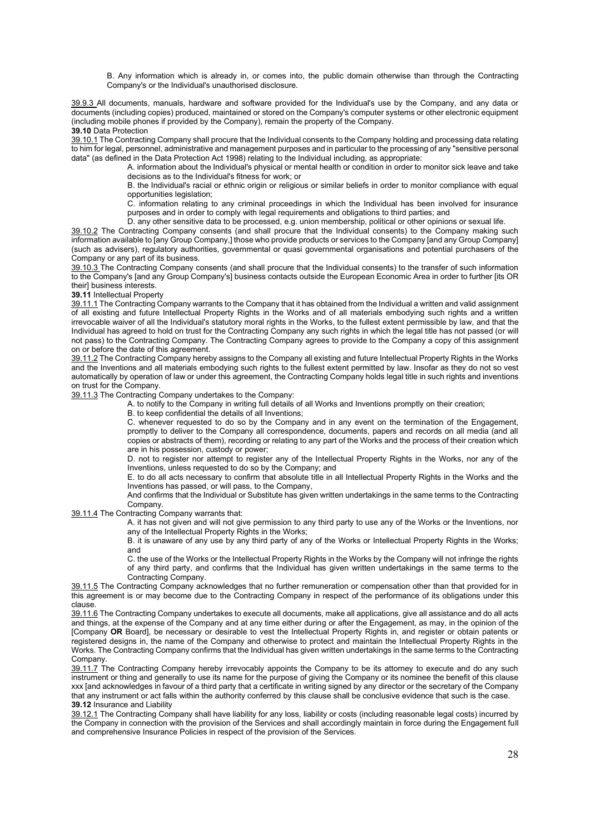B. Any information which is already in, or comes into, the public domain otherwise than through the Contracting Company's or the Individual's unauthorised disclosure.

39.9.3 All documents, manuals, hardware and software provided for the Individual's use by the Company, and any data or documents (including copies) produced, maintained or stored on the Company's computer systems or other electronic equipment (including mobile phones if provided by the Company), remain the property of the Company. **39.10** Data Protection

39.10.1 The Contracting Company shall procure that the Individual consents to the Company holding and processing data relating to him for legal, personnel, administrative and management purposes and in particular to the processing of any "sensitive personal data" (as defined in the Data Protection Act 1998) relating to the Individual including, as appropriate:

A. information about the Individual's physical or mental health or condition in order to monitor sick leave and take decisions as to the Individual's fitness for work; or

B. the Individual's racial or ethnic origin or religious or similar beliefs in order to monitor compliance with equal opportunities legislation;

C. information relating to any criminal proceedings in which the Individual has been involved for insurance purposes and in order to comply with legal requirements and obligations to third parties; and

D. any other sensitive data to be processed, e.g. union membership, political or other opinions or sexual life.

39.10.2 The Contracting Company consents (and shall procure that the Individual consents) to the Company making such information available to [any Group Company,] those who provide products or services to the Company [and any Group Company] (such as advisers), regulatory authorities, governmental or quasi governmental organisations and potential purchasers of the Company or any part of its business.

39.10.3 The Contracting Company consents (and shall procure that the Individual consents) to the transfer of such information to the Company's [and any Group Company's] business contacts outside the European Economic Area in order to further [its OR their] business interests.

**39.11** Intellectual Property

39.11.1 The Contracting Company warrants to the Company that it has obtained from the Individual a written and valid assignment of all existing and future Intellectual Property Rights in the Works and of all materials embodying such rights and a written irrevocable waiver of all the Individual's statutory moral rights in the Works, to the fullest extent permissible by law, and that the Individual has agreed to hold on trust for the Contracting Company any such rights in which the legal title has not passed (or will not pass) to the Contracting Company. The Contracting Company agrees to provide to the Company a copy of this assignment on or before the date of this agreement.

39.11.2 The Contracting Company hereby assigns to the Company all existing and future Intellectual Property Rights in the Works and the Inventions and all materials embodying such rights to the fullest extent permitted by law. Insofar as they do not so vest automatically by operation of law or under this agreement, the Contracting Company holds legal title in such rights and inventions on trust for the Company.

39.11.3 The Contracting Company undertakes to the Company:

A. to notify to the Company in writing full details of all Works and Inventions promptly on their creation;

B. to keep confidential the details of all Inventions;

C. whenever requested to do so by the Company and in any event on the termination of the Engagement, promptly to deliver to the Company all correspondence, documents, papers and records on all media (and all copies or abstracts of them), recording or relating to any part of the Works and the process of their creation which are in his possession, custody or power;

D. not to register nor attempt to register any of the Intellectual Property Rights in the Works, nor any of the Inventions, unless requested to do so by the Company; and

E. to do all acts necessary to confirm that absolute title in all Intellectual Property Rights in the Works and the Inventions has passed, or will pass, to the Company,

And confirms that the Individual or Substitute has given written undertakings in the same terms to the Contracting Company.

39.11.4 The Contracting Company warrants that:

A. it has not given and will not give permission to any third party to use any of the Works or the Inventions, nor any of the Intellectual Property Rights in the Works;

B. it is unaware of any use by any third party of any of the Works or Intellectual Property Rights in the Works; and

C. the use of the Works or the Intellectual Property Rights in the Works by the Company will not infringe the rights of any third party, and confirms that the Individual has given written undertakings in the same terms to the Contracting Company.

39.11.5 The Contracting Company acknowledges that no further remuneration or compensation other than that provided for in this agreement is or may become due to the Contracting Company in respect of the performance of its obligations under this clause.

39.11.6 The Contracting Company undertakes to execute all documents, make all applications, give all assistance and do all acts and things, at the expense of the Company and at any time either during or after the Engagement, as may, in the opinion of the [Company **OR** Board], be necessary or desirable to vest the Intellectual Property Rights in, and register or obtain patents or registered designs in, the name of the Company and otherwise to protect and maintain the Intellectual Property Rights in the Works. The Contracting Company confirms that the Individual has given written undertakings in the same terms to the Contracting Company.

39.11.7 The Contracting Company hereby irrevocably appoints the Company to be its attorney to execute and do any such instrument or thing and generally to use its name for the purpose of giving the Company or its nominee the benefit of this clause xxx [and acknowledges in favour of a third party that a certificate in writing signed by any director or the secretary of the Company that any instrument or act falls within the authority conferred by this clause shall be conclusive evidence that such is the case. **39.12** Insurance and Liability

39.12.1 The Contracting Company shall have liability for any loss, liability or costs (including reasonable legal costs) incurred by the Company in connection with the provision of the Services and shall accordingly maintain in force during the Engagement full and comprehensive Insurance Policies in respect of the provision of the Services.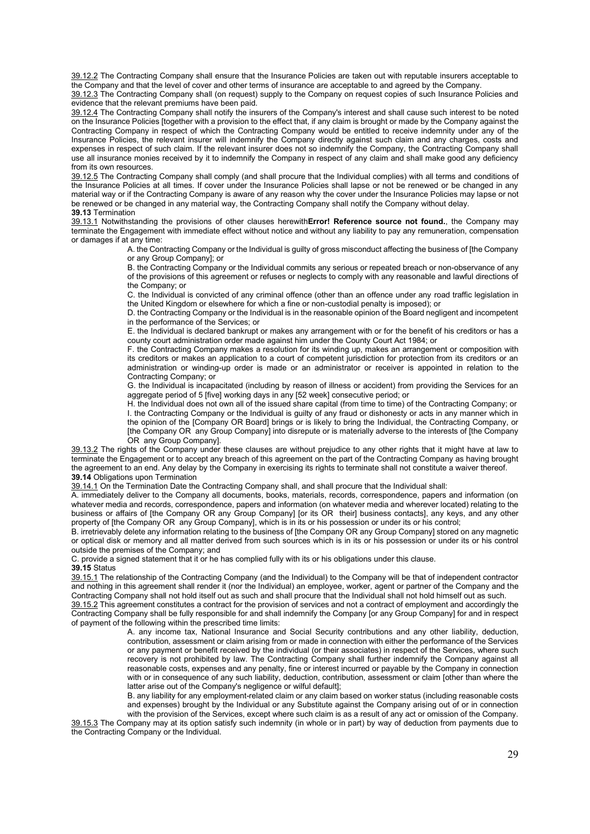39.12.2 The Contracting Company shall ensure that the Insurance Policies are taken out with reputable insurers acceptable to the Company and that the level of cover and other terms of insurance are acceptable to and agreed by the Company.

39.12.3 The Contracting Company shall (on request) supply to the Company on request copies of such Insurance Policies and evidence that the relevant premiums have been paid.

39.12.4 The Contracting Company shall notify the insurers of the Company's interest and shall cause such interest to be noted on the Insurance Policies [together with a provision to the effect that, if any claim is brought or made by the Company against the Contracting Company in respect of which the Contracting Company would be entitled to receive indemnity under any of the Insurance Policies, the relevant insurer will indemnify the Company directly against such claim and any charges, costs and expenses in respect of such claim. If the relevant insurer does not so indemnify the Company, the Contracting Company shall use all insurance monies received by it to indemnify the Company in respect of any claim and shall make good any deficiency from its own resources.

39.12.5 The Contracting Company shall comply (and shall procure that the Individual complies) with all terms and conditions of the Insurance Policies at all times. If cover under the Insurance Policies shall lapse or not be renewed or be changed in any material way or if the Contracting Company is aware of any reason why the cover under the Insurance Policies may lapse or not be renewed or be changed in any material way, the Contracting Company shall notify the Company without delay. **39.13** Termination

39.13.1 Notwithstanding the provisions of other clauses herewith**Error! Reference source not found.**, the Company may terminate the Engagement with immediate effect without notice and without any liability to pay any remuneration, compensation or damages if at any time:

> A. the Contracting Company or the Individual is guilty of gross misconduct affecting the business of [the Company or any Group Company]; or

> B. the Contracting Company or the Individual commits any serious or repeated breach or non-observance of any of the provisions of this agreement or refuses or neglects to comply with any reasonable and lawful directions of the Company; or

> C. the Individual is convicted of any criminal offence (other than an offence under any road traffic legislation in the United Kingdom or elsewhere for which a fine or non-custodial penalty is imposed); or

> D. the Contracting Company or the Individual is in the reasonable opinion of the Board negligent and incompetent in the performance of the Services; or

> E. the Individual is declared bankrupt or makes any arrangement with or for the benefit of his creditors or has a county court administration order made against him under the County Court Act 1984; or

> F. the Contracting Company makes a resolution for its winding up, makes an arrangement or composition with its creditors or makes an application to a court of competent jurisdiction for protection from its creditors or an administration or winding-up order is made or an administrator or receiver is appointed in relation to the Contracting Company; or

> G. the Individual is incapacitated (including by reason of illness or accident) from providing the Services for an aggregate period of 5 [five] working days in any [52 week] consecutive period; or

> H. the Individual does not own all of the issued share capital (from time to time) of the Contracting Company; or I. the Contracting Company or the Individual is guilty of any fraud or dishonesty or acts in any manner which in the opinion of the [Company OR Board] brings or is likely to bring the Individual, the Contracting Company, or [the Company OR any Group Company] into disrepute or is materially adverse to the interests of [the Company OR any Group Company].

39.13.2 The rights of the Company under these clauses are without prejudice to any other rights that it might have at law to terminate the Engagement or to accept any breach of this agreement on the part of the Contracting Company as having brought the agreement to an end. Any delay by the Company in exercising its rights to terminate shall not constitute a waiver thereof. **39.14** Obligations upon Termination

39.14.1 On the Termination Date the Contracting Company shall, and shall procure that the Individual shall:

A. immediately deliver to the Company all documents, books, materials, records, correspondence, papers and information (on whatever media and records, correspondence, papers and information (on whatever media and wherever located) relating to the business or affairs of [the Company OR any Group Company] [or its OR their] business contacts], any keys, and any other property of [the Company OR any Group Company], which is in its or his possession or under its or his control;

B. irretrievably delete any information relating to the business of [the Company OR any Group Company] stored on any magnetic or optical disk or memory and all matter derived from such sources which is in its or his possession or under its or his control outside the premises of the Company; and

C. provide a signed statement that it or he has complied fully with its or his obligations under this clause.

# **39.15** Status

39.15.1 The relationship of the Contracting Company (and the Individual) to the Company will be that of independent contractor and nothing in this agreement shall render it (nor the Individual) an employee, worker, agent or partner of the Company and the Contracting Company shall not hold itself out as such and shall procure that the Individual shall not hold himself out as such.

39.15.2 This agreement constitutes a contract for the provision of services and not a contract of employment and accordingly the Contracting Company shall be fully responsible for and shall indemnify the Company [or any Group Company] for and in respect of payment of the following within the prescribed time limits:

A. any income tax, National Insurance and Social Security contributions and any other liability, deduction, contribution, assessment or claim arising from or made in connection with either the performance of the Services or any payment or benefit received by the individual (or their associates) in respect of the Services, where such recovery is not prohibited by law. The Contracting Company shall further indemnify the Company against all reasonable costs, expenses and any penalty, fine or interest incurred or payable by the Company in connection with or in consequence of any such liability, deduction, contribution, assessment or claim [other than where the latter arise out of the Company's negligence or wilful default];

B. any liability for any employment-related claim or any claim based on worker status (including reasonable costs and expenses) brought by the Individual or any Substitute against the Company arising out of or in connection with the provision of the Services, except where such claim is as a result of any act or omission of the Company.

39.15.3 The Company may at its option satisfy such indemnity (in whole or in part) by way of deduction from payments due to the Contracting Company or the Individual.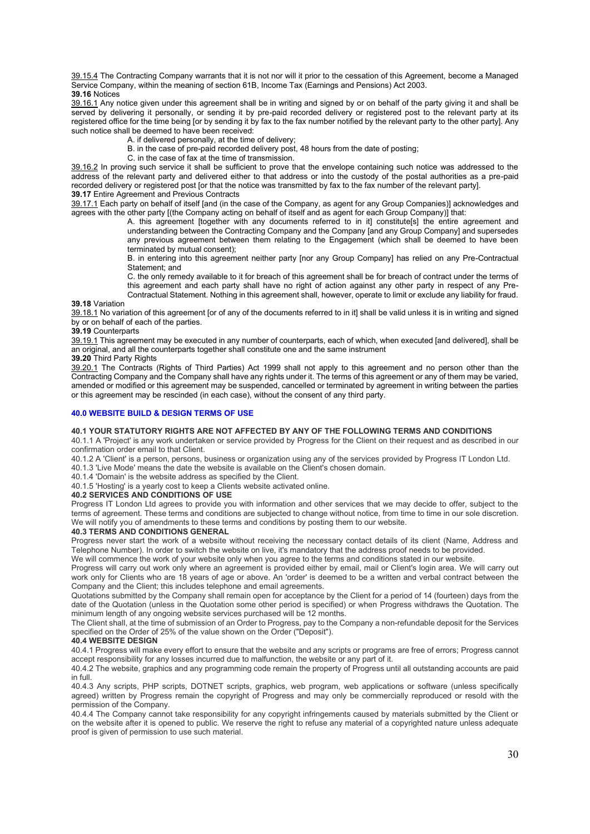39.15.4 The Contracting Company warrants that it is not nor will it prior to the cessation of this Agreement, become a Managed Service Company, within the meaning of section 61B, Income Tax (Earnings and Pensions) Act 2003. **39.16** Notices

39.16.1 Any notice given under this agreement shall be in writing and signed by or on behalf of the party giving it and shall be served by delivering it personally, or sending it by pre-paid recorded delivery or registered post to the relevant party at its registered office for the time being [or by sending it by fax to the fax number notified by the relevant party to the other party]. Any such notice shall be deemed to have been received:

- A. if delivered personally, at the time of delivery;
- B. in the case of pre-paid recorded delivery post, 48 hours from the date of posting;
- C. in the case of fax at the time of transmission.

39.16.2 In proving such service it shall be sufficient to prove that the envelope containing such notice was addressed to the address of the relevant party and delivered either to that address or into the custody of the postal authorities as a pre-paid recorded delivery or registered post [or that the notice was transmitted by fax to the fax number of the relevant party]. **39.17** Entire Agreement and Previous Contracts

39.17.1 Each party on behalf of itself [and (in the case of the Company, as agent for any Group Companies)] acknowledges and agrees with the other party [(the Company acting on behalf of itself and as agent for each Group Company)] that:

A. this agreement [together with any documents referred to in it] constitute[s] the entire agreement and understanding between the Contracting Company and the Company [and any Group Company] and supersedes any previous agreement between them relating to the Engagement (which shall be deemed to have been terminated by mutual consent);

B. in entering into this agreement neither party [nor any Group Company] has relied on any Pre-Contractual Statement; and

C. the only remedy available to it for breach of this agreement shall be for breach of contract under the terms of this agreement and each party shall have no right of action against any other party in respect of any Pre-Contractual Statement. Nothing in this agreement shall, however, operate to limit or exclude any liability for fraud.

#### **39.18** Variation

39.18.1 No variation of this agreement [or of any of the documents referred to in it] shall be valid unless it is in writing and signed by or on behalf of each of the parties.

**39.19** Counterparts

39.19.1 This agreement may be executed in any number of counterparts, each of which, when executed [and delivered], shall be an original, and all the counterparts together shall constitute one and the same instrument

# **39.20** Third Party Rights

39.20.1 The Contracts (Rights of Third Parties) Act 1999 shall not apply to this agreement and no person other than the Contracting Company and the Company shall have any rights under it. The terms of this agreement or any of them may be varied, amended or modified or this agreement may be suspended, cancelled or terminated by agreement in writing between the parties or this agreement may be rescinded (in each case), without the consent of any third party.

## **40.0 WEBSITE BUILD & DESIGN TERMS OF USE**

#### **40.1 YOUR STATUTORY RIGHTS ARE NOT AFFECTED BY ANY OF THE FOLLOWING TERMS AND CONDITIONS**

40.1.1 A 'Project' is any work undertaken or service provided by Progress for the Client on their request and as described in our confirmation order email to that Client.

40.1.2 A 'Client' is a person, persons, business or organization using any of the services provided by Progress IT London Ltd.

40.1.3 'Live Mode' means the date the website is available on the Client's chosen domain.

40.1.4 'Domain' is the website address as specified by the Client.

40.1.5 'Hosting' is a yearly cost to keep a Clients website activated online.

## **40.2 SERVICES AND CONDITIONS OF USE**

Progress IT London Ltd agrees to provide you with information and other services that we may decide to offer, subject to the terms of agreement. These terms and conditions are subjected to change without notice, from time to time in our sole discretion. We will notify you of amendments to these terms and conditions by posting them to our website.

# **40.3 TERMS AND CONDITIONS GENERAL**

Progress never start the work of a website without receiving the necessary contact details of its client (Name, Address and Telephone Number). In order to switch the website on live, it's mandatory that the address proof needs to be provided.

We will commence the work of your website only when you agree to the terms and conditions stated in our website.

Progress will carry out work only where an agreement is provided either by email, mail or Client's login area. We will carry out work only for Clients who are 18 years of age or above. An 'order' is deemed to be a written and verbal contract between the Company and the Client; this includes telephone and email agreements.

Quotations submitted by the Company shall remain open for acceptance by the Client for a period of 14 (fourteen) days from the date of the Quotation (unless in the Quotation some other period is specified) or when Progress withdraws the Quotation. The minimum length of any ongoing website services purchased will be 12 months.

The Client shall, at the time of submission of an Order to Progress, pay to the Company a non-refundable deposit for the Services specified on the Order of 25% of the value shown on the Order ("Deposit").

#### **40.4 WEBSITE DESIGN**

40.4.1 Progress will make every effort to ensure that the website and any scripts or programs are free of errors; Progress cannot accept responsibility for any losses incurred due to malfunction, the website or any part of it.

40.4.2 The website, graphics and any programming code remain the property of Progress until all outstanding accounts are paid in full.

40.4.3 Any scripts, PHP scripts, DOTNET scripts, graphics, web program, web applications or software (unless specifically agreed) written by Progress remain the copyright of Progress and may only be commercially reproduced or resold with the permission of the Company.

40.4.4 The Company cannot take responsibility for any copyright infringements caused by materials submitted by the Client or on the website after it is opened to public. We reserve the right to refuse any material of a copyrighted nature unless adequate proof is given of permission to use such material.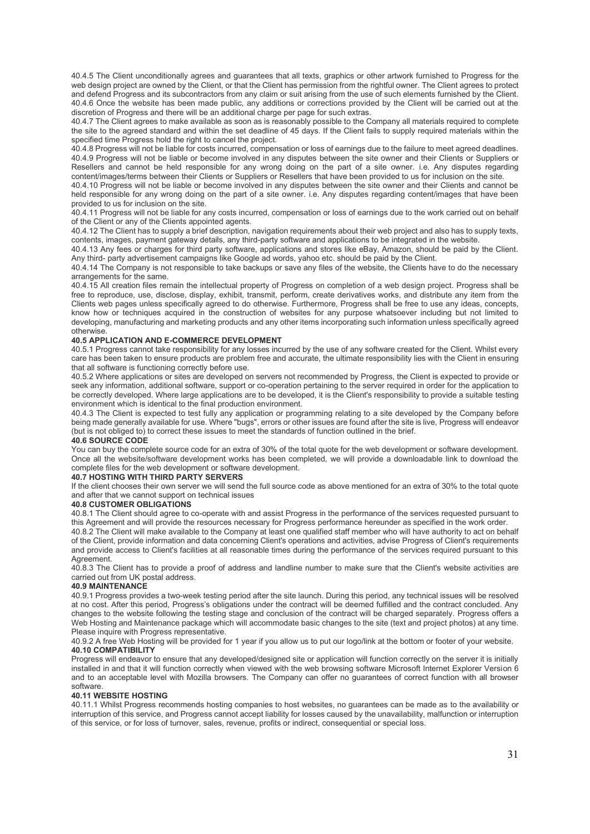40.4.5 The Client unconditionally agrees and guarantees that all texts, graphics or other artwork furnished to Progress for the web design project are owned by the Client, or that the Client has permission from the rightful owner. The Client agrees to protect and defend Progress and its subcontractors from any claim or suit arising from the use of such elements furnished by the Client. 40.4.6 Once the website has been made public, any additions or corrections provided by the Client will be carried out at the discretion of Progress and there will be an additional charge per page for such extras.

40.4.7 The Client agrees to make available as soon as is reasonably possible to the Company all materials required to complete the site to the agreed standard and within the set deadline of 45 days. If the Client fails to supply required materials within the specified time Progress hold the right to cancel the project.

40.4.8 Progress will not be liable for costs incurred, compensation or loss of earnings due to the failure to meet agreed deadlines. 40.4.9 Progress will not be liable or become involved in any disputes between the site owner and their Clients or Suppliers or Resellers and cannot be held responsible for any wrong doing on the part of a site owner. i.e. Any disputes regarding content/images/terms between their Clients or Suppliers or Resellers that have been provided to us for inclusion on the site.

40.4.10 Progress will not be liable or become involved in any disputes between the site owner and their Clients and cannot be held responsible for any wrong doing on the part of a site owner. i.e. Any disputes regarding content/images that have been provided to us for inclusion on the site.

40.4.11 Progress will not be liable for any costs incurred, compensation or loss of earnings due to the work carried out on behalf of the Client or any of the Clients appointed agents.

40.4.12 The Client has to supply a brief description, navigation requirements about their web project and also has to supply texts, contents, images, payment gateway details, any third-party software and applications to be integrated in the website.

40.4.13 Any fees or charges for third party software, applications and stores like eBay, Amazon, should be paid by the Client. Any third- party advertisement campaigns like Google ad words, yahoo etc. should be paid by the Client.

40.4.14 The Company is not responsible to take backups or save any files of the website, the Clients have to do the necessary arrangements for the same.

40.4.15 All creation files remain the intellectual property of Progress on completion of a web design project. Progress shall be free to reproduce, use, disclose, display, exhibit, transmit, perform, create derivatives works, and distribute any item from the Clients web pages unless specifically agreed to do otherwise. Furthermore, Progress shall be free to use any ideas, concepts, know how or techniques acquired in the construction of websites for any purpose whatsoever including but not limited to developing, manufacturing and marketing products and any other items incorporating such information unless specifically agreed otherwise.

# **40.5 APPLICATION AND E-COMMERCE DEVELOPMENT**

40.5.1 Progress cannot take responsibility for any losses incurred by the use of any software created for the Client. Whilst every care has been taken to ensure products are problem free and accurate, the ultimate responsibility lies with the Client in ensuring that all software is functioning correctly before use.

40.5.2 Where applications or sites are developed on servers not recommended by Progress, the Client is expected to provide or seek any information, additional software, support or co-operation pertaining to the server required in order for the application to be correctly developed. Where large applications are to be developed, it is the Client's responsibility to provide a suitable testing environment which is identical to the final production environment.

40.4.3 The Client is expected to test fully any application or programming relating to a site developed by the Company before being made generally available for use. Where "bugs", errors or other issues are found after the site is live, Progress will endeavor (but is not obliged to) to correct these issues to meet the standards of function outlined in the brief.

#### **40.6 SOURCE CODE**

You can buy the complete source code for an extra of 30% of the total quote for the web development or software development. Once all the website/software development works has been completed, we will provide a downloadable link to download the complete files for the web development or software development.

#### **40.7 HOSTING WITH THIRD PARTY SERVERS**

If the client chooses their own server we will send the full source code as above mentioned for an extra of 30% to the total quote and after that we cannot support on technical issues

## **40.8 CUSTOMER OBLIGATIONS**

40.8.1 The Client should agree to co-operate with and assist Progress in the performance of the services requested pursuant to this Agreement and will provide the resources necessary for Progress performance hereunder as specified in the work order.

40.8.2 The Client will make available to the Company at least one qualified staff member who will have authority to act on behalf of the Client, provide information and data concerning Client's operations and activities, advise Progress of Client's requirements and provide access to Client's facilities at all reasonable times during the performance of the services required pursuant to this Agreement.

40.8.3 The Client has to provide a proof of address and landline number to make sure that the Client's website activities are carried out from UK postal address.

# **40.9 MAINTENANCE**

40.9.1 Progress provides a two-week testing period after the site launch. During this period, any technical issues will be resolved at no cost. After this period, Progress's obligations under the contract will be deemed fulfilled and the contract concluded. Any changes to the website following the testing stage and conclusion of the contract will be charged separately. Progress offers a Web Hosting and Maintenance package which will accommodate basic changes to the site (text and project photos) at any time. Please inquire with Progress representative.

40.9.2 A free Web Hosting will be provided for 1 year if you allow us to put our logo/link at the bottom or footer of your website. **40.10 COMPATIBILITY** 

Progress will endeavor to ensure that any developed/designed site or application will function correctly on the server it is initially installed in and that it will function correctly when viewed with the web browsing software Microsoft Internet Explorer Version 6 and to an acceptable level with Mozilla browsers. The Company can offer no guarantees of correct function with all browser software.

# **40.11 WEBSITE HOSTING**

40.11.1 Whilst Progress recommends hosting companies to host websites, no guarantees can be made as to the availability or interruption of this service, and Progress cannot accept liability for losses caused by the unavailability, malfunction or interruption of this service, or for loss of turnover, sales, revenue, profits or indirect, consequential or special loss.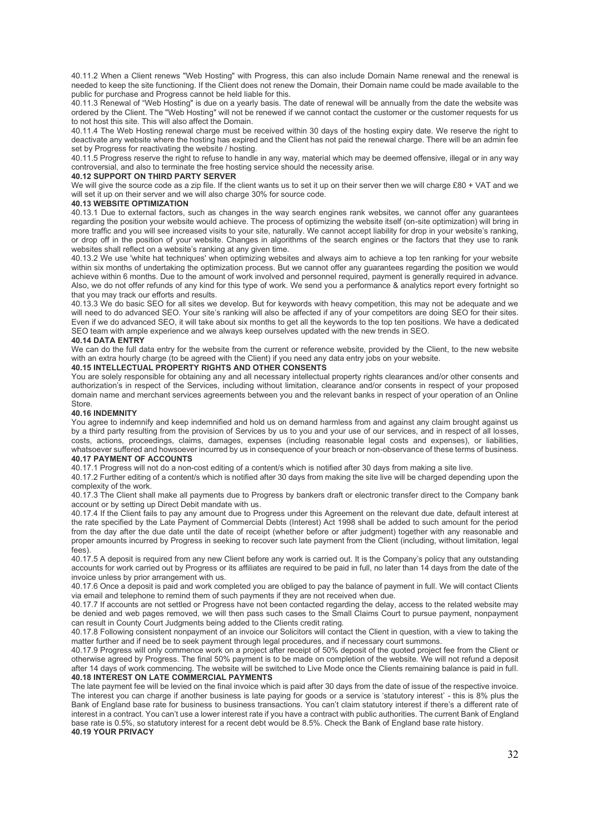40.11.2 When a Client renews "Web Hosting" with Progress, this can also include Domain Name renewal and the renewal is needed to keep the site functioning. If the Client does not renew the Domain, their Domain name could be made available to the public for purchase and Progress cannot be held liable for this.

40.11.3 Renewal of "Web Hosting" is due on a yearly basis. The date of renewal will be annually from the date the website was ordered by the Client. The "Web Hosting" will not be renewed if we cannot contact the customer or the customer requests for us to not host this site. This will also affect the Domain.

40.11.4 The Web Hosting renewal charge must be received within 30 days of the hosting expiry date. We reserve the right to deactivate any website where the hosting has expired and the Client has not paid the renewal charge. There will be an admin fee set by Progress for reactivating the website / hosting.

40.11.5 Progress reserve the right to refuse to handle in any way, material which may be deemed offensive, illegal or in any way controversial, and also to terminate the free hosting service should the necessity arise.

## **40.12 SUPPORT ON THIRD PARTY SERVER**

We will give the source code as a zip file. If the client wants us to set it up on their server then we will charge £80 + VAT and we will set it up on their server and we will also charge 30% for source code.

# **40.13 WEBSITE OPTIMIZATION**

40.13.1 Due to external factors, such as changes in the way search engines rank websites, we cannot offer any guarantees regarding the position your website would achieve. The process of optimizing the website itself (on-site optimization) will bring in more traffic and you will see increased visits to your site, naturally. We cannot accept liability for drop in your website's ranking, or drop off in the position of your website. Changes in algorithms of the search engines or the factors that they use to rank websites shall reflect on a website's ranking at any given time.

40.13.2 We use 'white hat techniques' when optimizing websites and always aim to achieve a top ten ranking for your website within six months of undertaking the optimization process. But we cannot offer any guarantees regarding the position we would achieve within 6 months. Due to the amount of work involved and personnel required, payment is generally required in advance. Also, we do not offer refunds of any kind for this type of work. We send you a performance & analytics report every fortnight so that you may track our efforts and results.

40.13.3 We do basic SEO for all sites we develop. But for keywords with heavy competition, this may not be adequate and we will need to do advanced SEO. Your site's ranking will also be affected if any of your competitors are doing SEO for their sites. Even if we do advanced SEO, it will take about six months to get all the keywords to the top ten positions. We have a dedicated SEO team with ample experience and we always keep ourselves updated with the new trends in SEO.

## **40.14 DATA ENTRY**

We can do the full data entry for the website from the current or reference website, provided by the Client, to the new website with an extra hourly charge (to be agreed with the Client) if you need any data entry jobs on your website.

## **40.15 INTELLECTUAL PROPERTY RIGHTS AND OTHER CONSENTS**

You are solely responsible for obtaining any and all necessary intellectual property rights clearances and/or other consents and authorization's in respect of the Services, including without limitation, clearance and/or consents in respect of your proposed domain name and merchant services agreements between you and the relevant banks in respect of your operation of an Online **Store** 

#### **40.16 INDEMNITY**

You agree to indemnify and keep indemnified and hold us on demand harmless from and against any claim brought against us by a third party resulting from the provision of Services by us to you and your use of our services, and in respect of all losses, costs, actions, proceedings, claims, damages, expenses (including reasonable legal costs and expenses), or liabilities, whatsoever suffered and howsoever incurred by us in consequence of your breach or non-observance of these terms of business. **40.17 PAYMENT OF ACCOUNTS** 

40.17.1 Progress will not do a non-cost editing of a content/s which is notified after 30 days from making a site live.

40.17.2 Further editing of a content/s which is notified after 30 days from making the site live will be charged depending upon the complexity of the work.

40.17.3 The Client shall make all payments due to Progress by bankers draft or electronic transfer direct to the Company bank account or by setting up Direct Debit mandate with us.

40.17.4 If the Client fails to pay any amount due to Progress under this Agreement on the relevant due date, default interest at the rate specified by the Late Payment of Commercial Debts (Interest) Act 1998 shall be added to such amount for the period from the day after the due date until the date of receipt (whether before or after judgment) together with any reasonable and proper amounts incurred by Progress in seeking to recover such late payment from the Client (including, without limitation, legal fees).

40.17.5 A deposit is required from any new Client before any work is carried out. It is the Company's policy that any outstanding accounts for work carried out by Progress or its affiliates are required to be paid in full, no later than 14 days from the date of the invoice unless by prior arrangement with us.

40.17.6 Once a deposit is paid and work completed you are obliged to pay the balance of payment in full. We will contact Clients via email and telephone to remind them of such payments if they are not received when due.

40.17.7 If accounts are not settled or Progress have not been contacted regarding the delay, access to the related website may be denied and web pages removed, we will then pass such cases to the Small Claims Court to pursue payment, nonpayment can result in County Court Judgments being added to the Clients credit rating.

40.17.8 Following consistent nonpayment of an invoice our Solicitors will contact the Client in question, with a view to taking the matter further and if need be to seek payment through legal procedures, and if necessary court summons.

40.17.9 Progress will only commence work on a project after receipt of 50% deposit of the quoted project fee from the Client or otherwise agreed by Progress. The final 50% payment is to be made on completion of the website. We will not refund a deposit after 14 days of work commencing. The website will be switched to Live Mode once the Clients remaining balance is paid in full. **40.18 INTEREST ON LATE COMMERCIAL PAYMENTS** 

The late payment fee will be levied on the final invoice which is paid after 30 days from the date of issue of the respective invoice. The interest you can charge if another business is late paying for goods or a service is 'statutory interest' - this is 8% plus the Bank of England base rate for business to business transactions. You can't claim statutory interest if there's a different rate of interest in a contract. You can't use a lower interest rate if you have a contract with public authorities. The current Bank of England base rate is 0.5%, so statutory interest for a recent debt would be 8.5%. Check the Bank of England base rate history. **40.19 YOUR PRIVACY**